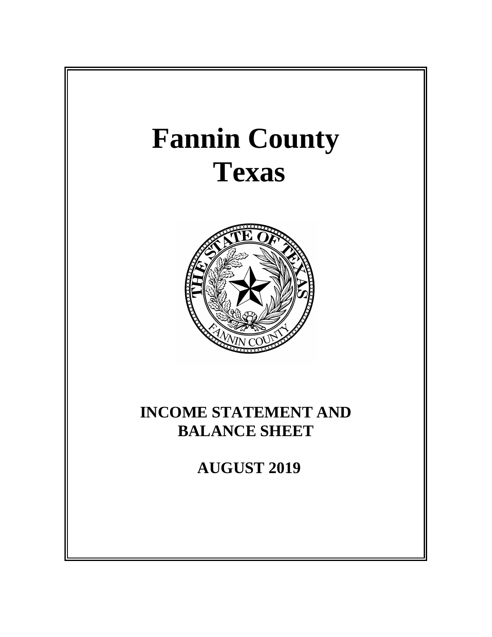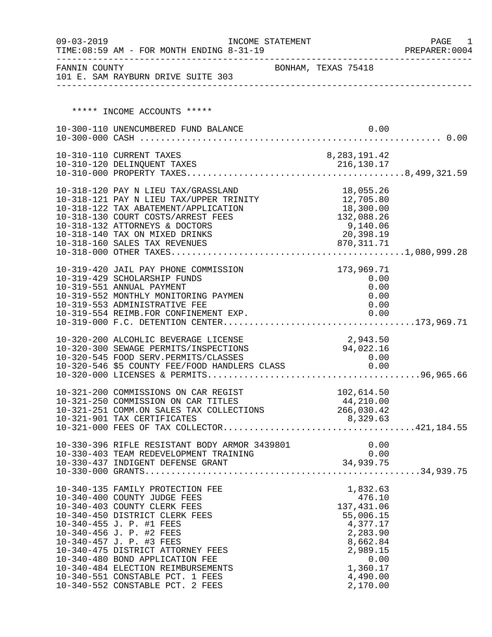| $09 - 03 - 2019$ | TIME: 08:59 AM - FOR MONTH ENDING 8-31-19                                                                                                                                                                                                                                                                                                                                                                    | INCOME STATEMENT |                                                                                                                                   | PAGE 1<br>PREPARER: 0004 |
|------------------|--------------------------------------------------------------------------------------------------------------------------------------------------------------------------------------------------------------------------------------------------------------------------------------------------------------------------------------------------------------------------------------------------------------|------------------|-----------------------------------------------------------------------------------------------------------------------------------|--------------------------|
|                  | FANNIN COUNTY<br>101 E. SAM RAYBURN DRIVE SUITE 303                                                                                                                                                                                                                                                                                                                                                          |                  | BONHAM, TEXAS 75418                                                                                                               |                          |
|                  | ***** INCOME ACCOUNTS *****                                                                                                                                                                                                                                                                                                                                                                                  |                  |                                                                                                                                   |                          |
|                  | 10-300-110 UNENCUMBERED FUND BALANCE                                                                                                                                                                                                                                                                                                                                                                         |                  |                                                                                                                                   | 0.00                     |
|                  | 10-310-110 CURRENT TAXES                                                                                                                                                                                                                                                                                                                                                                                     |                  | 8, 283, 191.42                                                                                                                    |                          |
|                  | 10-318-120 PAY N LIEU TAX/GRASSLAND<br>$10-318-120$ PAY N LIEU TAX/GRASSLAND $10-318-121$ PAY N LIEU TAX/UPPER TRINITY $12,705.80$<br>10-318-122 TAX ABATEMENT/APPLICATION<br>10-318-130 COURT COSTS/ARREST FEES<br>10-318-132 ATTORNEYS & DOCTORS<br>10-318-140 TAX ON MIXED DRINKS<br>10-318-140 TAX ON MIXED DRINKS<br>10-318-160 SALES TAX REVENUES                                                      |                  | 18,055.26<br>18,300.00<br>132,088.26<br>9,140.06<br>20,398.19<br>870, 311.71                                                      |                          |
|                  | 10-319-420 JAIL PAY PHONE COMMISSION<br>10-319-429 SCHOLARSHIP FUNDS<br>10-319-551 ANNUAL PAYMENT<br>10-319-552 MONTHLY MONITORING PAYMEN<br>10-319-553 ADMINISTRATIVE FEE<br>10-319-554 REIMB.FOR CONFINEMENT EXP.                                                                                                                                                                                          |                  | 173,969.71<br>0.00<br>0.00                                                                                                        | 0.00<br>0.00<br>0.00     |
|                  | 10-320-200 ALCOHLIC BEVERAGE LICENSE<br>10-320-300 SEWAGE PERMITS/INSPECTIONS<br>10-320-545 FOOD SERV.PERMITS/CLASSES 0.00<br>10-320-546 \$5 COUNTY FEE/FOOD HANDLERS CLASS 0.00                                                                                                                                                                                                                             |                  | 2,943.50<br>94,022.16                                                                                                             |                          |
|                  | 10-321-200 COMMISSIONS ON CAR REGIST<br>10-321-250 COMMISSION ON CAR TITLES<br>10-321-251 COMM.ON SALES TAX COLLECTIONS<br>10-321-901 TAX CERTIFICATES                                                                                                                                                                                                                                                       |                  | 102,614.50<br>44, 210.00<br>266,030.42<br>8,329.63                                                                                |                          |
|                  | 10-330-396 RIFLE RESISTANT BODY ARMOR 3439801<br>10-330-403 TEAM REDEVELOPMENT TRAINING                                                                                                                                                                                                                                                                                                                      |                  | 0.00<br>0.00<br>34,939.75                                                                                                         | 0.00                     |
|                  | 10-340-135 FAMILY PROTECTION FEE<br>10-340-400 COUNTY JUDGE FEES<br>10-340-403 COUNTY CLERK FEES<br>10-340-450 DISTRICT CLERK FEES<br>10-340-455 J. P. #1 FEES<br>10-340-456 J. P. #2 FEES<br>10-340-457 J. P. #3 FEES<br>10-340-475 DISTRICT ATTORNEY FEES<br>10-340-480 BOND APPLICATION FEE<br>10-340-484 ELECTION REIMBURSEMENTS<br>10-340-551 CONSTABLE PCT. 1 FEES<br>10-340-552 CONSTABLE PCT. 2 FEES |                  | 1,832.63<br>476.10<br>137,431.06<br>55,006.15<br>4,377.17<br>2,283.90<br>8,662.84<br>2,989.15<br>1,360.17<br>4,490.00<br>2,170.00 | 0.00                     |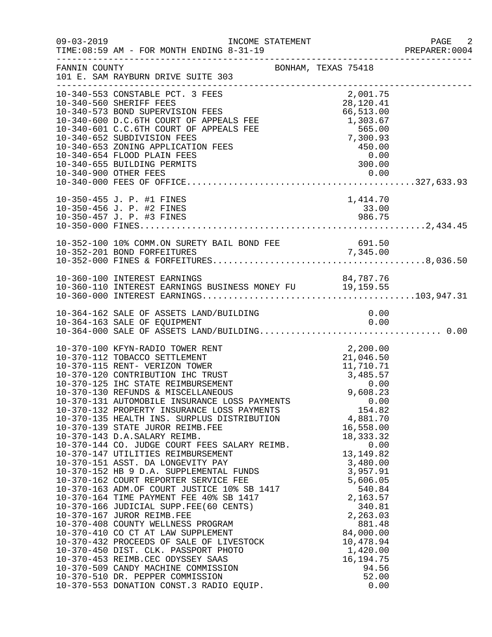| $09 - 03 - 2019$ | INCOME STATEMENT<br>TIME: 08:59 AM - FOR MONTH ENDING 8-31-19                                                                                                                                                                                                                                                                                                                                                                                                                                                                                                                                                                                                                                                                                                                                                                                                                                                                                                                                                                                                                                                                                                                                        |                                                                                                                                                                                                                                                                                                                        | PAGE 2<br>PREPARER:0004 |
|------------------|------------------------------------------------------------------------------------------------------------------------------------------------------------------------------------------------------------------------------------------------------------------------------------------------------------------------------------------------------------------------------------------------------------------------------------------------------------------------------------------------------------------------------------------------------------------------------------------------------------------------------------------------------------------------------------------------------------------------------------------------------------------------------------------------------------------------------------------------------------------------------------------------------------------------------------------------------------------------------------------------------------------------------------------------------------------------------------------------------------------------------------------------------------------------------------------------------|------------------------------------------------------------------------------------------------------------------------------------------------------------------------------------------------------------------------------------------------------------------------------------------------------------------------|-------------------------|
| FANNIN COUNTY    | 101 E. SAM RAYBURN DRIVE SUITE 303<br>-------------------------------                                                                                                                                                                                                                                                                                                                                                                                                                                                                                                                                                                                                                                                                                                                                                                                                                                                                                                                                                                                                                                                                                                                                | BONHAM, TEXAS 75418                                                                                                                                                                                                                                                                                                    |                         |
|                  | 10-340-553 CONSTABLE PCT. 3 FEES<br>10-340-553 CONSTABLE 1.1.<br>10-340-560 SHERIFF FEES<br>10-340-573 BOND SUPERVISION FEES<br>10-340-600 D.C.6TH COURT OF APPEALS FEE 1,303.67<br>10-340-601 C.C.6TH COURT OF APPEALS FEE 565.00<br>10-340-652 SUBDIVISION FEES 7,300.93<br>                                                                                                                                                                                                                                                                                                                                                                                                                                                                                                                                                                                                                                                                                                                                                                                                                                                                                                                       | 2,001.75                                                                                                                                                                                                                                                                                                               |                         |
|                  | 10-350-455 J. P. #1 FINES<br>10-350-456 J. P. #2 FINES                                                                                                                                                                                                                                                                                                                                                                                                                                                                                                                                                                                                                                                                                                                                                                                                                                                                                                                                                                                                                                                                                                                                               | 1,414.70<br>33.00                                                                                                                                                                                                                                                                                                      |                         |
|                  | 10-352-100 10% COMM.ON SURETY BAIL BOND FEE<br>10-352-201 BOND FORFEITURES                                                                                                                                                                                                                                                                                                                                                                                                                                                                                                                                                                                                                                                                                                                                                                                                                                                                                                                                                                                                                                                                                                                           | BAIL BOND FEE 691.50                                                                                                                                                                                                                                                                                                   |                         |
|                  | 10-360-100 INTEREST EARNINGS<br>10-360-110 INTEREST EARNINGS BUSINESS MONEY FU 19,159.55                                                                                                                                                                                                                                                                                                                                                                                                                                                                                                                                                                                                                                                                                                                                                                                                                                                                                                                                                                                                                                                                                                             |                                                                                                                                                                                                                                                                                                                        |                         |
|                  | 10-364-162 SALE OF ASSETS LAND/BUILDING<br>10-364-163 SALE OF EQUIPMENT                                                                                                                                                                                                                                                                                                                                                                                                                                                                                                                                                                                                                                                                                                                                                                                                                                                                                                                                                                                                                                                                                                                              | 0.00<br>0.00                                                                                                                                                                                                                                                                                                           |                         |
|                  | 10-370-100 KFYN-RADIO TOWER RENT<br>10-370-112 TOBACCO SETTLEMENT<br>10-370-115 RENT- VERIZON TOWER<br>10-370-120 CONTRIBUTION IHC TRUST<br>10-370-125 IHC STATE REIMBURSEMENT<br>10-370-130 REFUNDS & MISCELLANEOUS<br>10-370-131 AUTOMOBILE INSURANCE LOSS PAYMENTS<br>10-370-132 PROPERTY INSURANCE LOSS PAYMENTS<br>10-370-135 HEALTH INS. SURPLUS DISTRIBUTION<br>10-370-139 STATE JUROR REIMB.FEE<br>10-370-143 D.A.SALARY REIMB.<br>10-370-144 CO. JUDGE COURT FEES SALARY REIMB.<br>10-370-147 UTILITIES REIMBURSEMENT<br>10-370-151 ASST. DA LONGEVITY PAY<br>10-370-152 HB 9 D.A. SUPPLEMENTAL FUNDS<br>10-370-162 COURT REPORTER SERVICE FEE<br>10-370-163 ADM.OF COURT JUSTICE 10% SB 1417<br>10-370-164 TIME DAYMENT TUSTICE 10% SB 1417<br>10-370-164 TIME PAYMENT FEE 40% SB 1417<br>10-370-166 JUDICIAL SUPP.FEE(60 CENTS)<br>10-370-167 JUROR REIMB.FEE<br>10-370-408 COUNTY WELLNESS PROGRAM<br>10-370-410 CO CT AT LAW SUPPLEMENT<br>10-370-432 PROCEEDS OF SALE OF LIVESTOCK<br>10-370-450 DIST. CLK. PASSPORT PHOTO<br>10-370-453 REIMB.CEC ODYSSEY SAAS<br>10-370-509 CANDY MACHINE COMMISSION<br>10-370-510 DR. PEPPER COMMISSION<br>10-370-553 DONATION CONST.3 RADIO EQUIP. | 2,200.00<br>11,710<br>3,485.57<br>3,485.57<br>0.00<br>9,608.23<br>0.00<br>154.8<br>4,881.70<br>16,558.00<br>18, 333. 32<br>0.00<br>13, 149.82<br>3,480.00<br>3,957.91<br>5,606.05<br>540.84<br>2,163.57<br>340.81<br>2,263.03<br>881.48<br>84,000.00<br>10,478.94<br>1,420.00<br>16, 194. 75<br>94.56<br>52.00<br>0.00 |                         |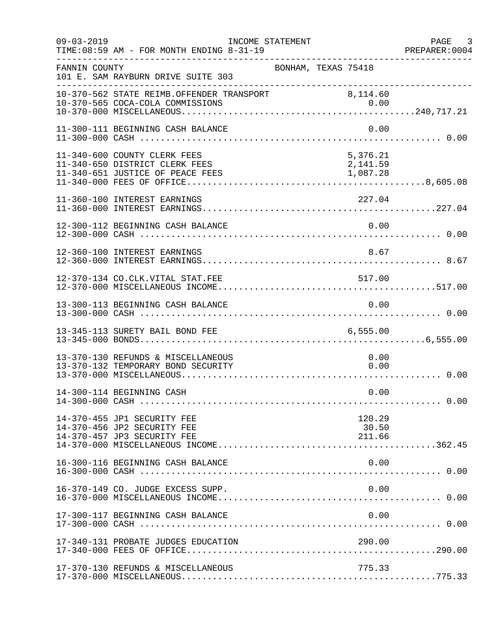| $09 - 03 - 2019$ | INCOME STATEMENT<br>TIME: 08:59 AM - FOR MONTH ENDING 8-31-19                                      |                                  | PAGE 3<br>PREPARER: 0004 |
|------------------|----------------------------------------------------------------------------------------------------|----------------------------------|--------------------------|
| FANNIN COUNTY    | 101 E. SAM RAYBURN DRIVE SUITE 303                                                                 | BONHAM, TEXAS 75418              |                          |
|                  | 10-370-562 STATE REIMB.OFFENDER TRANSPORT 8,114.60                                                 |                                  |                          |
|                  | 11-300-111 BEGINNING CASH BALANCE                                                                  |                                  | 0.00                     |
|                  | 11-340-600 COUNTY CLERK FEES<br>11-340-650 DISTRICT CLERK FEES<br>11-340-651 JUSTICE OF PEACE FEES | 5,376.21<br>2,141.59<br>1,087.28 |                          |
|                  | 11-360-100 INTEREST EARNINGS                                                                       | 227.04                           |                          |
|                  | 12-300-112 BEGINNING CASH BALANCE                                                                  | 0.00                             |                          |
|                  | 12-360-100 INTEREST EARNINGS                                                                       |                                  | 8.67                     |
|                  | 12-370-134 CO.CLK.VITAL STAT.FEE                                                                   | 517.00                           |                          |
|                  | 13-300-113 BEGINNING CASH BALANCE                                                                  |                                  | 0.00                     |
|                  | 13-345-113 SURETY BAIL BOND FEE                                                                    | 6,555.00                         |                          |
|                  | 13-370-130 REFUNDS & MISCELLANEOUS<br>13-370-132 TEMPORARY BOND SECURITY                           |                                  | 0.00<br>0.00             |
|                  | 14-300-114 BEGINNING CASH                                                                          |                                  | 0.00                     |
|                  | 14-370-455 JP1 SECURITY FEE<br>14-370-456 JP2 SECURITY FEE<br>14-370-457 JP3 SECURITY FEE          | 120.29<br>30.50<br>211.66        |                          |
|                  | 16-300-116 BEGINNING CASH BALANCE                                                                  |                                  | 0.00                     |
|                  | 16-370-149 CO. JUDGE EXCESS SUPP.                                                                  |                                  | 0.00                     |
|                  | 17-300-117 BEGINNING CASH BALANCE                                                                  |                                  | 0.00                     |
|                  | 17-340-131 PROBATE JUDGES EDUCATION                                                                | 290.00                           |                          |
|                  | 17-370-130 REFUNDS & MISCELLANEOUS                                                                 | 775.33                           |                          |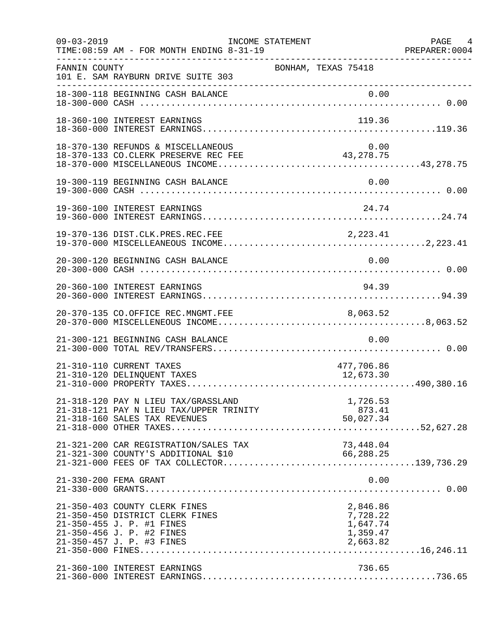| $09 - 03 - 2019$ | TIME: 08:59 AM - FOR MONTH ENDING 8-31-19                                                                                                               | INCOME STATEMENT                                         | PAGE 4 |
|------------------|---------------------------------------------------------------------------------------------------------------------------------------------------------|----------------------------------------------------------|--------|
| FANNIN COUNTY    | 101 E. SAM RAYBURN DRIVE SUITE 303                                                                                                                      | BONHAM, TEXAS 75418                                      |        |
|                  | ----------------------------------<br>18-300-118 BEGINNING CASH BALANCE                                                                                 | 0.00                                                     |        |
|                  | 18-360-100 INTEREST EARNINGS                                                                                                                            | 119.36                                                   |        |
|                  | 18-370-130 REFUNDS & MISCELLANEOUS<br>18-370-133 CO.CLERK PRESERVE REC FEE                                                                              | 0.00<br>43, 278. 75                                      |        |
|                  | 19-300-119 BEGINNING CASH BALANCE                                                                                                                       | 0.00                                                     |        |
|                  | 19-360-100 INTEREST EARNINGS                                                                                                                            | 24.74                                                    |        |
|                  |                                                                                                                                                         |                                                          |        |
|                  | 20-300-120 BEGINNING CASH BALANCE                                                                                                                       | 0.00                                                     |        |
|                  | 20-360-100 INTEREST EARNINGS                                                                                                                            | 94.39                                                    |        |
|                  | 20-370-135 CO.OFFICE REC.MNGMT.FEE                                                                                                                      | 8,063.52                                                 |        |
|                  | 21-300-121 BEGINNING CASH BALANCE                                                                                                                       | 0.00                                                     |        |
|                  | 21-310-110 CURRENT TAXES<br>21-310-120 DELINQUENT TAXES                                                                                                 | 477,706.86<br>12,673.30                                  |        |
|                  | 21-318-120 PAY N LIEU TAX/GRASSLAND<br>21-318-121 PAY N LIEU TAX/UPPER TRINITY<br>21-318-160 SALES TAX REVENUES                                         | 1,726.53<br>873.41<br>50,027.34                          |        |
|                  | 21-321-200 CAR REGISTRATION/SALES TAX<br>21-321-300 COUNTY'S ADDITIONAL \$10                                                                            | 73,448.04<br>66,288.25                                   |        |
|                  | 21-330-200 FEMA GRANT                                                                                                                                   | 0.00                                                     |        |
|                  | 21-350-403 COUNTY CLERK FINES<br>21-350-450 DISTRICT CLERK FINES<br>21-350-455 J. P. #1 FINES<br>21-350-456 J. P. #2 FINES<br>21-350-457 J. P. #3 FINES | 2,846.86<br>7,728.22<br>1,647.74<br>1,359.47<br>2,663.82 |        |
|                  | 21-360-100 INTEREST EARNINGS                                                                                                                            | 736.65                                                   |        |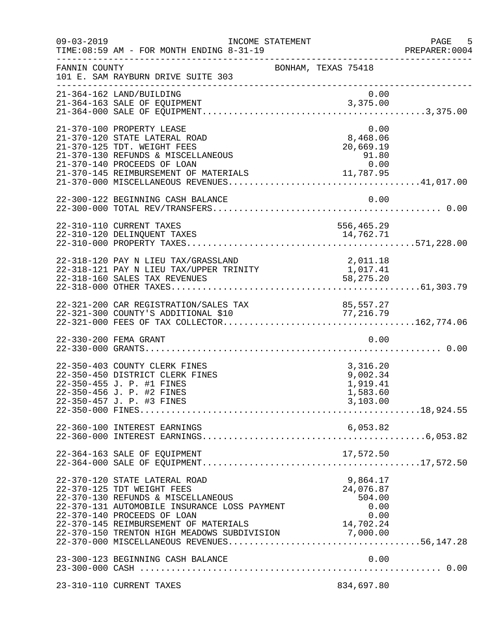| $09 - 03 - 2019$ | INCOME STATEMENT<br>TIME: 08:59 AM - FOR MONTH ENDING 8-31-19                                                                                                                                                                                                                               |                                                                    | PAGE 5<br>PREPARER:0004 |
|------------------|---------------------------------------------------------------------------------------------------------------------------------------------------------------------------------------------------------------------------------------------------------------------------------------------|--------------------------------------------------------------------|-------------------------|
| FANNIN COUNTY    | 101 E. SAM RAYBURN DRIVE SUITE 303                                                                                                                                                                                                                                                          | BONHAM, TEXAS 75418                                                |                         |
|                  | 21-364-162 LAND/BUILDING                                                                                                                                                                                                                                                                    | 0.00                                                               |                         |
|                  | 21-370-100 PROPERTY LEASE<br>21-370-120 STATE LATERAL ROAD<br>21-370-125 TDT. WEIGHT FEES<br>21-370-130 REFUNDS & MISCELLANEOUS<br>21-370-140 PROCEEDS OF LOAN<br>21-370-145 REIMBURSEMENT OF MATERIALS                                                                                     | 0.00<br>8,468.06<br>$20,669.15$<br>91.80<br>0.00<br>11,787.95      |                         |
|                  |                                                                                                                                                                                                                                                                                             |                                                                    |                         |
|                  | 22-310-110 CURRENT TAXES<br>22-310-120 DELINQUENT TAXES                                                                                                                                                                                                                                     | 556,465.29<br>14,762.71                                            |                         |
|                  | 22-318-120 PAY N LIEU TAX/GRASSLAND<br>22-318-121 PAY N LIEU TAX/UPPER TRINITY                                                                                                                                                                                                              | 2,011.18<br>1,017.41<br>58, 275. 20                                |                         |
|                  | 22-321-200 CAR REGISTRATION/SALES TAX<br>22-321-300 COUNTY'S ADDITIONAL \$10                                                                                                                                                                                                                | 85,557.27<br>77, 216.79                                            |                         |
|                  | 22-330-200 FEMA GRANT                                                                                                                                                                                                                                                                       | 0.00                                                               |                         |
|                  | 22-350-403 COUNTY CLERK FINES<br>22-350-450 DISTRICT CLERK FINES<br>22-350-455 J. P. #1 FINES<br>22-350-456 J. P. #2 FINES<br>22-350-457 J. P. #3 FINES                                                                                                                                     | 3,316.20<br>9,002.34<br>1,919.41<br>1,583.60<br>3,103.00           |                         |
|                  | 22-360-100 INTEREST EARNINGS                                                                                                                                                                                                                                                                | 6,053.82                                                           |                         |
|                  | 22-364-163 SALE OF EQUIPMENT                                                                                                                                                                                                                                                                | 17,572.50                                                          |                         |
|                  | 22-370-120 STATE LATERAL ROAD<br>22-370-125 TDT WEIGHT FEES<br>22-370-130 REFUNDS & MISCELLANEOUS<br>22-370-131 AUTOMOBILE INSURANCE LOSS PAYMENT<br>22-370-140 PROCEEDS OF LOAN<br>22-370-145 REIMBURSEMENT OF MATERIALS 14,702.24<br>22-370-150 TRENTON HIGH MEADOWS SUBDIVISION 7,000.00 | 9,864.17<br>24,076.87<br>504.00<br>0.00<br>$14,702.24$<br>7.000.00 |                         |
|                  | 23-300-123 BEGINNING CASH BALANCE                                                                                                                                                                                                                                                           | 0.00                                                               |                         |
|                  | 23-310-110 CURRENT TAXES                                                                                                                                                                                                                                                                    | 834,697.80                                                         |                         |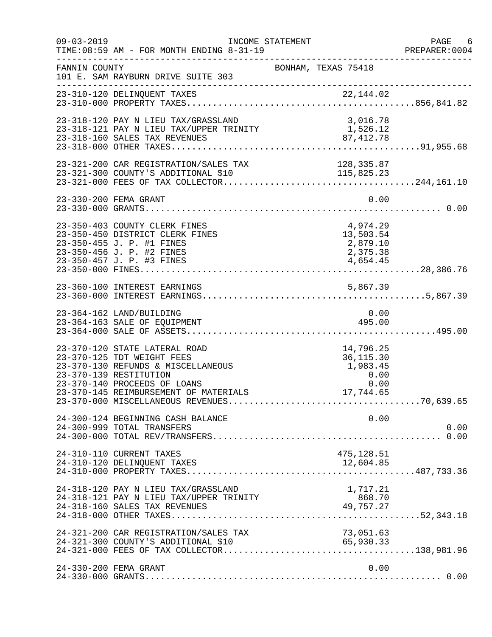| $09 - 03 - 2019$ | TIME: 08:59 AM - FOR MONTH ENDING 8-31-19                                                                                                                                                            | INCOME STATEMENT                                                   | PAGE 6<br>PREPARER: 0004 |
|------------------|------------------------------------------------------------------------------------------------------------------------------------------------------------------------------------------------------|--------------------------------------------------------------------|--------------------------|
| FANNIN COUNTY    | 101 E. SAM RAYBURN DRIVE SUITE 303                                                                                                                                                                   | BONHAM, TEXAS 75418                                                |                          |
|                  |                                                                                                                                                                                                      |                                                                    |                          |
|                  | 23-318-120 PAY N LIEU TAX/GRASSLAND                                                                                                                                                                  | 3,016.78<br>1,526.12                                               |                          |
|                  |                                                                                                                                                                                                      |                                                                    |                          |
|                  | 23-330-200 FEMA GRANT                                                                                                                                                                                | 0.00                                                               |                          |
|                  | 23-350-403 COUNTY CLERK FINES<br>23-350-450 DISTRICT CLERK FINES<br>23-350-455 J. P. #1 FINES<br>23-350-456 J. P. #2 FINES<br>23-350-457 J. P. #3 FINES                                              | 4,974.29<br>13,503.54<br>2,879.10<br>2,375.38<br>4,654.45          |                          |
|                  |                                                                                                                                                                                                      |                                                                    |                          |
|                  | 23-364-162 LAND/BUILDING<br>23-364-163 SALE OF EQUIPMENT                                                                                                                                             | 0.00<br>495.00                                                     |                          |
|                  | 23-370-120 STATE LATERAL ROAD<br>23-370-125 TDT WEIGHT FEES<br>23-370-130 REFUNDS & MISCELLANEOUS<br>23-370-139 RESTITUTION<br>23-370-140 PROCEEDS OF LOANS<br>23-370-145 REIMBURSEMENT OF MATERIALS | 14,796.25<br>36, 115.30<br>1,983.45<br>$0.00$ $0.00$ $17.744$ $65$ |                          |
|                  | 24-300-124 BEGINNING CASH BALANCE<br>24-300-999 TOTAL TRANSFERS                                                                                                                                      | 0.00                                                               | 0.00                     |
|                  | 24-310-110 CURRENT TAXES<br>24-310-120 DELINQUENT TAXES                                                                                                                                              | 475,128.51<br>12,604.85                                            |                          |
|                  | 24-318-120 PAY N LIEU TAX/GRASSLAND<br>24-318-121 PAY N LIEU TAX/UPPER TRINITY<br>24-318-160 SALES TAX REVENUES                                                                                      | 1,717.21<br>868.70<br>49,757.27                                    |                          |
|                  | 24-321-200 CAR REGISTRATION/SALES TAX                                                                                                                                                                | 73,051.63<br>65,930.33                                             |                          |
|                  | 24-330-200 FEMA GRANT                                                                                                                                                                                | 0.00                                                               |                          |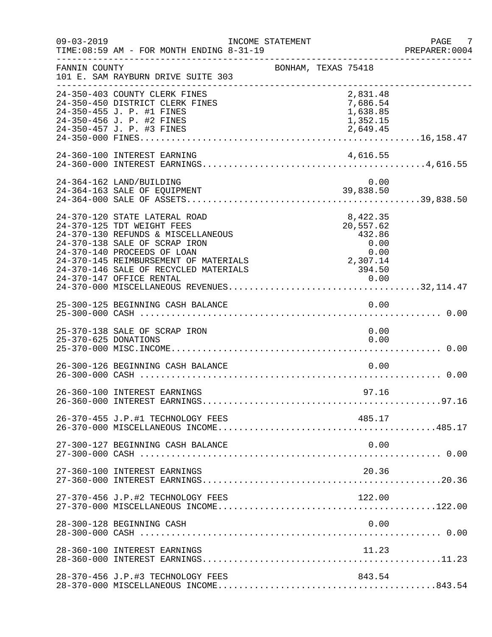| $09 - 03 - 2019$     | TIME: 08:59 AM - FOR MONTH ENDING 8-31-19                                                                                                                                                                                                                                       | INCOME STATEMENT    |  |                                                                               | PAGE 7<br>PREPARER:0004 |
|----------------------|---------------------------------------------------------------------------------------------------------------------------------------------------------------------------------------------------------------------------------------------------------------------------------|---------------------|--|-------------------------------------------------------------------------------|-------------------------|
| FANNIN COUNTY        | 101 E. SAM RAYBURN DRIVE SUITE 303                                                                                                                                                                                                                                              | BONHAM, TEXAS 75418 |  |                                                                               |                         |
|                      | 24-350-403 COUNTY CLERK FINES<br>24-350-450 DISTRICT CLERK FINES<br>24-350-455 J. P. #1 FINES<br>24-350-456 J. P. #2 FINES<br>24-350-457 J. P. #3 FINES                                                                                                                         |                     |  | 2,831.48<br>7,686.54<br>1,638.85<br>1,352.15<br>2,649.45                      |                         |
|                      | 24-360-100 INTEREST EARNING                                                                                                                                                                                                                                                     |                     |  | 4,616.55                                                                      |                         |
|                      | 24-364-162 LAND/BUILDING<br>24-364-163 SALE OF EQUIPMENT                                                                                                                                                                                                                        |                     |  | 0.00<br>39,838.50                                                             |                         |
|                      | 24-370-120 STATE LATERAL ROAD<br>24-370-125 TDT WEIGHT FEES<br>24-370-130 REFUNDS & MISCELLANEOUS<br>24-370-138 SALE OF SCRAP IRON<br>24-370-140 PROCEEDS OF LOAN<br>24-370-145 REIMBURSEMENT OF MATERIALS<br>24-370-146 SALE OF RECYCLED MATERIALS<br>24-370-147 OFFICE RENTAL |                     |  | 8,422.35<br>20,557.62<br>432.86<br>0.00<br>0.00<br>2,307.14<br>394.50<br>0.00 |                         |
|                      | 25-300-125 BEGINNING CASH BALANCE                                                                                                                                                                                                                                               |                     |  | 0.00                                                                          |                         |
| 25-370-625 DONATIONS | 25-370-138 SALE OF SCRAP IRON                                                                                                                                                                                                                                                   |                     |  | 0.00<br>0.00                                                                  |                         |
|                      | 26-300-126 BEGINNING CASH BALANCE                                                                                                                                                                                                                                               |                     |  | 0.00                                                                          |                         |
|                      | 26-360-100 INTEREST EARNINGS                                                                                                                                                                                                                                                    |                     |  | 97.16                                                                         |                         |
|                      | 26-370-455 J.P.#1 TECHNOLOGY FEES                                                                                                                                                                                                                                               |                     |  | 485.17                                                                        |                         |
|                      | 27-300-127 BEGINNING CASH BALANCE                                                                                                                                                                                                                                               |                     |  | 0.00                                                                          |                         |
|                      | 27-360-100 INTEREST EARNINGS                                                                                                                                                                                                                                                    |                     |  | 20.36                                                                         |                         |
|                      | 27-370-456 J.P.#2 TECHNOLOGY FEES                                                                                                                                                                                                                                               |                     |  | 122.00                                                                        |                         |
|                      | 28-300-128 BEGINNING CASH                                                                                                                                                                                                                                                       |                     |  | 0.00                                                                          |                         |
|                      | 28-360-100 INTEREST EARNINGS                                                                                                                                                                                                                                                    |                     |  | 11.23                                                                         |                         |
|                      | 28-370-456 J.P.#3 TECHNOLOGY FEES                                                                                                                                                                                                                                               |                     |  | 843.54                                                                        |                         |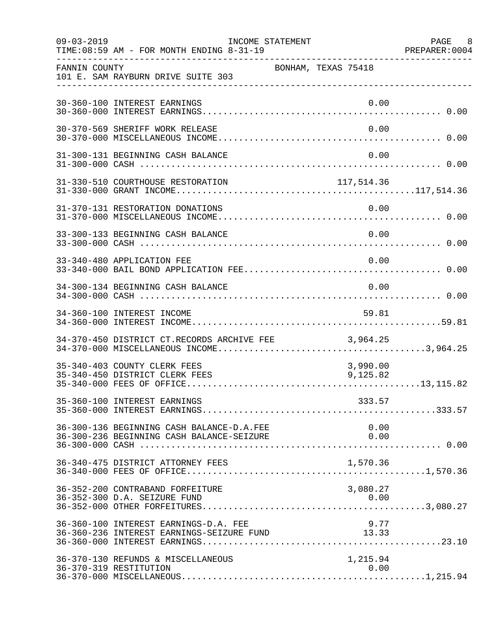| $09 - 03 - 2019$ | TIME: 08:59 AM - FOR MONTH ENDING 8-31-19                                          | INCOME STATEMENT     | PAGE 8<br>PREPARER: 0004 |
|------------------|------------------------------------------------------------------------------------|----------------------|--------------------------|
| FANNIN COUNTY    | 101 E. SAM RAYBURN DRIVE SUITE 303                                                 | BONHAM, TEXAS 75418  |                          |
|                  | 30-360-100 INTEREST EARNINGS                                                       | 0.00                 |                          |
|                  | 30-370-569 SHERIFF WORK RELEASE                                                    | 0.00                 |                          |
|                  | 31-300-131 BEGINNING CASH BALANCE                                                  | 0.00                 |                          |
|                  |                                                                                    |                      |                          |
|                  | 31-370-131 RESTORATION DONATIONS                                                   | 0.00                 |                          |
|                  | 33-300-133 BEGINNING CASH BALANCE                                                  | 0.00                 |                          |
|                  | 33-340-480 APPLICATION FEE                                                         | 0.00                 |                          |
|                  | 34-300-134 BEGINNING CASH BALANCE                                                  | 0.00                 |                          |
|                  | 34-360-100 INTEREST INCOME                                                         | 59.81                |                          |
|                  | 34-370-450 DISTRICT CT.RECORDS ARCHIVE FEE 3,964.25                                |                      |                          |
|                  | 35-340-403 COUNTY CLERK FEES<br>35-340-450 DISTRICT CLERK FEES                     | 3,990.00<br>9,125.82 |                          |
|                  | 35-360-100 INTEREST EARNINGS                                                       | 333.57               |                          |
|                  | 36-300-136 BEGINNING CASH BALANCE-D.A.FEE                                          | 0.00                 |                          |
|                  | 36-340-475 DISTRICT ATTORNEY FEES                                                  | 1,570.36             |                          |
|                  | 36-352-200 CONTRABAND FORFEITURE<br>36-352-300 D.A. SEIZURE FUND                   | 3,080.27<br>0.00     |                          |
|                  | 36-360-100 INTEREST EARNINGS-D.A. FEE<br>36-360-236 INTEREST EARNINGS-SEIZURE FUND | 9.77<br>13.33        |                          |
|                  | 36-370-130 REFUNDS & MISCELLANEOUS<br>36-370-319 RESTITUTION                       | 1,215.94<br>0.00     |                          |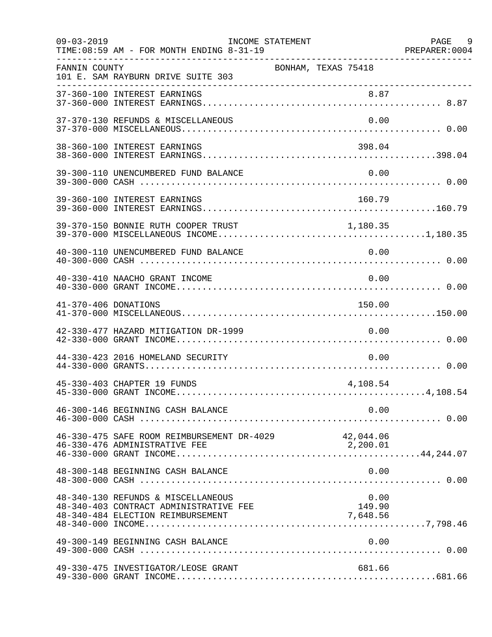| $09 - 03 - 2019$     | INCOME STATEMENT<br>TIME: 08:59 AM - FOR MONTH ENDING 8-31-19<br>------------------------------------             |                            | PAGE 9 |
|----------------------|-------------------------------------------------------------------------------------------------------------------|----------------------------|--------|
| FANNIN COUNTY        | 101 E. SAM RAYBURN DRIVE SUITE 303                                                                                | BONHAM, TEXAS 75418        |        |
|                      |                                                                                                                   |                            |        |
|                      | 37-370-130 REFUNDS & MISCELLANEOUS                                                                                | 0.00                       |        |
|                      | 38-360-100 INTEREST EARNINGS                                                                                      | 398.04                     |        |
|                      | 39-300-110 UNENCUMBERED FUND BALANCE                                                                              | 0.00                       |        |
|                      | 39-360-100 INTEREST EARNINGS                                                                                      | 160.79                     |        |
|                      | 39-370-150 BONNIE RUTH COOPER TRUST                                                                               | 1,180.35                   |        |
|                      | 40-300-110 UNENCUMBERED FUND BALANCE                                                                              | 0.00                       |        |
|                      | 40-330-410 NAACHO GRANT INCOME                                                                                    | 0.00                       |        |
| 41-370-406 DONATIONS |                                                                                                                   | 150.00                     |        |
|                      | 42-330-477 HAZARD MITIGATION DR-1999                                                                              | 0.00                       |        |
|                      | 44-330-423 2016 HOMELAND SECURITY                                                                                 | 0.00                       |        |
|                      | 45-330-403 CHAPTER 19 FUNDS                                                                                       | 4,108.54                   |        |
|                      |                                                                                                                   |                            |        |
|                      | 46-330-475 SAFE ROOM REIMBURSEMENT DR-4029 42,044.06                                                              |                            |        |
|                      | 48-300-148 BEGINNING CASH BALANCE                                                                                 | 0.00                       |        |
|                      | 48-340-130 REFUNDS & MISCELLANEOUS<br>48-340-403 CONTRACT ADMINISTRATIVE FEE<br>48-340-484 ELECTION REIMBURSEMENT | 0.00<br>149.90<br>7,648.56 |        |
|                      | 49-300-149 BEGINNING CASH BALANCE                                                                                 | 0.00                       |        |
|                      | 49-330-475 INVESTIGATOR/LEOSE GRANT                                                                               | 681.66                     |        |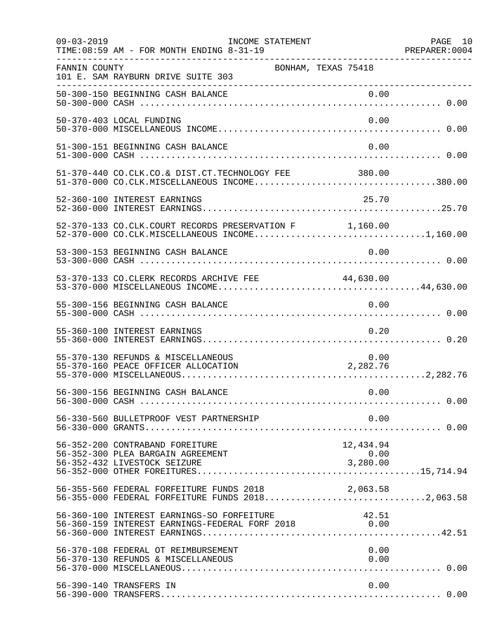| $09 - 03 - 2019$ | INCOME STATEMENT<br>TIME: 08:59 AM - FOR MONTH ENDING 8-31-19                                        |                               | PAGE 10 |
|------------------|------------------------------------------------------------------------------------------------------|-------------------------------|---------|
| FANNIN COUNTY    | 101 E. SAM RAYBURN DRIVE SUITE 303                                                                   | BONHAM, TEXAS 75418           |         |
|                  |                                                                                                      |                               |         |
|                  | 50-370-403 LOCAL FUNDING                                                                             | 0.00                          |         |
|                  | 51-300-151 BEGINNING CASH BALANCE                                                                    | 0.00                          |         |
|                  | 51-370-440 CO.CLK.CO.& DIST.CT.TECHNOLOGY FEE 380.00                                                 |                               |         |
|                  | 52-360-100 INTEREST EARNINGS                                                                         | 25.70                         |         |
|                  | 52-370-133 CO.CLK.COURT RECORDS PRESERVATION F 1,160.00                                              |                               |         |
|                  | 53-300-153 BEGINNING CASH BALANCE                                                                    | 0.00                          |         |
|                  | 53-370-133 CO.CLERK RECORDS ARCHIVE FEE 44,630.00                                                    |                               |         |
|                  | 55-300-156 BEGINNING CASH BALANCE                                                                    | 0.00                          |         |
|                  | 55-360-100 INTEREST EARNINGS                                                                         | 0.20                          |         |
|                  | 55-370-130 REFUNDS & MISCELLANEOUS<br>55-370-160 PEACE OFFICER ALLOCATION                            | 0.00<br>2,282.76              |         |
|                  | 56-300-156 BEGINNING CASH BALANCE                                                                    | 0.00                          |         |
|                  | 56-330-560 BULLETPROOF VEST PARTNERSHIP                                                              | 0.00                          |         |
|                  | 56-352-200 CONTRABAND FOREITURE<br>56-352-300 PLEA BARGAIN AGREEMENT<br>56-352-432 LIVESTOCK SEIZURE | 12,434.94<br>0.00<br>3,280.00 |         |
|                  | 56-355-560 FEDERAL FORFEITURE FUNDS 2018<br>56-355-000 FEDERAL FORFEITURE FUNDS 20182,063.58         | 2,063.58                      |         |
|                  | 56-360-100 INTEREST EARNINGS-SO FORFEITURE<br>56-360-159 INTEREST EARNINGS-FEDERAL FORF 2018 0.00    | 42.51                         |         |
|                  | 56-370-108 FEDERAL OT REIMBURSEMENT<br>56-370-130 REFUNDS & MISCELLANEOUS                            | 0.00<br>0.00                  |         |
|                  | 56-390-140 TRANSFERS IN                                                                              | 0.00                          |         |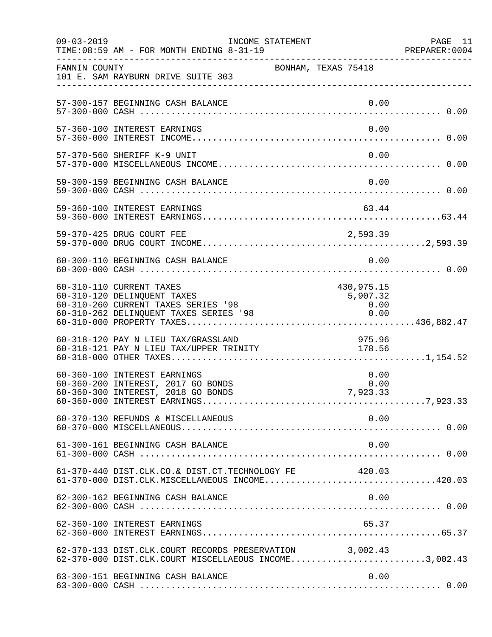| $09 - 03 - 2019$ | INCOME STATEMENT<br>TIME: 08:59 AM - FOR MONTH ENDING 8-31-19                                                                            |                                        | PAGE 11<br>PREPARER:0004 |
|------------------|------------------------------------------------------------------------------------------------------------------------------------------|----------------------------------------|--------------------------|
| FANNIN COUNTY    | 101 E. SAM RAYBURN DRIVE SUITE 303                                                                                                       | BONHAM, TEXAS 75418                    |                          |
|                  | 57-300-157 BEGINNING CASH BALANCE                                                                                                        | 0.00                                   |                          |
|                  | 57-360-100 INTEREST EARNINGS                                                                                                             | 0.00                                   |                          |
|                  | 57-370-560 SHERIFF K-9 UNIT                                                                                                              | 0.00                                   |                          |
|                  | 59-300-159 BEGINNING CASH BALANCE                                                                                                        | 0.00                                   |                          |
|                  | 59-360-100 INTEREST EARNINGS                                                                                                             | 63.44                                  |                          |
|                  |                                                                                                                                          |                                        |                          |
|                  | 60-300-110 BEGINNING CASH BALANCE                                                                                                        | 0.00                                   |                          |
|                  | 60-310-110 CURRENT TAXES<br>60-310-120 DELINQUENT TAXES<br>60-310-260 CURRENT TAXES SERIES '98<br>60-310-262 DELINQUENT TAXES SERIES '98 | 430,975.15<br>5,907.32<br>0.00<br>0.00 |                          |
|                  | 60-318-120 PAY N LIEU TAX/GRASSLAND<br>00-316-120 PAI N LIEU IAA/GRASSLAND<br>60-318-121 PAY N LIEU TAX/UPPER TRINITY                    | 975.96<br>178.56                       |                          |
|                  | 60-360-100 INTEREST EARNINGS<br>60-360-200 INTEREST, 2017 GO BONDS<br>60-360-300 INTEREST, 2018 GO BONDS                                 | 0.00<br>0.00<br>7,923.33               |                          |
|                  | 60-370-130 REFUNDS & MISCELLANEOUS                                                                                                       | 0.00                                   |                          |
|                  | 61-300-161 BEGINNING CASH BALANCE                                                                                                        | 0.00                                   |                          |
|                  | 61-370-440 DIST.CLK.CO.& DIST.CT.TECHNOLOGY FE<br>61-370-000 DIST.CLK.MISCELLANEOUS INCOME420.03                                         | 420.03                                 |                          |
|                  | 62-300-162 BEGINNING CASH BALANCE                                                                                                        | 0.00                                   |                          |
|                  | 62-360-100 INTEREST EARNINGS                                                                                                             | 65.37                                  |                          |
|                  | 62-370-133 DIST.CLK.COURT RECORDS PRESERVATION 3,002.43<br>62-370-000 DIST.CLK.COURT MISCELLAEOUS INCOME3,002.43                         |                                        |                          |
|                  | 63-300-151 BEGINNING CASH BALANCE                                                                                                        | 0.00                                   |                          |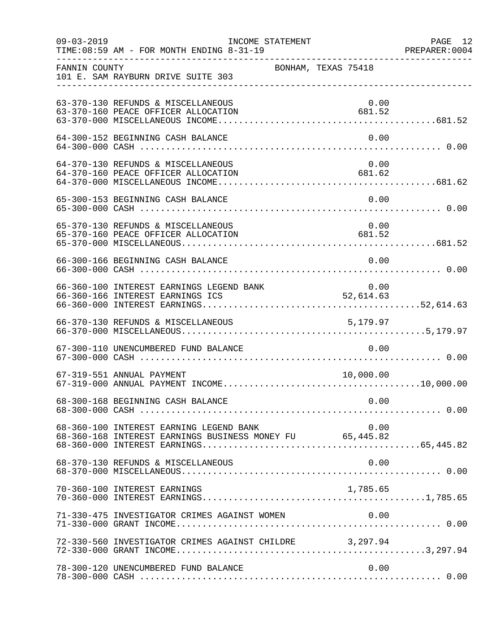| $09 - 03 - 2019$ | TIME: 08:59 AM - FOR MONTH ENDING 8-31-19                                                           | INCOME STATEMENT                          |        |                | PAGE 12 |
|------------------|-----------------------------------------------------------------------------------------------------|-------------------------------------------|--------|----------------|---------|
| FANNIN COUNTY    | 101 E. SAM RAYBURN DRIVE SUITE 303                                                                  | BONHAM, TEXAS 75418                       |        |                |         |
|                  | 63-370-130 REFUNDS & MISCELLANEOUS<br>63-370-160 PEACE OFFICER ALLOCATION                           |                                           | 681.52 | 0.00           |         |
|                  | 64-300-152 BEGINNING CASH BALANCE                                                                   |                                           |        | 0.00           |         |
|                  | 64-370-130 REFUNDS & MISCELLANEOUS<br>64-370-160 PEACE OFFICER ALLOCATION                           |                                           |        | 0.00<br>681.62 |         |
|                  | 65-300-153 BEGINNING CASH BALANCE                                                                   |                                           |        | 0.00           |         |
|                  | 65-370-130 REFUNDS & MISCELLANEOUS<br>65-370-160 PEACE OFFICER ALLOCATION                           | $\begin{array}{c}0.00\\681.52\end{array}$ |        | 0.00           |         |
|                  | 66-300-166 BEGINNING CASH BALANCE                                                                   |                                           |        | 0.00           |         |
|                  |                                                                                                     |                                           |        |                |         |
|                  | 66-370-130 REFUNDS & MISCELLANEOUS                                                                  |                                           |        |                |         |
|                  | 67-300-110 UNENCUMBERED FUND BALANCE                                                                |                                           |        | 0.00           |         |
|                  | 67-319-551 ANNUAL PAYMENT                                                                           |                                           |        | 10,000.00      |         |
|                  | 68-300-168 BEGINNING CASH BALANCE                                                                   |                                           |        | 0.00           |         |
|                  | 68-360-100 INTEREST EARNING LEGEND BANK<br>68-360-168 INTEREST EARNINGS BUSINESS MONEY FU 65,445.82 |                                           |        | 0.00           |         |
|                  | 68-370-130 REFUNDS & MISCELLANEOUS                                                                  |                                           |        | 0.00           |         |
|                  | 70-360-100 INTEREST EARNINGS                                                                        |                                           |        | 1,785.65       |         |
|                  | 71-330-475 INVESTIGATOR CRIMES AGAINST WOMEN                                                        |                                           |        | 0.00           |         |
|                  | 72-330-560 INVESTIGATOR CRIMES AGAINST CHILDRE 3,297.94                                             |                                           |        |                |         |
|                  | 78-300-120 UNENCUMBERED FUND BALANCE                                                                |                                           |        | 0.00           |         |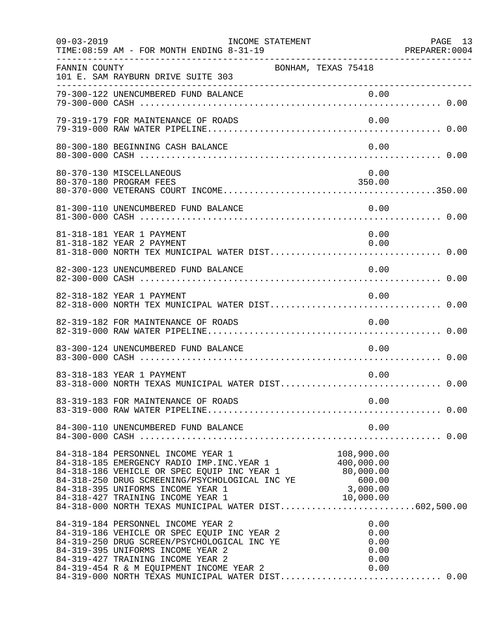| $09 - 03 - 2019$ | INCOME STATEMENT<br>TIME: 08:59 AM - FOR MONTH ENDING 8-31-19                                                                                                                                                                                                                                                                                                                                   |                                      | PAGE 13 |
|------------------|-------------------------------------------------------------------------------------------------------------------------------------------------------------------------------------------------------------------------------------------------------------------------------------------------------------------------------------------------------------------------------------------------|--------------------------------------|---------|
| FANNIN COUNTY    | 101 E. SAM RAYBURN DRIVE SUITE 303                                                                                                                                                                                                                                                                                                                                                              | BONHAM, TEXAS 75418                  |         |
|                  |                                                                                                                                                                                                                                                                                                                                                                                                 |                                      |         |
|                  | 79-319-179 FOR MAINTENANCE OF ROADS                                                                                                                                                                                                                                                                                                                                                             | 0.00                                 |         |
|                  | 80-300-180 BEGINNING CASH BALANCE                                                                                                                                                                                                                                                                                                                                                               | 0.00                                 |         |
|                  | 80-370-130 MISCELLANEOUS<br>80-370-180 PROGRAM FEES                                                                                                                                                                                                                                                                                                                                             | 0.00<br>350.00                       |         |
|                  | 81-300-110 UNENCUMBERED FUND BALANCE                                                                                                                                                                                                                                                                                                                                                            | 0.00                                 |         |
|                  | 81-318-181 YEAR 1 PAYMENT<br>81-318-182 YEAR 2 PAYMENT                                                                                                                                                                                                                                                                                                                                          | 0.00<br>0.00                         |         |
|                  | 82-300-123 UNENCUMBERED FUND BALANCE                                                                                                                                                                                                                                                                                                                                                            | 0.00                                 |         |
|                  | 82-318-182 YEAR 1 PAYMENT                                                                                                                                                                                                                                                                                                                                                                       | 0.00                                 |         |
|                  | 82-319-182 FOR MAINTENANCE OF ROADS                                                                                                                                                                                                                                                                                                                                                             | 0.00                                 |         |
|                  | 83-300-124 UNENCUMBERED FUND BALANCE                                                                                                                                                                                                                                                                                                                                                            | 0.00                                 |         |
|                  | 83-318-183 YEAR 1 PAYMENT<br>83-318-000 NORTH TEXAS MUNICIPAL WATER DIST 0.00                                                                                                                                                                                                                                                                                                                   | 0.00                                 |         |
|                  |                                                                                                                                                                                                                                                                                                                                                                                                 |                                      |         |
|                  |                                                                                                                                                                                                                                                                                                                                                                                                 |                                      |         |
|                  | 84-318-184 PERSONNEL INCOME YEAR 1<br>84-318-185 EMERGENCY RADIO IMP. INC. YEAR 1 400,000.00<br>84-318-186 VEHICLE OR SPEC EQUIP INC YEAR 1 80,000.00<br>84-318-250 DRUG SCREENING/PSYCHOLOGICAL INC YE 600.00<br>84-318-395 UNIFORMS INCOME YEAR 1 3,000.00<br>84-318-427 TRAINING INCOME YEAR 1<br>84-318-427 TRAINING INCOME YEAR 1<br>84-318-000 NORTH TEXAS MUNICIPAL WATER DIST602,500.00 | 108,900.00                           |         |
|                  | 84-319-184 PERSONNEL INCOME YEAR 2<br>84-319-186 VEHICLE OR SPEC EQUIP INC YEAR 2<br>84-319-250 DRUG SCREEN/PSYCHOLOGICAL INC YE<br>84-319-395 UNIFORMS INCOME YEAR 2<br>84-319-427 TRAINING INCOME YEAR 2<br>84-319-427 TRAINING INCOME YEAR 2 0.00<br>84-319-454 R & M EQUIPMENT INCOME YEAR 2 0.00<br>84-319-000 NORTH TEXAS MUNICIPAL WATER DIST0.00                                        | 0.00<br>0.00<br>0.00<br>0.00<br>0.00 |         |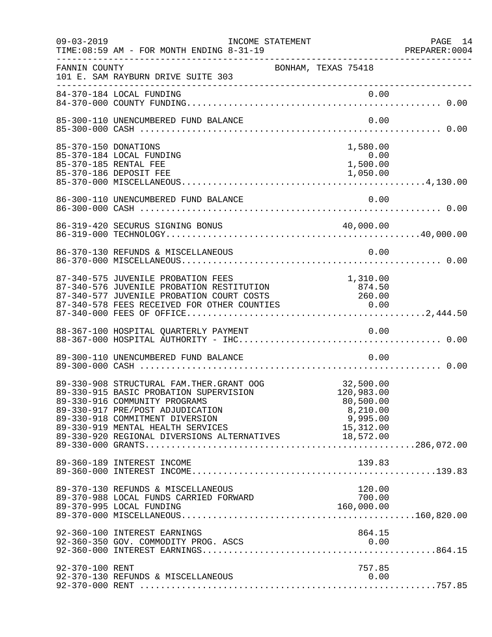| $09 - 03 - 2019$     | INCOME STATEMENT<br>TIME: 08:59 AM - FOR MONTH ENDING 8-31-19                                                                                                                                                                                                                                        |                                                              | PAGE 14 |
|----------------------|------------------------------------------------------------------------------------------------------------------------------------------------------------------------------------------------------------------------------------------------------------------------------------------------------|--------------------------------------------------------------|---------|
| FANNIN COUNTY        | BONHAM, TEXAS 75418<br>101 E. SAM RAYBURN DRIVE SUITE 303                                                                                                                                                                                                                                            |                                                              |         |
|                      |                                                                                                                                                                                                                                                                                                      |                                                              |         |
|                      | 85-300-110 UNENCUMBERED FUND BALANCE                                                                                                                                                                                                                                                                 | 0.00                                                         |         |
| 85-370-150 DONATIONS | 85-370-184 LOCAL FUNDING<br>85-370-185 RENTAL FEE                                                                                                                                                                                                                                                    | 1,580.00<br>0.00<br>1,500.00                                 |         |
|                      | 86-300-110 UNENCUMBERED FUND BALANCE                                                                                                                                                                                                                                                                 | 0.00                                                         |         |
|                      | 86-319-420 SECURUS SIGNING BONUS                                                                                                                                                                                                                                                                     | 40,000.00                                                    |         |
|                      | 86-370-130 REFUNDS & MISCELLANEOUS                                                                                                                                                                                                                                                                   | 0.00                                                         |         |
|                      | 87-340-575 JUVENILE PROBATION FEES<br>87-340-576 JUVENILE PROBATION RESTITUTION<br>87-340-577 JUVENILE PROBATION COURT COSTS 260.00<br>87-340-578 FEES RECEIVED FOR OTHER COUNTIES 0.00                                                                                                              | 1,310.00<br>874.50                                           |         |
|                      | 88-367-100 HOSPITAL QUARTERLY PAYMENT                                                                                                                                                                                                                                                                | 0.00                                                         |         |
|                      | 89-300-110 UNENCUMBERED FUND BALANCE                                                                                                                                                                                                                                                                 | 0.00                                                         |         |
|                      | 89-330-908 STRUCTURAL FAM. THER. GRANT OOG<br>89-330-915 BASIC PROBATION SUPERVISION<br>89-330-916 COMMUNITY PROGRAMS<br>89-330-917 PRE/POST ADJUDICATION<br>89-330-918 COMMITMENT DIVERSION<br>89-330-919 MENTAL HEALTH SERVICES 15,312.00<br>89-330-920 REGIONAL DIVERSIONS ALTERNATIVES 18,572.00 | 32,500.00<br>120,983.00<br>80,500.00<br>8,210.00<br>9,995.00 |         |
|                      | 89-360-189 INTEREST INCOME                                                                                                                                                                                                                                                                           | 139.83                                                       |         |
|                      | 89-370-130 REFUNDS & MISCELLANEOUS<br>89-370-988 LOCAL FUNDS CARRIED FORWARD                                                                                                                                                                                                                         | 120.00<br>700.00<br>160,000.00                               |         |
|                      | 92-360-100 INTEREST EARNINGS<br>92-360-350 GOV. COMMODITY PROG. ASCS                                                                                                                                                                                                                                 | 864.15<br>0.00                                               |         |
| 92-370-100 RENT      | 92-370-130 REFUNDS & MISCELLANEOUS                                                                                                                                                                                                                                                                   | 757.85<br>0.00                                               |         |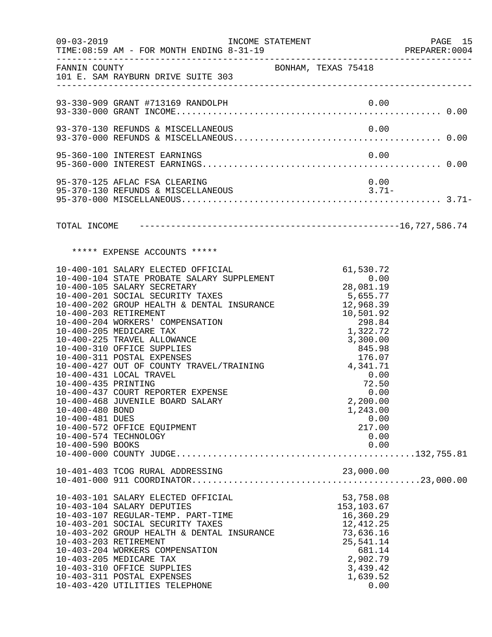|                                                           | $09 - 03 - 2019$<br>TIME: 08:59 AM - FOR MONTH ENDING 8-31-19                                                                                                                                                                                                                                                                                                                                                                                                                                                                                                                                | INCOME STATEMENT |                                                                                                                                                                                           |                                | PAGE 15<br>PREPARER: 0004 |
|-----------------------------------------------------------|----------------------------------------------------------------------------------------------------------------------------------------------------------------------------------------------------------------------------------------------------------------------------------------------------------------------------------------------------------------------------------------------------------------------------------------------------------------------------------------------------------------------------------------------------------------------------------------------|------------------|-------------------------------------------------------------------------------------------------------------------------------------------------------------------------------------------|--------------------------------|---------------------------|
|                                                           | FANNIN COUNTY<br>101 E. SAM RAYBURN DRIVE SUITE 303                                                                                                                                                                                                                                                                                                                                                                                                                                                                                                                                          |                  | BONHAM, TEXAS 75418                                                                                                                                                                       |                                |                           |
|                                                           |                                                                                                                                                                                                                                                                                                                                                                                                                                                                                                                                                                                              |                  |                                                                                                                                                                                           |                                |                           |
|                                                           | 93-370-130 REFUNDS & MISCELLANEOUS                                                                                                                                                                                                                                                                                                                                                                                                                                                                                                                                                           |                  |                                                                                                                                                                                           | 0.00                           |                           |
|                                                           | 95-360-100 INTEREST EARNINGS                                                                                                                                                                                                                                                                                                                                                                                                                                                                                                                                                                 |                  |                                                                                                                                                                                           | 0.00                           |                           |
|                                                           | 95-370-125 AFLAC FSA CLEARING                                                                                                                                                                                                                                                                                                                                                                                                                                                                                                                                                                |                  |                                                                                                                                                                                           | 0.00                           |                           |
|                                                           |                                                                                                                                                                                                                                                                                                                                                                                                                                                                                                                                                                                              |                  |                                                                                                                                                                                           |                                |                           |
|                                                           | ***** EXPENSE ACCOUNTS *****                                                                                                                                                                                                                                                                                                                                                                                                                                                                                                                                                                 |                  |                                                                                                                                                                                           |                                |                           |
| 10-400-435 PRINTING<br>10-400-480 BOND<br>10-400-481 DUES | 10-400-101 SALARY ELECTED OFFICIAL<br>10-400-104 STATE PROBATE SALARY SUPPLEMENT<br>10-400-105 SALARY SECRETARY<br>10-400-201 SOCIAL SECURITY TAXES<br>10-400-202 GROUP HEALTH & DENTAL INSURANCE<br>10-400-203 RETIREMENT<br>10-400-204 WORKERS' COMPENSATION<br>10-400-205 MEDICARE TAX<br>10-400-225 TRAVEL ALLOWANCE<br>10-400-310 OFFICE SUPPLIES<br>10-400-311 POSTAL EXPENSES<br>10-400-427 OUT OF COUNTY TRAVEL/TRAINING<br>10-400-431 LOCAL TRAVEL<br>10-400-437 COURT REPORTER EXPENSE<br>10-400-468 JUVENILE BOARD SALARY<br>10-400-572 OFFICE EQUIPMENT<br>10-400-574 TECHNOLOGY |                  | 61,530.72<br>0.00<br>28,081.19<br>5,655.77<br>12,968.39<br>10,501.92<br>298.84<br>1,322.72<br>3,300.00<br>845.98<br>176.07<br>176.07<br>4,341.71<br>72.50<br>0.00<br>2,200.00<br>1,243.00 | 0.00<br>0.00<br>217.00<br>0.00 |                           |
|                                                           |                                                                                                                                                                                                                                                                                                                                                                                                                                                                                                                                                                                              |                  |                                                                                                                                                                                           |                                |                           |
|                                                           | 10-403-101 SALARY ELECTED OFFICIAL<br>10-403-104 SALARY DEPUTIES<br>10-403-107 REGULAR-TEMP. PART-TIME<br>10-403-201 SOCIAL SECURITY TAXES<br>10-403-202 GROUP HEALTH & DENTAL INSURANCE<br>10-403-203 RETIREMENT<br>10-403-204 WORKERS COMPENSATION<br>10-403-205 MEDICARE TAX<br>10-403-310 OFFICE SUPPLIES<br>10-403-311 POSTAL EXPENSES<br>10-403-420 UTILITIES TELEPHONE                                                                                                                                                                                                                |                  | 53,758.08<br>153,103.67<br>16,360.29<br>12,412.25<br>73,636.16<br>25,541.14<br>681.14<br>2,902.79<br>3,439.42<br>1,639.52                                                                 | 0.00                           |                           |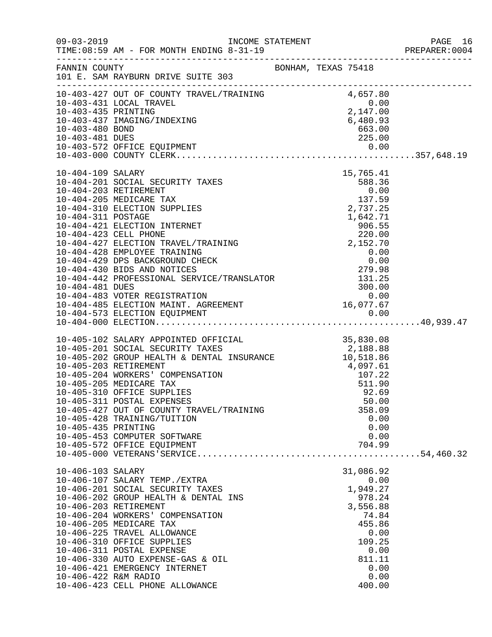|                                           |                                                                                                                                                                                                                                                                                                                                                                                                                                                                                                                                                                                                                |  |                                                                                                                                      | PREPARER: 0004 |
|-------------------------------------------|----------------------------------------------------------------------------------------------------------------------------------------------------------------------------------------------------------------------------------------------------------------------------------------------------------------------------------------------------------------------------------------------------------------------------------------------------------------------------------------------------------------------------------------------------------------------------------------------------------------|--|--------------------------------------------------------------------------------------------------------------------------------------|----------------|
|                                           | FANNIN COUNTY                                                                                                                                                                                                                                                                                                                                                                                                                                                                                                                                                                                                  |  |                                                                                                                                      |                |
| 10-403-481 DUES                           | $\begin{tabular}{lllllllllllllllllll} 10-403-427 &\text{OUT OF COUNTY TRAVEL/TRAINING} & & & 4\,,657.80 \\ 10-403-431 &\text{LOCAL TRAVEL} & & & 0.00 \\ 10-403-435 &\text{PRINTING} & & & 2\,,147.00 \\ 10-403-437 &\text{IMAGING/INDEXING} & & & 6\,,480.93 \\ 10-403-480 &\text{BOND} & & & 63.00 \\ \end{tabular}$<br>10-403-435 PRINTING<br>10-403-437 IMAGING/INDEXING<br>10-403-480 BOND                                                                                                                                                                                                                |  | 663.00<br>225.00                                                                                                                     |                |
|                                           | $\begin{tabular}{lllllllllllllllllllll} 10-404-109 & \text{SALARY} & & & & & 15\,,765.41 \\ 10-404-201 & \text{SOCIAL SECURITY TAXES} & & & 588.36 & \\ 10-404-203 & \text{RETIREMENT} & & & 0.00 & \\ 10-404-205 & \text{MEDICARE TAX} & & & 137.59 & \\ 10-404-310 & \text{ELECTION SUPPLIES} & & & 2\,,737.25 & \\ 10-404-311 & \text{POSTAGE} & & & 1\,,642$<br>10-404-428 EMPLOYEE TRAINING<br>10-404-429 DPS BACKGROUND CHECK 0.00<br>10-404-430 BIDS AND NOTICES 279.98<br>10-404-442 PROFESSIONAL SERVICE/TRANSLATOR 131.25<br>10-404-481 DUES 300.00<br>10-404-483 VOTER REGISTRATION 0.00<br>10-404- |  |                                                                                                                                      |                |
| 10-405-435 PRINTING                       | 10-405-102 SALARY APPOINTED OFFICIAL 35,830.08<br>10-405-201 SOCIAL SECURITY TAXES 2,188.88<br>10-405-202 GROUP HEALTH & DENTAL INSURANCE 2,188.86<br>10-405-203 RETIREMENT 4,097.61<br>10-405-204 WORKERS' COMPENSATION 107.22<br>10-40<br>10-405-311 POSTAL EXPENSES<br>10-405-427 OUT OF COUNTY TRAVEL/TRAINING<br>10-405-428 TRAINING/TUITION<br>10-405-453 COMPUTER SOFTWARE<br>10-405-572 OFFICE EQUIPMENT                                                                                                                                                                                               |  | 50.00<br>358.09<br>0.00<br>0.00<br>0.00<br>704.99                                                                                    |                |
| 10-406-103 SALARY<br>10-406-422 R&M RADIO | 10-406-107 SALARY TEMP./EXTRA<br>10-406-201 SOCIAL SECURITY TAXES<br>10-406-202 GROUP HEALTH & DENTAL INS<br>10-406-203 RETIREMENT<br>10-406-204 WORKERS' COMPENSATION<br>10-406-205 MEDICARE TAX<br>10-406-225 TRAVEL ALLOWANCE<br>10-406-310 OFFICE SUPPLIES<br>10-406-311 POSTAL EXPENSE<br>10-406-330 AUTO EXPENSE-GAS & OIL<br>10-406-421 EMERGENCY INTERNET<br>10-406-423 CELL PHONE ALLOWANCE                                                                                                                                                                                                           |  | 31,086.92<br>0.00<br>1,949.27<br>978.24<br>3,556.88<br>74.84<br>455.86<br>0.00<br>109.25<br>0.00<br>811.11<br>0.00<br>0.00<br>400.00 |                |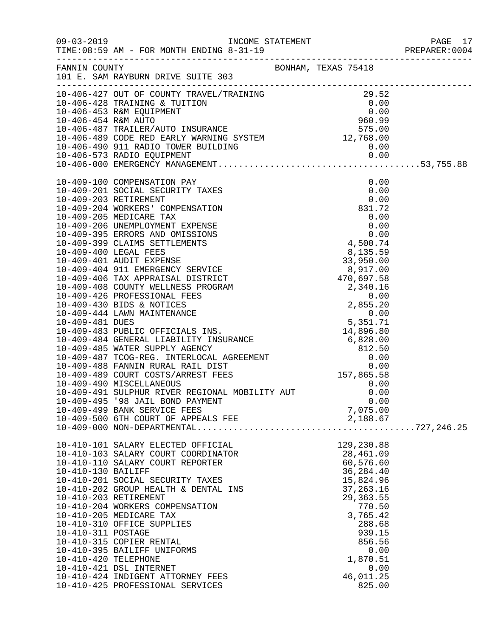|                      |                                                                  |                    | PREPARER: 0004 |
|----------------------|------------------------------------------------------------------|--------------------|----------------|
|                      |                                                                  |                    |                |
|                      |                                                                  |                    |                |
|                      |                                                                  |                    |                |
|                      |                                                                  |                    |                |
|                      |                                                                  |                    |                |
|                      |                                                                  |                    |                |
|                      |                                                                  |                    |                |
|                      |                                                                  |                    |                |
|                      |                                                                  |                    |                |
|                      |                                                                  |                    |                |
|                      |                                                                  |                    |                |
|                      |                                                                  |                    |                |
|                      |                                                                  |                    |                |
|                      |                                                                  |                    |                |
|                      |                                                                  |                    |                |
|                      |                                                                  |                    |                |
|                      |                                                                  |                    |                |
|                      |                                                                  |                    |                |
|                      |                                                                  |                    |                |
|                      |                                                                  |                    |                |
|                      |                                                                  |                    |                |
|                      |                                                                  |                    |                |
|                      |                                                                  |                    |                |
|                      |                                                                  |                    |                |
|                      |                                                                  |                    |                |
|                      |                                                                  |                    |                |
|                      |                                                                  |                    |                |
|                      |                                                                  |                    |                |
|                      |                                                                  |                    |                |
|                      |                                                                  |                    |                |
|                      |                                                                  |                    |                |
|                      |                                                                  | 0.00               |                |
|                      | 10-409-495 '98 JAIL BOND PAYMENT<br>10-409-499 BANK SERVICE FEES | 7,075.00           |                |
|                      | 10-409-500 6TH COURT OF APPEALS FEE                              | 2,188.67           |                |
|                      |                                                                  |                    |                |
|                      | 10-410-101 SALARY ELECTED OFFICIAL                               | 129,230.88         |                |
|                      | 10-410-103 SALARY COURT COORDINATOR                              | 28,461.09          |                |
|                      | 10-410-110 SALARY COURT REPORTER                                 | 60,576.60          |                |
| 10-410-130 BAILIFF   |                                                                  | 36, 284.40         |                |
|                      | 10-410-201 SOCIAL SECURITY TAXES                                 | 15,824.96          |                |
|                      | 10-410-202 GROUP HEALTH & DENTAL INS                             | 37, 263. 16        |                |
|                      | 10-410-203 RETIREMENT                                            | 29, 363.55         |                |
|                      | 10-410-204 WORKERS COMPENSATION<br>10-410-205 MEDICARE TAX       | 770.50<br>3,765.42 |                |
|                      | 10-410-310 OFFICE SUPPLIES                                       | 288.68             |                |
| 10-410-311 POSTAGE   |                                                                  | 939.15             |                |
|                      | 10-410-315 COPIER RENTAL                                         | 856.56             |                |
|                      | 10-410-395 BAILIFF UNIFORMS                                      | 0.00               |                |
| 10-410-420 TELEPHONE |                                                                  | 1,870.51           |                |
|                      | 10-410-421 DSL INTERNET                                          | 0.00               |                |
|                      | 10-410-424 INDIGENT ATTORNEY FEES                                | 46,011.25          |                |
|                      | 10-410-425 PROFESSIONAL SERVICES                                 | 825.00             |                |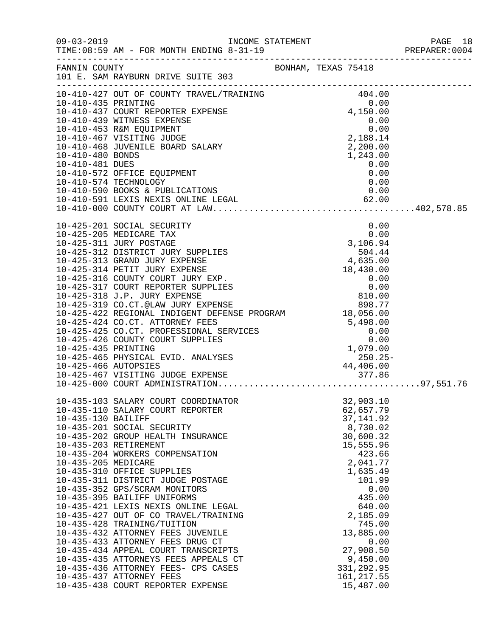| $09 - 03 - 2019$    | INCOME STATEMENT<br>TIME: 08:59 AM - FOR MONTH ENDING 8-31-19                                                                                                                                                                                  |  |                      |      | PAGE 18<br>PREPARER:0004<br>PAGE 18 |
|---------------------|------------------------------------------------------------------------------------------------------------------------------------------------------------------------------------------------------------------------------------------------|--|----------------------|------|-------------------------------------|
|                     | FANNIN COUNTY SONHAM, TEXAS 75418<br>101 E. SAM RAYBURN DRIVE SUITE 303                                                                                                                                                                        |  |                      |      |                                     |
|                     |                                                                                                                                                                                                                                                |  |                      |      |                                     |
|                     | 10-410-427 OUT OF COUNTY TRAVEL/TRAINING<br>10-410-427 OUT OF COUNTY TRAVEL/TRAINING<br>10-410-435 PRINTING<br>10-410-437 COURT REPORTER EXPENSE<br>10-410-439 WITNESS EXPENSE<br>10-410-453 R&M EQUIPMENT<br>10-410-467 VISITING JUDGE<br>1   |  |                      |      |                                     |
|                     |                                                                                                                                                                                                                                                |  |                      |      |                                     |
|                     |                                                                                                                                                                                                                                                |  |                      |      |                                     |
|                     |                                                                                                                                                                                                                                                |  |                      |      |                                     |
|                     |                                                                                                                                                                                                                                                |  |                      |      |                                     |
|                     |                                                                                                                                                                                                                                                |  |                      |      |                                     |
|                     |                                                                                                                                                                                                                                                |  |                      |      |                                     |
| 10-410-481 DUES     |                                                                                                                                                                                                                                                |  |                      | 0.00 |                                     |
|                     | 10-410-572 OFFICE EQUIPMENT                                                                                                                                                                                                                    |  |                      | 0.00 |                                     |
|                     | 10-410-574 TECHNOLOGY                                                                                                                                                                                                                          |  | 0.00                 |      |                                     |
|                     |                                                                                                                                                                                                                                                |  |                      |      |                                     |
|                     |                                                                                                                                                                                                                                                |  |                      |      |                                     |
|                     |                                                                                                                                                                                                                                                |  |                      |      |                                     |
|                     | 10-425-201 SOCIAL SECURITY                                                                                                                                                                                                                     |  |                      | 0.00 |                                     |
|                     | 10-425-205 MEDICARE TAX                                                                                                                                                                                                                        |  |                      | 0.00 |                                     |
|                     |                                                                                                                                                                                                                                                |  |                      |      |                                     |
|                     |                                                                                                                                                                                                                                                |  |                      |      |                                     |
|                     |                                                                                                                                                                                                                                                |  |                      |      |                                     |
|                     |                                                                                                                                                                                                                                                |  |                      |      |                                     |
|                     |                                                                                                                                                                                                                                                |  |                      |      |                                     |
|                     |                                                                                                                                                                                                                                                |  |                      |      |                                     |
|                     |                                                                                                                                                                                                                                                |  |                      |      |                                     |
|                     | 18,056.00<br>10-425-424 CO.CT. ATTORNEY FEES<br>10-425-425 CO.CT. PROFESSIONAL SERVICES<br>10-425-426 COUNTY COURT SUPPLIES<br>10-425-435 PRINTING<br>10-425-465 PHYSICAL EVID. ANALYSES<br>10-425-466 AUTOPSIES<br>10-425-466 AUTOPSIES<br>10 |  |                      |      |                                     |
|                     |                                                                                                                                                                                                                                                |  |                      |      |                                     |
|                     |                                                                                                                                                                                                                                                |  |                      |      |                                     |
|                     |                                                                                                                                                                                                                                                |  |                      |      |                                     |
|                     |                                                                                                                                                                                                                                                |  |                      |      |                                     |
|                     |                                                                                                                                                                                                                                                |  |                      |      |                                     |
|                     |                                                                                                                                                                                                                                                |  |                      |      |                                     |
|                     |                                                                                                                                                                                                                                                |  |                      |      |                                     |
|                     | 10-435-103 SALARY COURT COORDINATOR                                                                                                                                                                                                            |  | 32,903.10            |      |                                     |
|                     | 10-435-110 SALARY COURT REPORTER                                                                                                                                                                                                               |  | 62,657.79            |      |                                     |
| 10-435-130 BAILIFF  |                                                                                                                                                                                                                                                |  | 37, 141.92           |      |                                     |
|                     | 10-435-201 SOCIAL SECURITY                                                                                                                                                                                                                     |  | 8,730.02             |      |                                     |
|                     | 10-435-202 GROUP HEALTH INSURANCE                                                                                                                                                                                                              |  | 30,600.32            |      |                                     |
|                     | 10-435-203 RETIREMENT                                                                                                                                                                                                                          |  | 15,555.96            |      |                                     |
|                     | 10-435-204 WORKERS COMPENSATION                                                                                                                                                                                                                |  | 423.66               |      |                                     |
| 10-435-205 MEDICARE | 10-435-310 OFFICE SUPPLIES                                                                                                                                                                                                                     |  | 2,041.77<br>1,635.49 |      |                                     |
|                     | 10-435-311 DISTRICT JUDGE POSTAGE                                                                                                                                                                                                              |  | 101.99               |      |                                     |
|                     | 10-435-352 GPS/SCRAM MONITORS                                                                                                                                                                                                                  |  |                      | 0.00 |                                     |
|                     | 10-435-395 BAILIFF UNIFORMS                                                                                                                                                                                                                    |  | 435.00               |      |                                     |
|                     | 10-435-421 LEXIS NEXIS ONLINE LEGAL                                                                                                                                                                                                            |  | 640.00               |      |                                     |
|                     | 10-435-427 OUT OF CO TRAVEL/TRAINING                                                                                                                                                                                                           |  | 2,185.09             |      |                                     |
|                     | 10-435-428 TRAINING/TUITION                                                                                                                                                                                                                    |  | 745.00               |      |                                     |
|                     | 10-435-432 ATTORNEY FEES JUVENILE<br>10-435-433 ATTORNEY FEES DRUG CT                                                                                                                                                                          |  | 13,885.00            | 0.00 |                                     |
|                     | 10-435-434 APPEAL COURT TRANSCRIPTS                                                                                                                                                                                                            |  | 27,908.50            |      |                                     |
|                     | 10-435-435 ATTORNEYS FEES APPEALS CT                                                                                                                                                                                                           |  | 9,450.00             |      |                                     |
|                     | 10-435-436 ATTORNEY FEES- CPS CASES                                                                                                                                                                                                            |  | 331, 292.95          |      |                                     |
|                     | 10-435-437 ATTORNEY FEES                                                                                                                                                                                                                       |  | 161, 217.55          |      |                                     |
|                     | 10-435-438 COURT REPORTER EXPENSE                                                                                                                                                                                                              |  | 15,487.00            |      |                                     |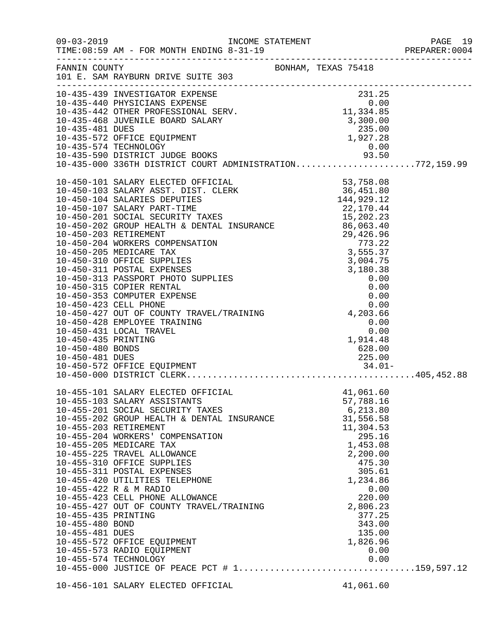|                                                           |                                                                                                                                                                                                                                                                                                                                                                                                                                                                                                                                                                          |                                                                                                                                                                                                                        | PAGE 19<br>PREPARER:0004<br>PAGE 19 |
|-----------------------------------------------------------|--------------------------------------------------------------------------------------------------------------------------------------------------------------------------------------------------------------------------------------------------------------------------------------------------------------------------------------------------------------------------------------------------------------------------------------------------------------------------------------------------------------------------------------------------------------------------|------------------------------------------------------------------------------------------------------------------------------------------------------------------------------------------------------------------------|-------------------------------------|
|                                                           | FANNIN COUNTY<br>101 E. SAM RAYBURN DRIVE SUITE 303                                                                                                                                                                                                                                                                                                                                                                                                                                                                                                                      | BONHAM, TEXAS 75418                                                                                                                                                                                                    |                                     |
|                                                           | 10-435-439 INVESTIGATOR EXPENSE<br>10-435-442 OTHER PROFESSIONAL SERV.<br>10-435-442 OTHER PROFESSIONAL SERV.<br>10-435-442 OTHER PROFESSIONAL SERV.<br>10-435-468 JUVENILE BOARD SALARY<br>10-435-572 OFFICE EQUIPMENT<br>10-435-572 OFFI                                                                                                                                                                                                                                                                                                                               |                                                                                                                                                                                                                        |                                     |
|                                                           | $10-450-101 \t3ALRY REJED OF PICIALS 53, 758.08\n10-450-101 \t3ALARY REJET-TIDE 141, 929.12\n10-450-101 \t3ALARY RIST-TIME 142, 99.12\n10-450-201 \t3OCLI. SCUERT TARE 142, 99.12\n10-450-201 \t3OCLI. SCURTY TARE 15, 202.23\n10-450-202 \t3CTOL IS CUTI. TARE 15, 202.33\n1$                                                                                                                                                                                                                                                                                           |                                                                                                                                                                                                                        |                                     |
| 10-455-435 PRINTING<br>10-455-480 BOND<br>10-455-481 DUES | 10-455-101 SALARY ELECTED OFFICIAL<br>10-455-103 SALARY ASSISTANTS<br>10-455-201 SOCIAL SECURITY TAXES<br>10-455-202 GROUP HEALTH & DENTAL INSURANCE<br>10-455-203 RETIREMENT<br>10-455-204 WORKERS' COMPENSATION<br>10-455-205 MEDICARE TAX<br>10-455-225 TRAVEL ALLOWANCE<br>10-455-310 OFFICE SUPPLIES<br>10-455-311 POSTAL EXPENSES<br>10-455-420 UTILITIES TELEPHONE<br>10-455-422 R & M RADIO<br>10-455-423 CELL PHONE ALLOWANCE<br>10-455-427 OUT OF COUNTY TRAVEL/TRAINING<br>10-455-572 OFFICE EQUIPMENT<br>10-455-573 RADIO EQUIPMENT<br>10-455-574 TECHNOLOGY | 41,061.60<br>57,788.16<br>6,213.80<br>31,556.58<br>11,304.53<br>295.16<br>1,453.08<br>2,200.00<br>475.30<br>305.61<br>1,234.86<br>0.00<br>220.00<br>2,806.23<br>377.25<br>343.00<br>135.00<br>1,826.96<br>0.00<br>0.00 |                                     |
|                                                           | 10-456-101 SALARY ELECTED OFFICIAL                                                                                                                                                                                                                                                                                                                                                                                                                                                                                                                                       | 41,061.60                                                                                                                                                                                                              |                                     |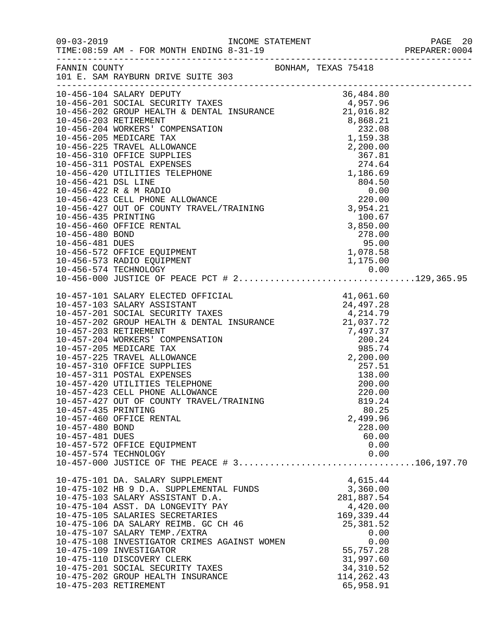|                                                           |                                                                                                                                                                                                                                                                                                                                                                                                                                                                                                                                                                                    |                                                                                                           |                                                                                                                                                               | PAGE 20<br>PREPARER:0004 |
|-----------------------------------------------------------|------------------------------------------------------------------------------------------------------------------------------------------------------------------------------------------------------------------------------------------------------------------------------------------------------------------------------------------------------------------------------------------------------------------------------------------------------------------------------------------------------------------------------------------------------------------------------------|-----------------------------------------------------------------------------------------------------------|---------------------------------------------------------------------------------------------------------------------------------------------------------------|--------------------------|
| FANNIN COUNTY                                             | 101 E. SAM RAYBURN DRIVE SUITE 303                                                                                                                                                                                                                                                                                                                                                                                                                                                                                                                                                 | BONHAM, TEXAS 75418                                                                                       |                                                                                                                                                               |                          |
|                                                           |                                                                                                                                                                                                                                                                                                                                                                                                                                                                                                                                                                                    |                                                                                                           |                                                                                                                                                               |                          |
| 10-456-435 PRINTING<br>10-456-480 BOND<br>10-456-481 DUES | 10-456-460 OFFICE RENTAL<br>10-456-572 OFFICE EQUIPMENT                                                                                                                                                                                                                                                                                                                                                                                                                                                                                                                            | $\begin{array}{r} 3,954.21 \\ 100.67 \\ 3,850.00 \\ 278.00 \\ 95.00 \\ 1,078.58 \\ 1.175.00 \end{array}$  |                                                                                                                                                               |                          |
| 10-457-435 PRINTING<br>10-457-480 BOND<br>10-457-481 DUES | 10-457-101 SALARY ELECTED OFFICIAL 41,061.60<br>10-457-103 SALARY ASSISTANT 24,497.28<br>10-457-201 SOCIAL SECURITY TAXES 4,214.79<br>10-457-202 GROUP HEALTH & DENTAL INSURANCE 21,037.72<br>10-457-203 RETIREMENT<br>10-457-204 WORKERS' COMPENSATION<br>10-457-205 MEDICARE TAX<br>10-457-225 TRAVEL ALLOWANCE<br>10-457-310 OFFICE SUPPLIES<br>10-457-311 POSTAL EXPENSES<br>10-457-420 UTILITIES TELEPHONE<br>10-457-423 CELL PHONE ALLOWANCE<br>10-457-427 OUT OF COUNTY TRAVEL/TRAINING<br>10-457-460 OFFICE RENTAL<br>10-457-572 OFFICE EQUIPMENT<br>10-457-574 TECHNOLOGY | 7, 497.37<br>7, 497.37<br>200.24<br>985.74<br>2, 200.00<br>257.51<br>138.00<br>200.00<br>220.00<br>220.00 | 819.24<br>80.25<br>2,499.96<br>228.00<br>60.00<br>0.00<br>0.00                                                                                                |                          |
| 10-475-203 RETIREMENT                                     | $10-457-000$ JUSTICE OF THE PEACE # 3106,197.70<br>10-475-101 DA. SALARY SUPPLEMENT<br>10-475-102 HB 9 D.A. SUPPLEMENTAL FUNDS<br>10-475-103 SALARY ASSISTANT D.A.<br>10-475-104 ASST. DA LONGEVITY PAY<br>10-475-105 SALARIES SECRETARIES<br>10-475-106 DA SALARY REIMB. GC CH 46<br>10-475-107 SALARY TEMP./EXTRA<br>10-475-108 INVESTIGATOR CRIMES AGAINST WOMEN<br>10-475-109 INVESTIGATOR<br>10-475-110 DISCOVERY CLERK<br>10-475-201 SOCIAL SECURITY TAXES<br>10-475-202 GROUP HEALTH INSURANCE                                                                              |                                                                                                           | 4,615.44<br>3,360.00<br>281,887.54<br>4,420.00<br>169,339.44<br>25, 381.52<br>0.00<br>0.00<br>55,757.28<br>31,997.60<br>34, 310.52<br>114,262.43<br>65,958.91 |                          |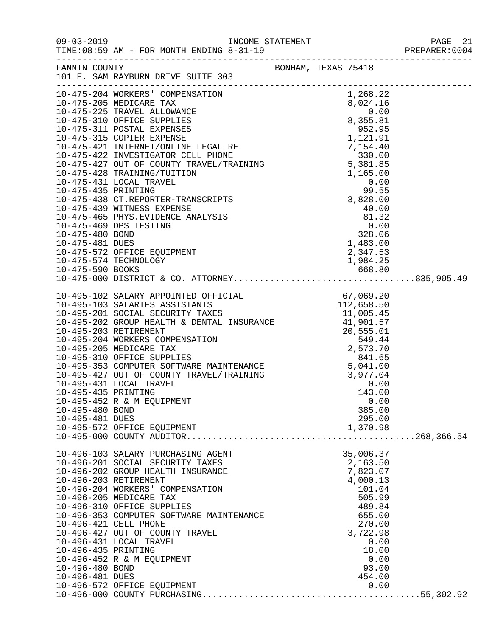| $\begin{tabular}{l c c c c} \hline \texttt{-----} \hline \texttt{---} \hline \texttt{---} \hline \texttt{---} \hline \texttt{---} \hline \texttt{---} \hline \texttt{---} \hline \texttt{---} \hline \texttt{---} \hline \texttt{---} \hline \texttt{---} \hline \texttt{---} \hline \texttt{---} \hline \texttt{---} \hline \texttt{---} \hline \texttt{---} \hline \texttt{---} \hline \texttt{---} \hline \texttt{---} \hline \texttt{---} \hline \texttt{---} \hline \texttt{---} \hline \texttt$<br>10-475-439 WITNESS EXPENSE<br>40.00<br>$\begin{tabular}{lllllllllllllllllllll} 10-475-439&\texttt{WITNESS EXPENSE} & & & & & 40.00\\ 10-475-465&\texttt{PHYS. EVIDENCE ANALYSIS} & & & & 81.32\\ 10-475-469&\texttt{DBS TESTING} & & & & 81.32\\ 10-475-480&\texttt{BOND} & & & 0.00\\ 10-475-481&\texttt{DUES} & & & 1,483.00\\ 10-475-572&\texttt{OFFICE EQUIPMENT} & & & 2,347.53\\ 10$<br>10-495-435 PRINTING<br>143.00<br>10-495-452 R & M EQUIPMENT<br>0.00<br>385.00<br>10-495-480 BOND<br>10-495-481 DUES<br>295.00<br>1,370.98<br>10-495-572 OFFICE EQUIPMENT<br>35,006.37<br>10-496-103 SALARY PURCHASING AGENT<br>2,163.50<br>10-496-201 SOCIAL SECURITY TAXES<br>7,823.07<br>10-496-202 GROUP HEALTH INSURANCE<br>10-496-203 RETIREMENT<br>4,000.13<br>10-496-204 WORKERS' COMPENSATION<br>101.04<br>10-496-205 MEDICARE TAX<br>505.99<br>10-496-310 OFFICE SUPPLIES<br>489.84<br>655.00<br>10-496-353 COMPUTER SOFTWARE MAINTENANCE<br>10-496-421 CELL PHONE<br>270.00<br>10-496-427 OUT OF COUNTY TRAVEL<br>3,722.98<br>10-496-431 LOCAL TRAVEL<br>0.00<br>18.00<br>10-496-435 PRINTING<br>10-496-452 R & M EQUIPMENT<br>0.00<br>10-496-480 BOND<br>93.00<br>10-496-481 DUES<br>454.00<br>0.00<br>10-496-572 OFFICE EQUIPMENT | $09 - 03 - 2019$ | TIME: 08:59 AM - FOR MONTH ENDING 8-31-19 |  |  |
|------------------------------------------------------------------------------------------------------------------------------------------------------------------------------------------------------------------------------------------------------------------------------------------------------------------------------------------------------------------------------------------------------------------------------------------------------------------------------------------------------------------------------------------------------------------------------------------------------------------------------------------------------------------------------------------------------------------------------------------------------------------------------------------------------------------------------------------------------------------------------------------------------------------------------------------------------------------------------------------------------------------------------------------------------------------------------------------------------------------------------------------------------------------------------------------------------------------------------------------------------------------------------------------------------------------------------------------------------------------------------------------------------------------------------------------------------------------------------------------------------------------------------------------------------------------------------------------------------------------------------------------------------------------------------------------------------------------------------------------------------|------------------|-------------------------------------------|--|--|
|                                                                                                                                                                                                                                                                                                                                                                                                                                                                                                                                                                                                                                                                                                                                                                                                                                                                                                                                                                                                                                                                                                                                                                                                                                                                                                                                                                                                                                                                                                                                                                                                                                                                                                                                                      |                  |                                           |  |  |
|                                                                                                                                                                                                                                                                                                                                                                                                                                                                                                                                                                                                                                                                                                                                                                                                                                                                                                                                                                                                                                                                                                                                                                                                                                                                                                                                                                                                                                                                                                                                                                                                                                                                                                                                                      |                  |                                           |  |  |
|                                                                                                                                                                                                                                                                                                                                                                                                                                                                                                                                                                                                                                                                                                                                                                                                                                                                                                                                                                                                                                                                                                                                                                                                                                                                                                                                                                                                                                                                                                                                                                                                                                                                                                                                                      |                  |                                           |  |  |
|                                                                                                                                                                                                                                                                                                                                                                                                                                                                                                                                                                                                                                                                                                                                                                                                                                                                                                                                                                                                                                                                                                                                                                                                                                                                                                                                                                                                                                                                                                                                                                                                                                                                                                                                                      |                  |                                           |  |  |
|                                                                                                                                                                                                                                                                                                                                                                                                                                                                                                                                                                                                                                                                                                                                                                                                                                                                                                                                                                                                                                                                                                                                                                                                                                                                                                                                                                                                                                                                                                                                                                                                                                                                                                                                                      |                  |                                           |  |  |
|                                                                                                                                                                                                                                                                                                                                                                                                                                                                                                                                                                                                                                                                                                                                                                                                                                                                                                                                                                                                                                                                                                                                                                                                                                                                                                                                                                                                                                                                                                                                                                                                                                                                                                                                                      |                  |                                           |  |  |
|                                                                                                                                                                                                                                                                                                                                                                                                                                                                                                                                                                                                                                                                                                                                                                                                                                                                                                                                                                                                                                                                                                                                                                                                                                                                                                                                                                                                                                                                                                                                                                                                                                                                                                                                                      |                  |                                           |  |  |
|                                                                                                                                                                                                                                                                                                                                                                                                                                                                                                                                                                                                                                                                                                                                                                                                                                                                                                                                                                                                                                                                                                                                                                                                                                                                                                                                                                                                                                                                                                                                                                                                                                                                                                                                                      |                  |                                           |  |  |
|                                                                                                                                                                                                                                                                                                                                                                                                                                                                                                                                                                                                                                                                                                                                                                                                                                                                                                                                                                                                                                                                                                                                                                                                                                                                                                                                                                                                                                                                                                                                                                                                                                                                                                                                                      |                  |                                           |  |  |
|                                                                                                                                                                                                                                                                                                                                                                                                                                                                                                                                                                                                                                                                                                                                                                                                                                                                                                                                                                                                                                                                                                                                                                                                                                                                                                                                                                                                                                                                                                                                                                                                                                                                                                                                                      |                  |                                           |  |  |
|                                                                                                                                                                                                                                                                                                                                                                                                                                                                                                                                                                                                                                                                                                                                                                                                                                                                                                                                                                                                                                                                                                                                                                                                                                                                                                                                                                                                                                                                                                                                                                                                                                                                                                                                                      |                  |                                           |  |  |
|                                                                                                                                                                                                                                                                                                                                                                                                                                                                                                                                                                                                                                                                                                                                                                                                                                                                                                                                                                                                                                                                                                                                                                                                                                                                                                                                                                                                                                                                                                                                                                                                                                                                                                                                                      |                  |                                           |  |  |
|                                                                                                                                                                                                                                                                                                                                                                                                                                                                                                                                                                                                                                                                                                                                                                                                                                                                                                                                                                                                                                                                                                                                                                                                                                                                                                                                                                                                                                                                                                                                                                                                                                                                                                                                                      |                  |                                           |  |  |
|                                                                                                                                                                                                                                                                                                                                                                                                                                                                                                                                                                                                                                                                                                                                                                                                                                                                                                                                                                                                                                                                                                                                                                                                                                                                                                                                                                                                                                                                                                                                                                                                                                                                                                                                                      |                  |                                           |  |  |
|                                                                                                                                                                                                                                                                                                                                                                                                                                                                                                                                                                                                                                                                                                                                                                                                                                                                                                                                                                                                                                                                                                                                                                                                                                                                                                                                                                                                                                                                                                                                                                                                                                                                                                                                                      |                  |                                           |  |  |
|                                                                                                                                                                                                                                                                                                                                                                                                                                                                                                                                                                                                                                                                                                                                                                                                                                                                                                                                                                                                                                                                                                                                                                                                                                                                                                                                                                                                                                                                                                                                                                                                                                                                                                                                                      |                  |                                           |  |  |
|                                                                                                                                                                                                                                                                                                                                                                                                                                                                                                                                                                                                                                                                                                                                                                                                                                                                                                                                                                                                                                                                                                                                                                                                                                                                                                                                                                                                                                                                                                                                                                                                                                                                                                                                                      |                  |                                           |  |  |
|                                                                                                                                                                                                                                                                                                                                                                                                                                                                                                                                                                                                                                                                                                                                                                                                                                                                                                                                                                                                                                                                                                                                                                                                                                                                                                                                                                                                                                                                                                                                                                                                                                                                                                                                                      |                  |                                           |  |  |
|                                                                                                                                                                                                                                                                                                                                                                                                                                                                                                                                                                                                                                                                                                                                                                                                                                                                                                                                                                                                                                                                                                                                                                                                                                                                                                                                                                                                                                                                                                                                                                                                                                                                                                                                                      |                  |                                           |  |  |
|                                                                                                                                                                                                                                                                                                                                                                                                                                                                                                                                                                                                                                                                                                                                                                                                                                                                                                                                                                                                                                                                                                                                                                                                                                                                                                                                                                                                                                                                                                                                                                                                                                                                                                                                                      |                  |                                           |  |  |
|                                                                                                                                                                                                                                                                                                                                                                                                                                                                                                                                                                                                                                                                                                                                                                                                                                                                                                                                                                                                                                                                                                                                                                                                                                                                                                                                                                                                                                                                                                                                                                                                                                                                                                                                                      |                  |                                           |  |  |
|                                                                                                                                                                                                                                                                                                                                                                                                                                                                                                                                                                                                                                                                                                                                                                                                                                                                                                                                                                                                                                                                                                                                                                                                                                                                                                                                                                                                                                                                                                                                                                                                                                                                                                                                                      |                  |                                           |  |  |
|                                                                                                                                                                                                                                                                                                                                                                                                                                                                                                                                                                                                                                                                                                                                                                                                                                                                                                                                                                                                                                                                                                                                                                                                                                                                                                                                                                                                                                                                                                                                                                                                                                                                                                                                                      |                  |                                           |  |  |
|                                                                                                                                                                                                                                                                                                                                                                                                                                                                                                                                                                                                                                                                                                                                                                                                                                                                                                                                                                                                                                                                                                                                                                                                                                                                                                                                                                                                                                                                                                                                                                                                                                                                                                                                                      |                  |                                           |  |  |
|                                                                                                                                                                                                                                                                                                                                                                                                                                                                                                                                                                                                                                                                                                                                                                                                                                                                                                                                                                                                                                                                                                                                                                                                                                                                                                                                                                                                                                                                                                                                                                                                                                                                                                                                                      |                  |                                           |  |  |
|                                                                                                                                                                                                                                                                                                                                                                                                                                                                                                                                                                                                                                                                                                                                                                                                                                                                                                                                                                                                                                                                                                                                                                                                                                                                                                                                                                                                                                                                                                                                                                                                                                                                                                                                                      |                  |                                           |  |  |
|                                                                                                                                                                                                                                                                                                                                                                                                                                                                                                                                                                                                                                                                                                                                                                                                                                                                                                                                                                                                                                                                                                                                                                                                                                                                                                                                                                                                                                                                                                                                                                                                                                                                                                                                                      |                  |                                           |  |  |
|                                                                                                                                                                                                                                                                                                                                                                                                                                                                                                                                                                                                                                                                                                                                                                                                                                                                                                                                                                                                                                                                                                                                                                                                                                                                                                                                                                                                                                                                                                                                                                                                                                                                                                                                                      |                  |                                           |  |  |
|                                                                                                                                                                                                                                                                                                                                                                                                                                                                                                                                                                                                                                                                                                                                                                                                                                                                                                                                                                                                                                                                                                                                                                                                                                                                                                                                                                                                                                                                                                                                                                                                                                                                                                                                                      |                  |                                           |  |  |
|                                                                                                                                                                                                                                                                                                                                                                                                                                                                                                                                                                                                                                                                                                                                                                                                                                                                                                                                                                                                                                                                                                                                                                                                                                                                                                                                                                                                                                                                                                                                                                                                                                                                                                                                                      |                  |                                           |  |  |
|                                                                                                                                                                                                                                                                                                                                                                                                                                                                                                                                                                                                                                                                                                                                                                                                                                                                                                                                                                                                                                                                                                                                                                                                                                                                                                                                                                                                                                                                                                                                                                                                                                                                                                                                                      |                  |                                           |  |  |
|                                                                                                                                                                                                                                                                                                                                                                                                                                                                                                                                                                                                                                                                                                                                                                                                                                                                                                                                                                                                                                                                                                                                                                                                                                                                                                                                                                                                                                                                                                                                                                                                                                                                                                                                                      |                  |                                           |  |  |
|                                                                                                                                                                                                                                                                                                                                                                                                                                                                                                                                                                                                                                                                                                                                                                                                                                                                                                                                                                                                                                                                                                                                                                                                                                                                                                                                                                                                                                                                                                                                                                                                                                                                                                                                                      |                  |                                           |  |  |
|                                                                                                                                                                                                                                                                                                                                                                                                                                                                                                                                                                                                                                                                                                                                                                                                                                                                                                                                                                                                                                                                                                                                                                                                                                                                                                                                                                                                                                                                                                                                                                                                                                                                                                                                                      |                  |                                           |  |  |
|                                                                                                                                                                                                                                                                                                                                                                                                                                                                                                                                                                                                                                                                                                                                                                                                                                                                                                                                                                                                                                                                                                                                                                                                                                                                                                                                                                                                                                                                                                                                                                                                                                                                                                                                                      |                  |                                           |  |  |
|                                                                                                                                                                                                                                                                                                                                                                                                                                                                                                                                                                                                                                                                                                                                                                                                                                                                                                                                                                                                                                                                                                                                                                                                                                                                                                                                                                                                                                                                                                                                                                                                                                                                                                                                                      |                  |                                           |  |  |
|                                                                                                                                                                                                                                                                                                                                                                                                                                                                                                                                                                                                                                                                                                                                                                                                                                                                                                                                                                                                                                                                                                                                                                                                                                                                                                                                                                                                                                                                                                                                                                                                                                                                                                                                                      |                  |                                           |  |  |
|                                                                                                                                                                                                                                                                                                                                                                                                                                                                                                                                                                                                                                                                                                                                                                                                                                                                                                                                                                                                                                                                                                                                                                                                                                                                                                                                                                                                                                                                                                                                                                                                                                                                                                                                                      |                  |                                           |  |  |
|                                                                                                                                                                                                                                                                                                                                                                                                                                                                                                                                                                                                                                                                                                                                                                                                                                                                                                                                                                                                                                                                                                                                                                                                                                                                                                                                                                                                                                                                                                                                                                                                                                                                                                                                                      |                  |                                           |  |  |
|                                                                                                                                                                                                                                                                                                                                                                                                                                                                                                                                                                                                                                                                                                                                                                                                                                                                                                                                                                                                                                                                                                                                                                                                                                                                                                                                                                                                                                                                                                                                                                                                                                                                                                                                                      |                  |                                           |  |  |
|                                                                                                                                                                                                                                                                                                                                                                                                                                                                                                                                                                                                                                                                                                                                                                                                                                                                                                                                                                                                                                                                                                                                                                                                                                                                                                                                                                                                                                                                                                                                                                                                                                                                                                                                                      |                  |                                           |  |  |
|                                                                                                                                                                                                                                                                                                                                                                                                                                                                                                                                                                                                                                                                                                                                                                                                                                                                                                                                                                                                                                                                                                                                                                                                                                                                                                                                                                                                                                                                                                                                                                                                                                                                                                                                                      |                  |                                           |  |  |
|                                                                                                                                                                                                                                                                                                                                                                                                                                                                                                                                                                                                                                                                                                                                                                                                                                                                                                                                                                                                                                                                                                                                                                                                                                                                                                                                                                                                                                                                                                                                                                                                                                                                                                                                                      |                  |                                           |  |  |
|                                                                                                                                                                                                                                                                                                                                                                                                                                                                                                                                                                                                                                                                                                                                                                                                                                                                                                                                                                                                                                                                                                                                                                                                                                                                                                                                                                                                                                                                                                                                                                                                                                                                                                                                                      |                  |                                           |  |  |
|                                                                                                                                                                                                                                                                                                                                                                                                                                                                                                                                                                                                                                                                                                                                                                                                                                                                                                                                                                                                                                                                                                                                                                                                                                                                                                                                                                                                                                                                                                                                                                                                                                                                                                                                                      |                  |                                           |  |  |
|                                                                                                                                                                                                                                                                                                                                                                                                                                                                                                                                                                                                                                                                                                                                                                                                                                                                                                                                                                                                                                                                                                                                                                                                                                                                                                                                                                                                                                                                                                                                                                                                                                                                                                                                                      |                  |                                           |  |  |
|                                                                                                                                                                                                                                                                                                                                                                                                                                                                                                                                                                                                                                                                                                                                                                                                                                                                                                                                                                                                                                                                                                                                                                                                                                                                                                                                                                                                                                                                                                                                                                                                                                                                                                                                                      |                  |                                           |  |  |
|                                                                                                                                                                                                                                                                                                                                                                                                                                                                                                                                                                                                                                                                                                                                                                                                                                                                                                                                                                                                                                                                                                                                                                                                                                                                                                                                                                                                                                                                                                                                                                                                                                                                                                                                                      |                  |                                           |  |  |
|                                                                                                                                                                                                                                                                                                                                                                                                                                                                                                                                                                                                                                                                                                                                                                                                                                                                                                                                                                                                                                                                                                                                                                                                                                                                                                                                                                                                                                                                                                                                                                                                                                                                                                                                                      |                  |                                           |  |  |
|                                                                                                                                                                                                                                                                                                                                                                                                                                                                                                                                                                                                                                                                                                                                                                                                                                                                                                                                                                                                                                                                                                                                                                                                                                                                                                                                                                                                                                                                                                                                                                                                                                                                                                                                                      |                  |                                           |  |  |
|                                                                                                                                                                                                                                                                                                                                                                                                                                                                                                                                                                                                                                                                                                                                                                                                                                                                                                                                                                                                                                                                                                                                                                                                                                                                                                                                                                                                                                                                                                                                                                                                                                                                                                                                                      |                  |                                           |  |  |
|                                                                                                                                                                                                                                                                                                                                                                                                                                                                                                                                                                                                                                                                                                                                                                                                                                                                                                                                                                                                                                                                                                                                                                                                                                                                                                                                                                                                                                                                                                                                                                                                                                                                                                                                                      |                  |                                           |  |  |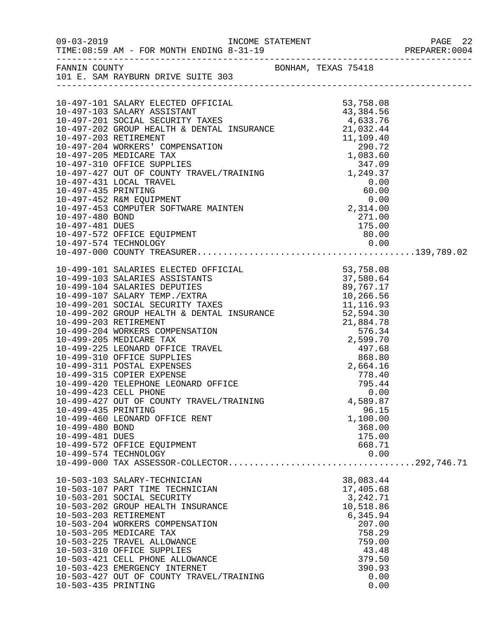|                                    |                                                                           |                      | PREPARER:0004 |
|------------------------------------|---------------------------------------------------------------------------|----------------------|---------------|
|                                    | FANNIN COUNTY<br>101 E. SAM RAYBURN DRIVE SUITE 303                       |                      |               |
|                                    |                                                                           |                      |               |
|                                    |                                                                           |                      |               |
|                                    |                                                                           |                      |               |
|                                    |                                                                           |                      |               |
|                                    |                                                                           |                      |               |
|                                    |                                                                           |                      |               |
|                                    |                                                                           |                      |               |
|                                    |                                                                           |                      |               |
|                                    |                                                                           |                      |               |
|                                    |                                                                           |                      |               |
|                                    |                                                                           |                      |               |
|                                    |                                                                           |                      |               |
|                                    |                                                                           |                      |               |
|                                    |                                                                           |                      |               |
|                                    |                                                                           |                      |               |
|                                    |                                                                           |                      |               |
|                                    |                                                                           |                      |               |
|                                    |                                                                           |                      |               |
|                                    |                                                                           |                      |               |
|                                    |                                                                           |                      |               |
|                                    |                                                                           |                      |               |
|                                    |                                                                           |                      |               |
|                                    |                                                                           |                      |               |
|                                    |                                                                           |                      |               |
|                                    |                                                                           |                      |               |
|                                    |                                                                           |                      |               |
|                                    | 10-499-311 POSTAL EXPENSES<br>10-499-315 COPIER EXPENSE                   |                      |               |
|                                    | 10-499-420 TELEPHONE LEONARD OFFICE                                       | $778.40$<br>$795.44$ |               |
|                                    | 10-499-423 CELL PHONE                                                     | 0.00                 |               |
|                                    | 10-499-427 OUT OF COUNTY TRAVEL/TRAINING                                  | 4,589.87             |               |
| 10-499-435 PRINTING                |                                                                           | 96.15                |               |
|                                    | 10-499-460 LEONARD OFFICE RENT                                            | 1,100.00             |               |
| 10-499-480 BOND<br>10-499-481 DUES |                                                                           | 368.00<br>175.00     |               |
|                                    | 10-499-572 OFFICE EQUIPMENT                                               | 668.71               |               |
|                                    | 10-499-574 TECHNOLOGY                                                     | 0.00                 |               |
|                                    | 10-499-574 TECHNOLOGY 0.00<br>10-499-000 TAX ASSESSOR-COLLECTOR292,746.71 |                      |               |
|                                    | 10-503-103 SALARY-TECHNICIAN                                              | 38,083.44            |               |
|                                    | 10-503-107 PART TIME TECHNICIAN                                           | 17,405.68            |               |
|                                    | 10-503-201 SOCIAL SECURITY                                                | 3,242.71             |               |
|                                    | 10-503-202 GROUP HEALTH INSURANCE                                         | 10,518.86            |               |
|                                    | 10-503-203 RETIREMENT<br>10-503-204 WORKERS COMPENSATION                  | 6,345.94<br>207.00   |               |
|                                    | 10-503-205 MEDICARE TAX                                                   | 758.29               |               |
|                                    | 10-503-225 TRAVEL ALLOWANCE                                               | 759.00               |               |
|                                    | 10-503-310 OFFICE SUPPLIES                                                | 43.48                |               |
|                                    | 10-503-421 CELL PHONE ALLOWANCE                                           | 379.50               |               |
|                                    | 10-503-423 EMERGENCY INTERNET                                             | 390.93               |               |
| 10-503-435 PRINTING                | 10-503-427 OUT OF COUNTY TRAVEL/TRAINING                                  | 0.00<br>0.00         |               |
|                                    |                                                                           |                      |               |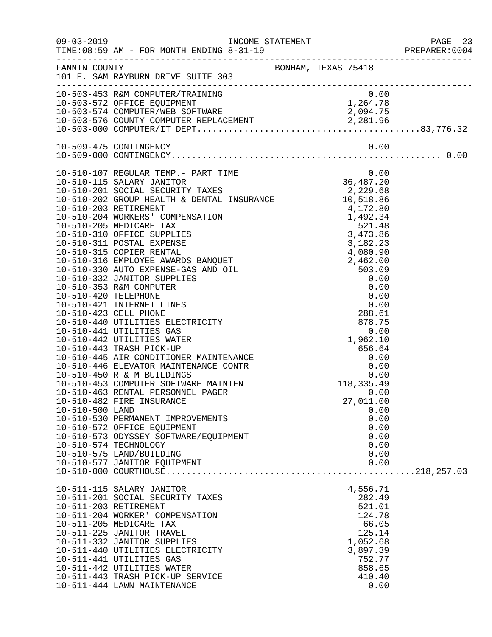|                 |                                                                                                                                                                                                                                                                                                                                                                                   |  |                                                                                                                 |                                              | PAGE 23<br>PREPARER:0004 |
|-----------------|-----------------------------------------------------------------------------------------------------------------------------------------------------------------------------------------------------------------------------------------------------------------------------------------------------------------------------------------------------------------------------------|--|-----------------------------------------------------------------------------------------------------------------|----------------------------------------------|--------------------------|
|                 | FANNIN COUNTY<br>101 E. SAM RAYBURN DRIVE SUITE 303                                                                                                                                                                                                                                                                                                                               |  |                                                                                                                 |                                              |                          |
|                 | 10-503-453 R&M COMPUTER/TRAINING 0.00<br>10-503-572 OFFICE EQUIPMENT 1,264.78<br>10-503-574 COMPUTER/WEB SOFTWARE 2,094.75<br>10-503-576 COUNTY COMPUTER REPLACEMENT 2,281.96<br>10-503-000 COMPUTER/IT DEPT                                                                                                                                                                      |  |                                                                                                                 |                                              |                          |
|                 |                                                                                                                                                                                                                                                                                                                                                                                   |  |                                                                                                                 |                                              |                          |
|                 |                                                                                                                                                                                                                                                                                                                                                                                   |  |                                                                                                                 |                                              |                          |
| 10-510-500 LAND | 10-510-482 FIRE INSURANCE<br>10-510-530 PERMANENT IMPROVEMENTS<br>10-510-572 OFFICE EQUIPMENT<br>10-510-573 ODYSSEY SOFTWARE/EQUIPMENT<br>10-510-574 TECHNOLOGY<br>10-510-575 LAND/BUILDING                                                                                                                                                                                       |  | 27,011.00                                                                                                       | 0.00<br>0.00<br>0.00<br>0.00<br>0.00<br>0.00 |                          |
|                 | 10-510-577 JANITOR EQUIPMENT                                                                                                                                                                                                                                                                                                                                                      |  |                                                                                                                 | 0.00                                         |                          |
|                 | 10-511-115 SALARY JANITOR<br>10-511-201 SOCIAL SECURITY TAXES<br>10-511-203 RETIREMENT<br>10-511-204 WORKER' COMPENSATION<br>10-511-205 MEDICARE TAX<br>10-511-225 JANITOR TRAVEL<br>10-511-332 JANITOR SUPPLIES<br>10-511-440 UTILITIES ELECTRICITY<br>10-511-441 UTILITIES GAS<br>10-511-442 UTILITIES WATER<br>10-511-443 TRASH PICK-UP SERVICE<br>10-511-444 LAWN MAINTENANCE |  | 4,556.71<br>282.49<br>521.01<br>124.78<br>66.05<br>125.14<br>1,052.68<br>3,897.39<br>752.77<br>858.65<br>410.40 | 0.00                                         |                          |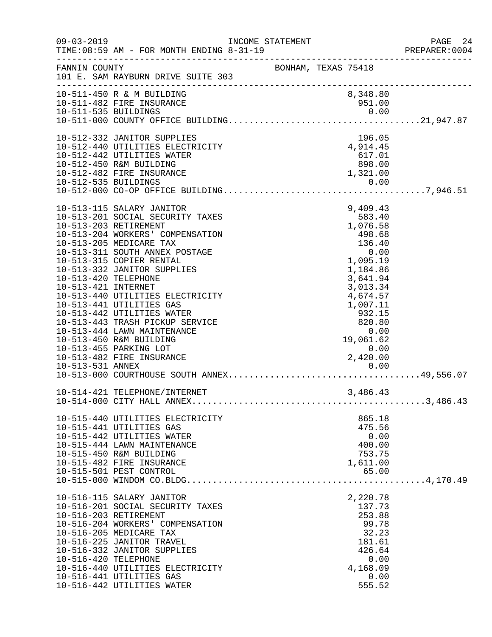| $09 - 03 - 2019$                            | INCOME STATEMENT<br> PREPARER:0<br> PREPARER:0 PREPARER:0<br>TIME: 08:59 AM - FOR MONTH ENDING 8-31-19                                                                                                                                                                                                                                                                                                                                                                                               |                     |                                                                                                                                                                                              |              | PAGE 24<br>PREPARER:0004 |
|---------------------------------------------|------------------------------------------------------------------------------------------------------------------------------------------------------------------------------------------------------------------------------------------------------------------------------------------------------------------------------------------------------------------------------------------------------------------------------------------------------------------------------------------------------|---------------------|----------------------------------------------------------------------------------------------------------------------------------------------------------------------------------------------|--------------|--------------------------|
| FANNIN COUNTY                               | 101 E. SAM RAYBURN DRIVE SUITE 303                                                                                                                                                                                                                                                                                                                                                                                                                                                                   | BONHAM, TEXAS 75418 |                                                                                                                                                                                              |              |                          |
|                                             | 10-511-450 R & M BUILDING<br>10-511-482 FIRE INSURANCE                                                                                                                                                                                                                                                                                                                                                                                                                                               |                     | 8,348.80<br>951.00                                                                                                                                                                           |              |                          |
|                                             | 10-512-332 JANITOR SUPPLIES<br>10-512-440 UTILITIES ELECTRICITY<br>10-512-442 UTILITIES WATER<br>10-512-450 R&M BUILDING<br>10-512-482 FIRE INSURANCE                                                                                                                                                                                                                                                                                                                                                |                     | 196.05<br>$4,914.45$<br>$617.01$<br>$898.00$<br>1,321.00                                                                                                                                     |              |                          |
| 10-513-420 TELEPHONE<br>10-513-421 INTERNET | 10-513-115 SALARY JANITOR<br>10-513-201 SOCIAL SECURITY TAXES<br>10-513-203 RETIREMENT<br>10-513-204 WORKERS' COMPENSATION<br>10-513-205 MEDICARE TAX<br>10-513-311 SOUTH ANNEX POSTAGE<br>10-513-315 COPIER RENTAL<br>10-513-332 JANITOR SUPPLIES<br>10-513-440 UTILITIES ELECTRICITY<br>10-513-441 UTILITIES GAS<br>10-513-442 UTILITIES WATER<br>10-513-443 TRASH PICKUP SERVICE<br>10-513-444 LAWN MAINTENANCE<br>10-513-450 R&M BUILDING<br>10-513-455 PARKING LOT<br>10-513-482 FIRE INSURANCE |                     | 9,409.43<br>583.40<br>1,076.58<br>498.68<br>136.40<br>0.00<br>1,095.19<br>1,184.86<br>3,641.94<br>3,013.34<br>4,674.57<br>1,007.11<br>932.15<br>820.80<br>0.00<br>19,061.62<br>0.00<br>0.000 |              |                          |
|                                             | 10-514-421 TELEPHONE/INTERNET                                                                                                                                                                                                                                                                                                                                                                                                                                                                        |                     | 3,486.43                                                                                                                                                                                     |              |                          |
|                                             | 10-515-440 UTILITIES ELECTRICITY<br>10-515-441 UTILITIES GAS<br>10-515-442 UTILITIES WATER<br>10-515-444 LAWN MAINTENANCE<br>10-515-450 R&M BUILDING<br>10-515-482 FIRE INSURANCE<br>10-515-501 PEST CONTROL                                                                                                                                                                                                                                                                                         |                     | 865.18<br>475.56<br>0.00<br>400.00<br>753.75<br>1,611.00<br>65.00                                                                                                                            |              |                          |
| 10-516-420 TELEPHONE                        | 10-516-115 SALARY JANITOR<br>10-516-201 SOCIAL SECURITY TAXES<br>10-516-203 RETIREMENT<br>10-516-204 WORKERS' COMPENSATION<br>10-516-205 MEDICARE TAX<br>10-516-225 JANITOR TRAVEL<br>10-516-332 JANITOR SUPPLIES<br>10-516-440 UTILITIES ELECTRICITY<br>10-516-441 UTILITIES GAS<br>10-516-442 UTILITIES WATER                                                                                                                                                                                      |                     | 2,220.78<br>137.73<br>253.88<br>99.78<br>32.23<br>181.61<br>426.64<br>4,168.09<br>555.52                                                                                                     | 0.00<br>0.00 |                          |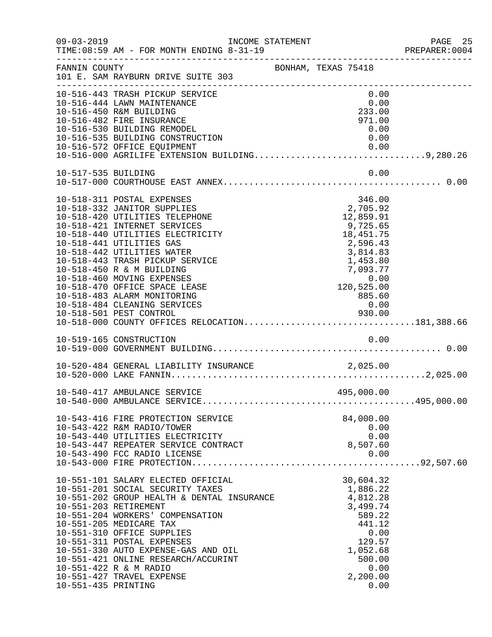| $09 - 03 - 2019$    | INCOME STATEMENT<br>TIME: 08:59 AM - FOR MONTH ENDING 8-31-19                                                                                                                                                                                                                                                                                                                                                                                                                                                               |                     |                                                                                                                                                                                                  | PAGE 25<br>PREPARER: 0004 |
|---------------------|-----------------------------------------------------------------------------------------------------------------------------------------------------------------------------------------------------------------------------------------------------------------------------------------------------------------------------------------------------------------------------------------------------------------------------------------------------------------------------------------------------------------------------|---------------------|--------------------------------------------------------------------------------------------------------------------------------------------------------------------------------------------------|---------------------------|
| FANNIN COUNTY       | 101 E. SAM RAYBURN DRIVE SUITE 303                                                                                                                                                                                                                                                                                                                                                                                                                                                                                          | BONHAM, TEXAS 75418 |                                                                                                                                                                                                  |                           |
|                     | 10-516-443 TRASH PICKUP SERVICE<br>10-516-444 LAWN MAINTENANCE<br>10-516-450 R&M BUILDING<br>10-516-482 FIRE INSURANCE<br>10-516-530 BUILDING REMODEL<br>10-516-535 BUILDING CONSTRUCTION<br>10-516-572 OFFICE EQUIPMENT<br>10-516-572 OFFICE EQUIPMENT<br>10-516-000 AGRILIFE EXTENSION BUILDING9,280.26                                                                                                                                                                                                                   |                     | 0.00<br>0.00<br>233.00<br>971.00<br>0.00<br>0.00                                                                                                                                                 |                           |
| 10-517-535 BUILDING |                                                                                                                                                                                                                                                                                                                                                                                                                                                                                                                             |                     | 0.00                                                                                                                                                                                             |                           |
|                     | 10-518-311 POSTAL EXPENSES<br>10-518-332 JANITOR SUPPLIES<br>10-518-420 UTILITIES TELEPHONE<br>10-518-421 INTERNET SERVICES<br>10-518-440 UTILITIES ELECTRICITY<br>10-518-441 UTILITIES GAS<br>10-518-442 UTILITIES WATER<br>10-518-443 TRASH PICKUP SERVICE<br>10-518-450 R & M BUILDING<br>10-518-460 MOVING EXPENSES<br>10-518-470 OFFICE SPACE LEASE<br>10-518-483 ALARM MONITORING<br>10-518-484 CLEANING SERVICES<br>930.00 PEST CONTROL 930.00 PEST CONTROL 930.00<br>10-518-000 COUNTY OFFICES RELOCATION181,388.66 |                     | 346.00<br>2,705.92<br>12,859.91<br>9,725.65<br>18, 451. 75<br>2,596.43<br>3,814.83<br>1,453.80<br>$\begin{array}{r} 7,093.77 \ 7,093.77 \ 0.00 \ 120,525.00 \ 885.60 \ 0.00 \end{array}$<br>0.00 |                           |
|                     | 10-519-165 CONSTRUCTION                                                                                                                                                                                                                                                                                                                                                                                                                                                                                                     |                     | 0.00                                                                                                                                                                                             |                           |
|                     |                                                                                                                                                                                                                                                                                                                                                                                                                                                                                                                             |                     |                                                                                                                                                                                                  |                           |
|                     | 10-540-417 AMBULANCE SERVICE                                                                                                                                                                                                                                                                                                                                                                                                                                                                                                |                     | 495,000.00                                                                                                                                                                                       |                           |
|                     | 10-543-416 FIRE PROTECTION SERVICE<br>10-543-422 R&M RADIO/TOWER<br>10-543-440 UTILITIES ELECTRICITY<br>10-543-447 REPEATER SERVICE CONTRACT<br>10-543-490 FCC RADIO LICENSE                                                                                                                                                                                                                                                                                                                                                |                     | 84,000.00<br>0.00<br>0.00<br>8,507.60<br>0.00                                                                                                                                                    |                           |
| 10-551-435 PRINTING | 10-551-101 SALARY ELECTED OFFICIAL<br>10-551-201 SOCIAL SECURITY TAXES<br>10-551-202 GROUP HEALTH & DENTAL INSURANCE<br>10-551-203 RETIREMENT<br>10-551-204 WORKERS' COMPENSATION<br>10-551-205 MEDICARE TAX<br>10-551-310 OFFICE SUPPLIES<br>10-551-311 POSTAL EXPENSES<br>10-551-330 AUTO EXPENSE-GAS AND OIL<br>10-551-421 ONLINE RESEARCH/ACCURINT<br>10-551-422 R & M RADIO<br>10-551-427 TRAVEL EXPENSE                                                                                                               |                     | 30,604.32<br>1,886.22<br>4,812.28<br>3,499.74<br>589.22<br>441.12<br>0.00<br>129.57<br>1,052.68<br>500.00<br>0.00<br>2,200.00<br>0.00                                                            |                           |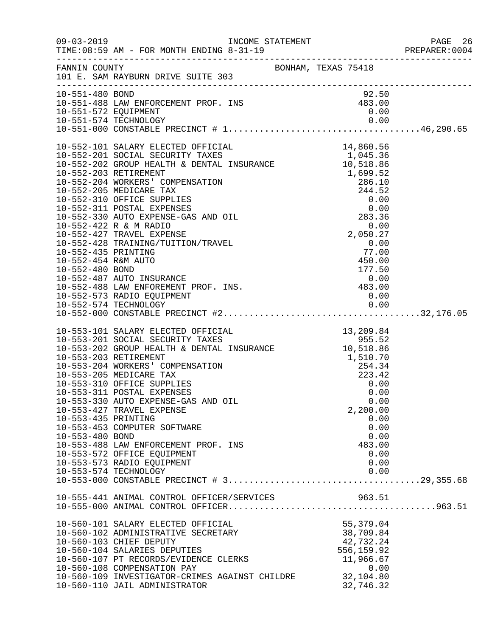| $09 - 03 - 2019$                       | TIME: 08:59 AM - FOR MONTH ENDING 8-31-19                                                                                                                                                                                                                                                                                                                                                                                                                                                                                                                       |                                                                                                      | PAGE 26<br>PREPARER:0004 |
|----------------------------------------|-----------------------------------------------------------------------------------------------------------------------------------------------------------------------------------------------------------------------------------------------------------------------------------------------------------------------------------------------------------------------------------------------------------------------------------------------------------------------------------------------------------------------------------------------------------------|------------------------------------------------------------------------------------------------------|--------------------------|
|                                        | FANNIN COUNTY<br>101 E. SAM RAYBURN DRIVE SUITE 303                                                                                                                                                                                                                                                                                                                                                                                                                                                                                                             |                                                                                                      |                          |
|                                        | 92.50<br>10-551-488 LAW ENFORCEMENT PROF. INS<br>10-551-572 EQUIPMENT<br>10-551-574 TECHNOLOGY<br>10-551-574 TECHNOLOGY                                                                                                                                                                                                                                                                                                                                                                                                                                         | 92.50                                                                                                |                          |
|                                        | 10-552-573 RADIO EQUIPMENT                                                                                                                                                                                                                                                                                                                                                                                                                                                                                                                                      | 0.00                                                                                                 |                          |
| 10-553-435 PRINTING<br>10-553-480 BOND | 10-553-101 SALARY ELECTED OFFICIAL 13,209.84<br>10-553-201 SOCIAL SECURITY TAXES 955.52<br>10-553-202 GROUP HEALTH & DENTAL INSURANCE 10-553-203 RETIREMENT 1,510.70<br>10-553-204 WORKERS' COMPENSATION 254.34<br>10-553-205 MEDICARE<br>10-553-205 MEDICARE TAX<br>10-553-310 OFFICE SUPPLIES<br>10-553-311 POSTAL EXPENSES<br>10-553-330 AUTO EXPENSE-GAS AND OIL<br>10-553-427 TRAVEL EXPENSE<br>10-553-453 COMPUTER SOFTWARE<br>10-553-488 LAW ENFORCEMENT PROF. INS<br>10-553-572 OFFICE EQUIPMENT<br>10-553-573 RADIO EQUIPMENT<br>10-553-574 TECHNOLOGY | 223.42<br>0.00<br>0.00<br>0.00<br>2,200.00<br>0.00<br>0.00<br>0.00<br>483.00<br>0.00<br>0.00<br>0.00 |                          |
|                                        | 10-555-441 ANIMAL CONTROL OFFICER/SERVICES 963.51<br>10-560-101 SALARY ELECTED OFFICIAL<br>10-560-102 ADMINISTRATIVE SECRETARY<br>10-560-103 CHIEF DEPUTY<br>10-560-104 SALARIES DEPUTIES<br>10-560-107 PT RECORDS/EVIDENCE CLERKS<br>10-560-108 COMPENSATION PAY<br>10-560-109 INVESTIGATOR-CRIMES AGAINST CHILDRE 32, 104.80<br>10-560-110 JAIL ADMINISTRATOR                                                                                                                                                                                                 | 55,379.04<br>38,709.84<br>42,732.24<br>556,159.92<br>11,966.67<br>0.00<br>32,746.32                  |                          |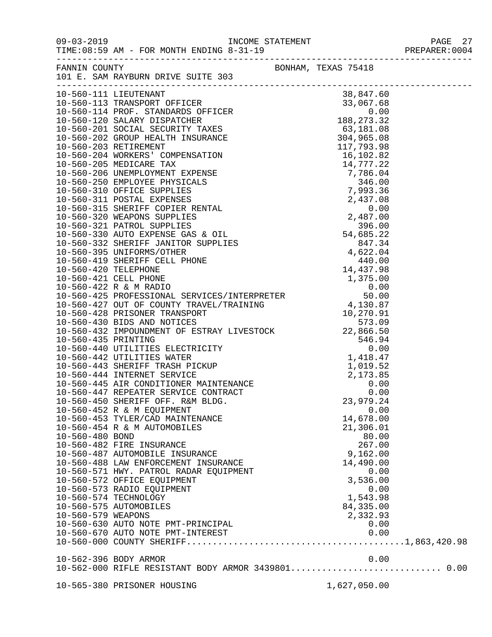| $09 - 03 - 2019$   | INCOME STATEMENT<br>AM - FOR MONTH ENDING 8-31-19<br>TIME: 08:59 AM - FOR MONTH ENDING 8-31-19 |              | PAGE 27<br>PREPARER: 0004 |
|--------------------|------------------------------------------------------------------------------------------------|--------------|---------------------------|
|                    | FANNIN COUNTY BONHAM, TEXAS 75418<br>101 E. SAM RAYBURN DRIVE SUITE 303                        |              |                           |
|                    |                                                                                                |              |                           |
|                    |                                                                                                |              |                           |
|                    |                                                                                                |              |                           |
|                    |                                                                                                |              |                           |
|                    |                                                                                                |              |                           |
|                    |                                                                                                |              |                           |
|                    |                                                                                                |              |                           |
|                    |                                                                                                |              |                           |
|                    |                                                                                                |              |                           |
|                    |                                                                                                |              |                           |
|                    |                                                                                                |              |                           |
|                    |                                                                                                |              |                           |
|                    |                                                                                                |              |                           |
|                    |                                                                                                |              |                           |
|                    |                                                                                                |              |                           |
|                    |                                                                                                |              |                           |
|                    |                                                                                                |              |                           |
|                    |                                                                                                |              |                           |
|                    |                                                                                                |              |                           |
|                    |                                                                                                |              |                           |
|                    |                                                                                                |              |                           |
|                    |                                                                                                |              |                           |
|                    |                                                                                                |              |                           |
|                    |                                                                                                |              |                           |
|                    |                                                                                                |              |                           |
|                    |                                                                                                |              |                           |
|                    |                                                                                                |              |                           |
|                    |                                                                                                |              |                           |
|                    |                                                                                                |              |                           |
|                    |                                                                                                |              |                           |
|                    |                                                                                                |              |                           |
|                    | 10-560-445 AIR CONDITIONER MAINTENANCE<br>10-560-447 REPEATER SERVICE CONTRACT                 |              | 0.00                      |
|                    |                                                                                                |              | 0.00                      |
|                    | 10-560-450 SHERIFF OFF. R&M BLDG.                                                              | 23,979.24    |                           |
|                    | 10-560-452 R & M EQUIPMENT                                                                     |              | 0.00                      |
|                    | 10-560-453 TYLER/CAD MAINTENANCE                                                               | 14,678.00    |                           |
|                    | 10-560-454 R & M AUTOMOBILES                                                                   | 21,306.01    |                           |
| 10-560-480 BOND    |                                                                                                | 80.00        |                           |
|                    | 10-560-482 FIRE INSURANCE                                                                      | 267.00       |                           |
|                    | 10-560-487 AUTOMOBILE INSURANCE                                                                | 9,162.00     |                           |
|                    | 10-560-488 LAW ENFORCEMENT INSURANCE                                                           | 14,490.00    |                           |
|                    | 10-560-571 HWY. PATROL RADAR EQUIPMENT                                                         |              | 0.00                      |
|                    | 10-560-572 OFFICE EQUIPMENT                                                                    | 3,536.00     |                           |
|                    | 10-560-573 RADIO EQUIPMENT                                                                     |              | 0.00                      |
|                    | 10-560-574 TECHNOLOGY                                                                          | 1,543.98     |                           |
|                    | 10-560-575 AUTOMOBILES                                                                         | 84, 335.00   |                           |
| 10-560-579 WEAPONS |                                                                                                | 2,332.93     |                           |
|                    | 10-560-630 AUTO NOTE PMT-PRINCIPAL                                                             |              | 0.00                      |
|                    |                                                                                                |              |                           |
|                    |                                                                                                |              |                           |
|                    | 10-562-396 BODY ARMOR                                                                          |              | 0.00                      |
|                    | 10-562-000 RIFLE RESISTANT BODY ARMOR 3439801 0.00                                             |              |                           |
|                    |                                                                                                |              |                           |
|                    | 10-565-380 PRISONER HOUSING                                                                    | 1,627,050.00 |                           |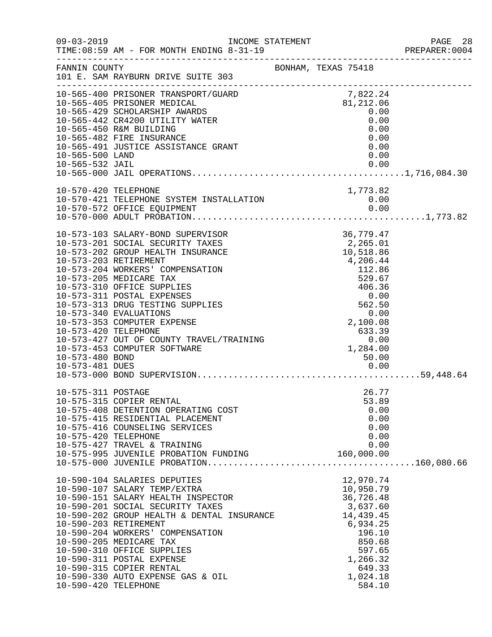| $09 - 03 - 2019$                                           | TIME: 08:59 AM - FOR MONTH ENDING 8-31-19                                                                                                                                                                                                                                                                                                                                                                                               |                                                                                                                                                                   | PAGE 28<br>PREPARER:0004 |
|------------------------------------------------------------|-----------------------------------------------------------------------------------------------------------------------------------------------------------------------------------------------------------------------------------------------------------------------------------------------------------------------------------------------------------------------------------------------------------------------------------------|-------------------------------------------------------------------------------------------------------------------------------------------------------------------|--------------------------|
| FANNIN COUNTY                                              | 101 E. SAM RAYBURN DRIVE SUITE 303                                                                                                                                                                                                                                                                                                                                                                                                      | BONHAM, TEXAS 75418                                                                                                                                               |                          |
| 10-565-500 LAND<br>10-565-532 JAIL                         | 10-565-400 PRISONER TRANSPORT/GUARD<br>10-565-405 PRISONER MEDICAL<br>10-565-429 SCHOLARSHIP AWARDS<br>10-565-442 CR4200 UTILITY WATER<br>10-565-450 R&M BUILDING<br>10-565-482 FIRE INSURANCE<br>10-565-491 JUSTICE ASSISTANCE GRANT                                                                                                                                                                                                   | 7,822.24<br>81,212.06<br>0.00<br>0.00<br>0.00<br>0.00<br>0.00<br>0.00<br>0.00                                                                                     |                          |
| 10-570-420 TELEPHONE                                       |                                                                                                                                                                                                                                                                                                                                                                                                                                         | 1,773.82                                                                                                                                                          |                          |
| 10-573-420 TELEPHONE<br>10-573-480 BOND<br>10-573-481 DUES | 10-573-103 SALARY-BOND SUPERVISOR<br>10-573-201 SOCIAL SECURITY TAXES<br>10-573-202 GROUP HEALTH INSURANCE<br>10-573-203 RETIREMENT<br>10-573-204 WORKERS' COMPENSATION<br>10-573-205 MEDICARE TAX<br>10-573-310 OFFICE SUPPLIES<br>10-573-311 POSTAL EXPENSES<br>10-573-313 DRUG TESTING SUPPLIES<br>10-573-340 EVALUATIONS<br>10-573-353 COMPUTER EXPENSE<br>10-573-427 OUT OF COUNTY TRAVEL/TRAINING<br>10-573-453 COMPUTER SOFTWARE | 36,779.47<br>2,265.01<br>10,518.86<br>4,206.44<br>112.86<br>529.67<br>406.36<br>0.00<br>562.50<br>0.00<br>2,100.08<br>633.39<br>0.00<br>1,284.00<br>50.00<br>0.00 |                          |
| 10-575-311 POSTAGE<br>10-575-420 TELEPHONE                 | 10-575-315 COPIER RENTAL<br>10-575-408 DETENTION OPERATING COST<br>10-575-415 RESIDENTIAL PLACEMENT<br>10-575-416 COUNSELING SERVICES<br>10-575-427 TRAVEL & TRAINING<br>10-575-995 JUVENILE PROBATION FUNDING                                                                                                                                                                                                                          | 26.77<br>53.89<br>0.00<br>0.00<br>0.00<br>0.00<br>0.00<br>160,000.00                                                                                              |                          |
| 10-590-420 TELEPHONE                                       | 10-590-104 SALARIES DEPUTIES<br>10-590-107 SALARY TEMP/EXTRA<br>10-590-151 SALARY HEALTH INSPECTOR<br>10-590-201 SOCIAL SECURITY TAXES<br>10-590-202 GROUP HEALTH & DENTAL INSURANCE<br>10-590-203 RETIREMENT<br>10-590-204 WORKERS' COMPENSATION<br>10-590-205 MEDICARE TAX<br>10-590-310 OFFICE SUPPLIES<br>10-590-311 POSTAL EXPENSE<br>10-590-315 COPIER RENTAL<br>10-590-330 AUTO EXPENSE GAS & OIL                                | 12,970.74<br>10,950.79<br>36,726.48<br>3,637.60<br>14,439.45<br>6,934.25<br>196.10<br>850.68<br>597.65<br>1,266.32<br>649.33<br>1,024.18<br>584.10                |                          |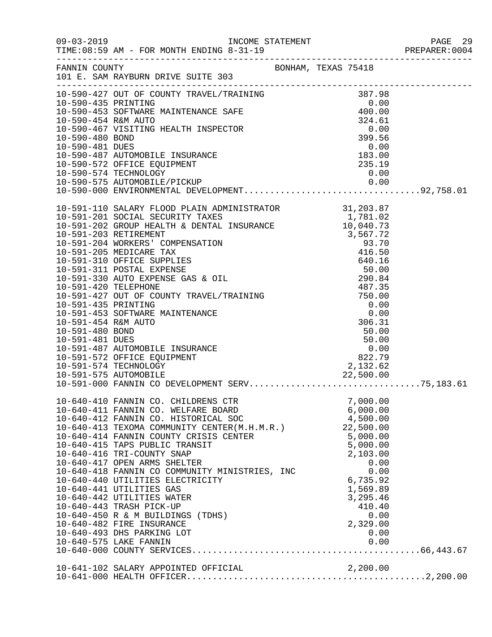|                 | FANNIN COUNTY BONHAM, TEXAS 75418<br>101 E. SAM RAYBURN DRIVE SUITE 303                                                                                     |                      |  |
|-----------------|-------------------------------------------------------------------------------------------------------------------------------------------------------------|----------------------|--|
|                 |                                                                                                                                                             |                      |  |
|                 |                                                                                                                                                             |                      |  |
|                 |                                                                                                                                                             |                      |  |
|                 |                                                                                                                                                             |                      |  |
|                 |                                                                                                                                                             |                      |  |
|                 |                                                                                                                                                             |                      |  |
|                 |                                                                                                                                                             |                      |  |
|                 |                                                                                                                                                             |                      |  |
|                 |                                                                                                                                                             |                      |  |
|                 |                                                                                                                                                             |                      |  |
|                 |                                                                                                                                                             |                      |  |
|                 |                                                                                                                                                             |                      |  |
|                 |                                                                                                                                                             |                      |  |
|                 |                                                                                                                                                             |                      |  |
|                 |                                                                                                                                                             |                      |  |
|                 |                                                                                                                                                             |                      |  |
|                 |                                                                                                                                                             |                      |  |
| 10-591-480 BOND |                                                                                                                                                             |                      |  |
| 10-591-481 DUES | 10-591-487 AUTOMOBILE INSURANCE                                                                                                                             |                      |  |
|                 | 10-591-572 OFFICE EQUIPMENT                                                                                                                                 |                      |  |
|                 | 10-591-574 TECHNOLOGY                                                                                                                                       |                      |  |
|                 | 10-591-575 AUTOMOBILE                                                                                                                                       |                      |  |
|                 | 10-640-410 FANNIN CO. CHILDRENS CTR                                                                                                                         | 7,000.00             |  |
|                 | 10-640-411 FANNIN CO. WELFARE BOARD                                                                                                                         | 6,000.00             |  |
|                 | $10-640-412$ FANNIN CO. HISTORICAL SOC $4,500.00$<br>$10-640-413$ TEXOMA COMMUNITY CENTER(M.H.M.R.) $22,500.00$<br>$10-640-414$ FANNIN COUNTY CEITER CENTER |                      |  |
|                 | 10-640-414 FANNIN COUNTY CRISIS CENTER                                                                                                                      | 5,000.00<br>5,000.00 |  |
|                 | 10-640-415 TAPS PUBLIC TRANSIT<br>10-640-416 TRI-COUNTY SNAP                                                                                                | 2,103.00             |  |
|                 | 10-640-417 OPEN ARMS SHELTER<br>10-640-417 OPEN ARMS SHELTER<br>10-640-418 FANNIN CO COMMUNITY MINISTRIES, INC                                              | 0.00                 |  |
|                 | 10-640-440 UTILITIES ELECTRICITY                                                                                                                            | 0.00<br>6,735.92     |  |
|                 | 10-640-441 UTILITIES GAS                                                                                                                                    | 1,569.89             |  |
|                 | 10-640-442 UTILITIES WATER                                                                                                                                  | 3,295.46             |  |
|                 | 10-640-443 TRASH PICK-UP<br>10-640-450 R & M BUILDINGS (TDHS)                                                                                               | 410.40<br>0.00       |  |
|                 | 10-640-482 FIRE INSURANCE                                                                                                                                   | 2,329.00             |  |
|                 | 10-640-493 DHS PARKING LOT<br>10-640-575 LAKE FANNIN                                                                                                        | 0.00<br>0.00         |  |
|                 |                                                                                                                                                             |                      |  |
|                 | 10-641-102 SALARY APPOINTED OFFICIAL 2,200.00                                                                                                               |                      |  |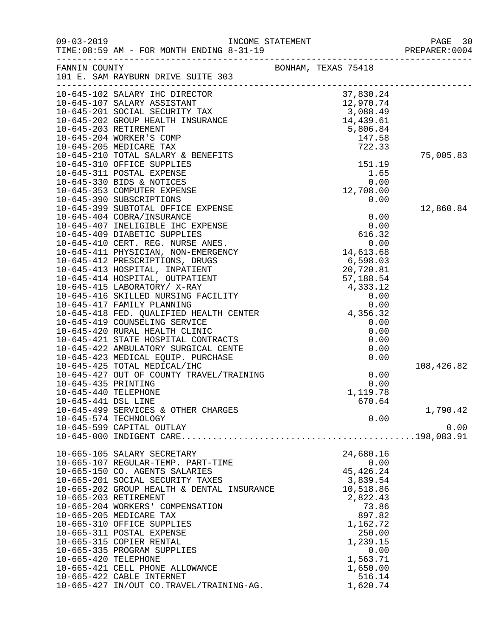|                      |                                                                                                                                                                                                                                          |                     | PAGE 30<br>PREPARER: 0004 |
|----------------------|------------------------------------------------------------------------------------------------------------------------------------------------------------------------------------------------------------------------------------------|---------------------|---------------------------|
| FANNIN COUNTY        | 101 E. SAM RAYBURN DRIVE SUITE 303                                                                                                                                                                                                       | BONHAM, TEXAS 75418 |                           |
|                      |                                                                                                                                                                                                                                          |                     |                           |
|                      |                                                                                                                                                                                                                                          |                     |                           |
|                      |                                                                                                                                                                                                                                          |                     |                           |
|                      |                                                                                                                                                                                                                                          |                     |                           |
|                      |                                                                                                                                                                                                                                          |                     |                           |
|                      |                                                                                                                                                                                                                                          |                     |                           |
|                      |                                                                                                                                                                                                                                          |                     | 75,005.83                 |
|                      | 10-645-310 OFFICE SUPPLIES                                                                                                                                                                                                               | 151.19              |                           |
|                      | 10-645-311 POSTAL EXPENSE                                                                                                                                                                                                                | 1.65                |                           |
|                      | 10-645-330 BIDS & NOTICES                                                                                                                                                                                                                | 0.00                |                           |
|                      | 10-645-353 COMPUTER EXPENSE                                                                                                                                                                                                              | 12,708.00           |                           |
|                      | 10-645-390 SUBSCRIPTIONS                                                                                                                                                                                                                 | 0.00                |                           |
|                      | 10-645-399 SUBTOTAL OFFICE EXPENSE                                                                                                                                                                                                       |                     | 12,860.84                 |
|                      | 10-645-404 COBRA/INSURANCE                                                                                                                                                                                                               | 0.00                |                           |
|                      | 10-645-407 INELIGIBLE IHC EXPENSE                                                                                                                                                                                                        | 0.00                |                           |
|                      | 10-645-409 DIABETIC SUPPLIES                                                                                                                                                                                                             | 616.32              |                           |
|                      | 10-645-410 CERT. REG. NURSE ANES.                                                                                                                                                                                                        | 0.00                |                           |
|                      | 10-645-411 PHYSICIAN, NON-EMERGENCY                                                                                                                                                                                                      | 14,613.68           |                           |
|                      | 10-645-412 PRESCRIPTIONS, DRUGS                                                                                                                                                                                                          | 6,598.03            |                           |
|                      | 10-645-413 HOSPITAL, INPATIENT                                                                                                                                                                                                           | 20,720.81           |                           |
|                      | 10-645-414 HOSPITAL, OUTPATIENT                                                                                                                                                                                                          | 57,188.54           |                           |
|                      | 10-645-415 LABORATORY/ X-RAY                                                                                                                                                                                                             | 4,333.12            |                           |
|                      | 10-645-416 SKILLED NURSING FACILITY                                                                                                                                                                                                      | 0.00                |                           |
|                      |                                                                                                                                                                                                                                          |                     |                           |
|                      | 0.00<br>10-645-418 FED. QUALIFIED HEALTH CENTER 0.00<br>10-645-419 COUNSELING SERVICE 0.00<br>10-645-420 RURAL HEALTH CLINIC 0.00<br>10-645-421 STATE HOSPITAL CONTRACTS 0.00<br>10-645-422 AMBULATORY SURGICAL CENTE 0.00<br>10-645-423 |                     |                           |
|                      |                                                                                                                                                                                                                                          |                     |                           |
|                      |                                                                                                                                                                                                                                          |                     |                           |
|                      |                                                                                                                                                                                                                                          |                     |                           |
|                      |                                                                                                                                                                                                                                          |                     |                           |
|                      | 10-645-425 TOTAL MEDICAL/IHC                                                                                                                                                                                                             |                     | 108,426.82                |
|                      | 10-645-427 OUT OF COUNTY TRAVEL/TRAINING                                                                                                                                                                                                 | 0.00                |                           |
| 10-645-435 PRINTING  |                                                                                                                                                                                                                                          | 0.00                |                           |
| 10-645-440 TELEPHONE |                                                                                                                                                                                                                                          | 1,119.78            |                           |
| 10-645-441 DSL LINE  |                                                                                                                                                                                                                                          | 670.64              |                           |
|                      | 10-645-499 SERVICES & OTHER CHARGES                                                                                                                                                                                                      |                     | 1,790.42                  |
|                      | 10-645-574 TECHNOLOGY                                                                                                                                                                                                                    | 0.00                |                           |
|                      | 10-645-599 CAPITAL OUTLAY                                                                                                                                                                                                                |                     | 0.00                      |
|                      |                                                                                                                                                                                                                                          |                     |                           |
|                      | 10-665-105 SALARY SECRETARY                                                                                                                                                                                                              | 24,680.16           |                           |
|                      | 10-665-107 REGULAR-TEMP. PART-TIME                                                                                                                                                                                                       | 0.00                |                           |
|                      | 10-665-150 CO. AGENTS SALARIES                                                                                                                                                                                                           | 45, 426.24          |                           |
|                      | 10-665-201 SOCIAL SECURITY TAXES                                                                                                                                                                                                         | 3,839.54            |                           |
|                      | 10-665-202 GROUP HEALTH & DENTAL INSURANCE                                                                                                                                                                                               | 10,518.86           |                           |
|                      | 10-665-203 RETIREMENT                                                                                                                                                                                                                    | 2,822.43            |                           |
|                      | 10-665-204 WORKERS' COMPENSATION                                                                                                                                                                                                         | 73.86               |                           |
|                      | 10-665-205 MEDICARE TAX                                                                                                                                                                                                                  | 897.82              |                           |
|                      | 10-665-310 OFFICE SUPPLIES                                                                                                                                                                                                               | 1,162.72            |                           |
|                      | 10-665-311 POSTAL EXPENSE                                                                                                                                                                                                                | 250.00              |                           |
|                      | 10-665-315 COPIER RENTAL                                                                                                                                                                                                                 | 1,239.15            |                           |
|                      | 10-665-335 PROGRAM SUPPLIES                                                                                                                                                                                                              | 0.00                |                           |
| 10-665-420 TELEPHONE |                                                                                                                                                                                                                                          | 1,563.71            |                           |
|                      | 10-665-421 CELL PHONE ALLOWANCE                                                                                                                                                                                                          | 1,650.00            |                           |
|                      | 10-665-422 CABLE INTERNET                                                                                                                                                                                                                | 516.14              |                           |
|                      | 10-665-427 IN/OUT CO.TRAVEL/TRAINING-AG.                                                                                                                                                                                                 | 1,620.74            |                           |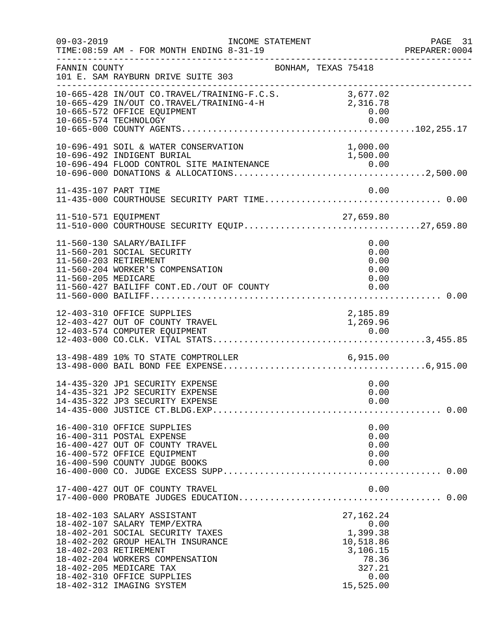| $09 - 03 - 2019$                             | INCOME STATEMENT<br>TIME: 08:59 AM - FOR MONTH ENDING 8-31-19                                                                                                                                                                                                 |                                                                                                  | PAGE 31<br>PREPARER:0004 |
|----------------------------------------------|---------------------------------------------------------------------------------------------------------------------------------------------------------------------------------------------------------------------------------------------------------------|--------------------------------------------------------------------------------------------------|--------------------------|
| FANNIN COUNTY                                | 101 E. SAM RAYBURN DRIVE SUITE 303                                                                                                                                                                                                                            | BONHAM, TEXAS 75418                                                                              |                          |
|                                              | 10-665-428 IN/OUT CO.TRAVEL/TRAINING-F.C.S. 3,677.02<br>10-665-429 IN/OUT CO.TRAVEL/TRAINING-4-H<br>10-665-572 OFFICE EQUIPMENT<br>10-665-574 TECHNOLOGY                                                                                                      | 2,316.78<br>0.00<br>0.00                                                                         |                          |
|                                              | 10-696-491 SOIL & WATER CONSERVATION<br>10-696-492 INDIGENT BURIAL                                                                                                                                                                                            | 1,000.00<br>1,500.00                                                                             |                          |
| 11-435-107 PART TIME                         | 11-435-000 COURTHOUSE SECURITY PART TIME 0.00                                                                                                                                                                                                                 | 0.00                                                                                             |                          |
|                                              |                                                                                                                                                                                                                                                               |                                                                                                  |                          |
| 11-560-203 RETIREMENT<br>11-560-205 MEDICARE | 11-560-130 SALARY/BAILIFF<br>11-560-201 SOCIAL SECURITY<br>11-560-204 WORKER'S COMPENSATION<br>11-560-427 BAILIFF CONT.ED./OUT OF COUNTY                                                                                                                      | 0.00<br>0.00<br>0.00<br>0.00<br>0.00<br>0.00                                                     |                          |
|                                              | 12-403-310 OFFICE SUPPLIES<br>12-403-427 OUT OF COUNTY TRAVEL                                                                                                                                                                                                 | 2,185.89<br>1,269.96                                                                             |                          |
|                                              | 13-498-489 10% TO STATE COMPTROLLER 6,915.00                                                                                                                                                                                                                  |                                                                                                  |                          |
|                                              | 14-435-320 JP1 SECURITY EXPENSE<br>14-435-321 JP2 SECURITY EXPENSE                                                                                                                                                                                            | 0.00<br>0.00<br>0.00                                                                             |                          |
|                                              | 16-400-310 OFFICE SUPPLIES<br>16-400-311 POSTAL EXPENSE<br>16-400-427 OUT OF COUNTY TRAVEL<br>16-400-572 OFFICE EQUIPMENT<br>16-400-590 COUNTY JUDGE BOOKS                                                                                                    | 0.00<br>0.00<br>0.00<br>0.00<br>0.00                                                             |                          |
|                                              | 17-400-427 OUT OF COUNTY TRAVEL                                                                                                                                                                                                                               | 0.00                                                                                             |                          |
| 18-402-203 RETIREMENT                        | 18-402-103 SALARY ASSISTANT<br>18-402-107 SALARY TEMP/EXTRA<br>18-402-201 SOCIAL SECURITY TAXES<br>18-402-202 GROUP HEALTH INSURANCE<br>18-402-204 WORKERS COMPENSATION<br>18-402-205 MEDICARE TAX<br>18-402-310 OFFICE SUPPLIES<br>18-402-312 IMAGING SYSTEM | 27, 162. 24<br>0.00<br>1,399.38<br>10,518.86<br>3,106.15<br>78.36<br>327.21<br>0.00<br>15,525.00 |                          |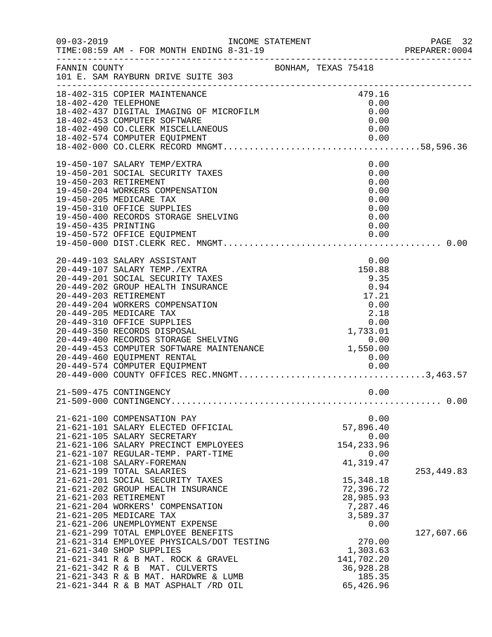|                      |                                                                                                                                                                                                                                                                                                                                                                                                                                                                                                                                          |                     |                                                               |                                                              | PREPARER: 0004            |
|----------------------|------------------------------------------------------------------------------------------------------------------------------------------------------------------------------------------------------------------------------------------------------------------------------------------------------------------------------------------------------------------------------------------------------------------------------------------------------------------------------------------------------------------------------------------|---------------------|---------------------------------------------------------------|--------------------------------------------------------------|---------------------------|
| FANNIN COUNTY        | 101 E. SAM RAYBURN DRIVE SUITE 303                                                                                                                                                                                                                                                                                                                                                                                                                                                                                                       | BONHAM, TEXAS 75418 |                                                               |                                                              |                           |
| 18-402-420 TELEPHONE | 18-402-315 COPIER MAINTENANCE<br>18-402-437 DIGITAL IMAGING OF MICROFILM<br>18-402-453 COMPUTER SOFTWARE<br>18-402-490 CO. CLERK MISCELLANEOUS                                                                                                                                                                                                                                                                                                                                                                                           |                     | 479.16                                                        | 0.00<br>0.00<br>0.00<br>0.00                                 |                           |
| 19-450-435 PRINTING  | 19-450-107 SALARY TEMP/EXTRA<br>19-450-201 SOCIAL SECURITY TAXES<br>19-450-203 RETIREMENT<br>19-450-204 WORKERS COMPENSATION<br>19-450-205 MEDICARE TAX<br>19-450-310 OFFICE SUPPLIES<br>19-450-400 RECORDS STORAGE SHELVING                                                                                                                                                                                                                                                                                                             |                     |                                                               | 0.00<br>0.00<br>0.00<br>0.00<br>0.00<br>0.00<br>0.00<br>0.00 |                           |
|                      | 20-449-103 SALARY ASSISTANT<br>20-449-107 SALARY TEMP./EXTRA<br>20-449-201 SOCIAL SECURITY TAXES<br>20-449-202 GROUP HEALTH INSURANCE<br>20-449-203 RETIREMENT<br>$\begin{tabular}{lllllllllll} & & & & & 17.21 & \\ 20-449-205 & MEDICARE TAX & & & 0.00 & \\ 20-449-310 & OFFICE SUPPLIES & & & 2.18 & \\ 20-449-350 RECORDS DISPOSAL & & & 1,733.01 & \\ 20-449-400 RECORDS STORAGE SHELVING & & & & 0.00 & \\ 20-449-453 COMPUTER SOFTWARE MANTENANCE & & & & 0.00 & \\ 20-449-460 EQUIPMENT RENTAL & & & & 1,550.00 & \\ 20-449-57$ |                     | 17.21                                                         | 0.00<br>150.88<br>9.35<br>0.94                               |                           |
|                      | 21-509-475 CONTINGENCY                                                                                                                                                                                                                                                                                                                                                                                                                                                                                                                   |                     |                                                               | 0.00                                                         |                           |
|                      | 21-621-100 COMPENSATION PAY<br>21-621-101 SALARY ELECTED OFFICIAL<br>21-621-105 SALARY SECRETARY<br>21-621-106 SALARY PRECINCT EMPLOYEES<br>21-621-107 REGULAR-TEMP. PART-TIME<br>21-621-108 SALARY-FOREMAN                                                                                                                                                                                                                                                                                                                              |                     | 57,896.40<br>154, 233.96<br>41, 319.47                        | 0.00<br>0.00<br>0.00                                         |                           |
|                      | 21-621-199 TOTAL SALARIES<br>21-621-201 SOCIAL SECURITY TAXES<br>21-621-202 GROUP HEALTH INSURANCE<br>21-621-203 RETIREMENT<br>21-621-204 WORKERS' COMPENSATION<br>21-621-205 MEDICARE TAX<br>21-621-206 UNEMPLOYMENT EXPENSE<br>21-621-299 TOTAL EMPLOYEE BENEFITS                                                                                                                                                                                                                                                                      |                     | 15, 348. 18<br>72,396.72<br>28,985.93<br>7,287.46<br>3,589.37 | 0.00                                                         | 253, 449.83<br>127,607.66 |
|                      | 21-621-314 EMPLOYEE PHYSICALS/DOT TESTING<br>21-621-340 SHOP SUPPLIES<br>21-621-341 R & B MAT. ROCK & GRAVEL<br>21-621-342 R & B MAT. CULVERTS<br>21-621-343 R & B MAT. HARDWRE & LUMB<br>21-621-344 R & B MAT ASPHALT /RD OIL                                                                                                                                                                                                                                                                                                           |                     | 1,303.63<br>141,702.20<br>36,928.28<br>65,426.96              | 270.00<br>185.35                                             |                           |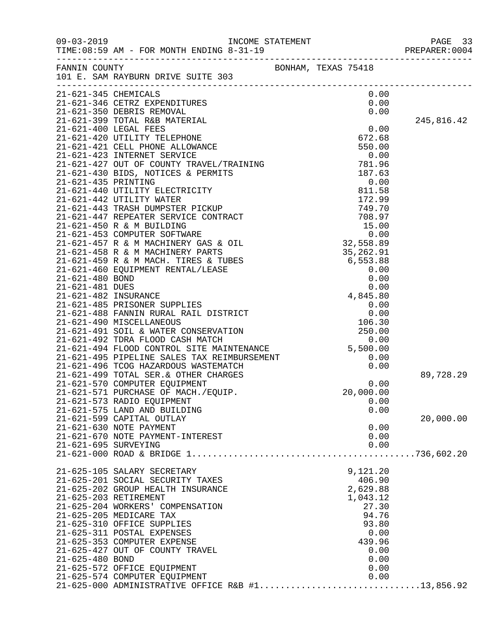| $09 - 03 - 2019$      | TIME: 08:59 AM - FOR MONTH ENDING 8-31-19                      |                     |            |
|-----------------------|----------------------------------------------------------------|---------------------|------------|
| FANNIN COUNTY         | 101 E. SAM RAYBURN DRIVE SUITE 303                             | BONHAM, TEXAS 75418 |            |
| 21-621-345 CHEMICALS  | 21-621-346 CETRZ EXPENDITURES                                  | 0.00<br>0.00        |            |
|                       | 21-621-350 DEBRIS REMOVAL                                      | 0.00                |            |
|                       | 21-621-399 TOTAL R&B MATERIAL                                  |                     | 245,816.42 |
|                       |                                                                | 0.00                |            |
|                       |                                                                |                     |            |
|                       |                                                                |                     |            |
|                       |                                                                |                     |            |
|                       |                                                                |                     |            |
|                       |                                                                |                     |            |
|                       |                                                                |                     |            |
|                       |                                                                |                     |            |
|                       |                                                                |                     |            |
|                       |                                                                |                     |            |
|                       |                                                                |                     |            |
|                       |                                                                |                     |            |
|                       |                                                                |                     |            |
|                       |                                                                |                     |            |
|                       |                                                                |                     |            |
|                       |                                                                |                     |            |
|                       |                                                                |                     |            |
|                       |                                                                |                     |            |
|                       |                                                                |                     |            |
|                       |                                                                |                     |            |
|                       |                                                                |                     |            |
|                       |                                                                |                     |            |
|                       |                                                                |                     |            |
|                       |                                                                |                     |            |
|                       |                                                                |                     |            |
|                       |                                                                |                     |            |
|                       | 21-621-499 TOTAL SER. & OTHER CHARGES                          |                     | 89,728.29  |
|                       | 21-621-570 COMPUTER EQUIPMENT                                  | 0.00                |            |
|                       | 21-621-571 PURCHASE OF MACH./EQUIP.                            | 20,000.00           |            |
|                       | 21-621-573 RADIO EQUIPMENT                                     | 0.00                |            |
|                       | 21-621-575 LAND AND BUILDING                                   | 0.00                |            |
|                       | 21-621-599 CAPITAL OUTLAY                                      |                     | 20,000.00  |
|                       | 21-621-630 NOTE PAYMENT<br>21-621-670 NOTE PAYMENT-INTEREST    | 0.00                |            |
| 21-621-695 SURVEYING  |                                                                | 0.00<br>0.00        |            |
|                       |                                                                |                     |            |
|                       |                                                                |                     |            |
|                       | 21-625-105 SALARY SECRETARY                                    | 9,121.20            |            |
|                       | 21-625-201 SOCIAL SECURITY TAXES                               | 406.90              |            |
|                       | 21-625-202 GROUP HEALTH INSURANCE                              | 2,629.88            |            |
| 21-625-203 RETIREMENT |                                                                | 1,043.12            |            |
|                       | 21-625-204 WORKERS' COMPENSATION                               | 27.30               |            |
|                       | 21-625-205 MEDICARE TAX                                        | 94.76               |            |
|                       | 21-625-310 OFFICE SUPPLIES                                     | 93.80               |            |
|                       | 21-625-311 POSTAL EXPENSES                                     | 0.00                |            |
|                       | 21-625-353 COMPUTER EXPENSE<br>21-625-427 OUT OF COUNTY TRAVEL | 439.96<br>0.00      |            |
| 21-625-480 BOND       |                                                                | 0.00                |            |
|                       | 21-625-572 OFFICE EQUIPMENT                                    | 0.00                |            |
|                       | 21-625-574 COMPUTER EQUIPMENT                                  | 0.00                |            |
|                       | 21-625-000 ADMINISTRATIVE OFFICE R&B #113,856.92               |                     |            |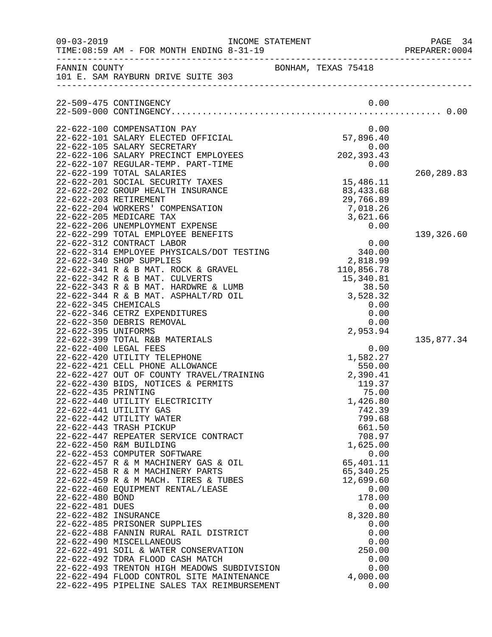| $09 - 03 - 2019$                   | TIME: 08:59 AM - FOR MONTH ENDING 8-31-19                                | INCOME STATEMENT |                                                                                      | PAGE 34<br>PREPARER: 0004 |
|------------------------------------|--------------------------------------------------------------------------|------------------|--------------------------------------------------------------------------------------|---------------------------|
|                                    | FANNIN COUNTY<br>101 E. SAM RAYBURN DRIVE SUITE 303                      |                  | BONHAM, TEXAS 75418                                                                  |                           |
|                                    | 22-509-475 CONTINGENCY                                                   |                  | 0.00                                                                                 |                           |
|                                    | 22-622-100 COMPENSATION PAY                                              |                  | 0.00                                                                                 |                           |
|                                    | 22-622-101 SALARY ELECTED OFFICIAL                                       |                  |                                                                                      |                           |
|                                    | 22-622-105 SALARY SECRETARY<br>22-622-106 SALARY PRECINCT EMPLOYEES      |                  | $57,896.40$<br>0.00<br>202, 393.43                                                   |                           |
|                                    | 22-622-107 REGULAR-TEMP. PART-TIME                                       |                  | 0.00                                                                                 |                           |
|                                    | 22-622-199 TOTAL SALARIES                                                |                  |                                                                                      | 260, 289.83               |
|                                    | 22-622-201 SOCIAL SECURITY TAXES                                         |                  | 15,486.11                                                                            |                           |
|                                    | 22-622-202 GROUP HEALTH INSURANCE<br>22-622-203 RETIREMENT               |                  | 83, 433.68<br>29,766.89                                                              |                           |
|                                    | 22-622-204 WORKERS' COMPENSATION                                         |                  | 7,018.26                                                                             |                           |
|                                    | 22-622-205 MEDICARE TAX                                                  |                  | 3,621.66                                                                             |                           |
|                                    | 22-622-206 UNEMPLOYMENT EXPENSE                                          |                  | 0.00                                                                                 |                           |
|                                    | 22-622-299 TOTAL EMPLOYEE BENEFITS                                       |                  |                                                                                      | 139,326.60                |
|                                    | 22-622-312 CONTRACT LABOR<br>22-622-314 EMPLOYEE PHYSICALS/DOT TESTING   |                  | 0.00<br>340.00                                                                       |                           |
|                                    | 22-622-340 SHOP SUPPLIES                                                 |                  | 2,818.99                                                                             |                           |
|                                    | 22-622-341 R & B MAT. ROCK & GRAVEL                                      |                  | 110,856.78                                                                           |                           |
|                                    | 22-622-342 R & B MAT. CULVERTS                                           |                  | 15,340.81                                                                            |                           |
|                                    | 22-622-343 R & B MAT. HARDWRE & LUMB                                     |                  | $\begin{array}{r} 38.52 \\ 3,528.32 \\ 0.00 \\ 0.00 \\ 0.00 \\ 2,953.94 \end{array}$ |                           |
| 22-622-345 CHEMICALS               | 22-622-344 R & B MAT. ASPHALT/RD OIL                                     |                  |                                                                                      |                           |
|                                    | 22-622-346 CETRZ EXPENDITURES                                            |                  |                                                                                      |                           |
|                                    | 22-622-350 DEBRIS REMOVAL                                                |                  |                                                                                      |                           |
| 22-622-395 UNIFORMS                |                                                                          |                  |                                                                                      |                           |
|                                    | 22-622-399 TOTAL R&B MATERIALS<br>22-622-400 LEGAL FEES                  |                  |                                                                                      | 135,877.34                |
|                                    | 22-622-420 UTILITY TELEPHONE                                             |                  | 0.00<br>1,582.27                                                                     |                           |
|                                    | 22-622-421 CELL PHONE ALLOWANCE                                          |                  | 550.00                                                                               |                           |
|                                    | 22-622-427 OUT OF COUNTY TRAVEL/TRAINING                                 |                  | 2,390.41                                                                             |                           |
|                                    | 22-622-430 BIDS, NOTICES & PERMITS                                       |                  | 119.37                                                                               |                           |
| 22-622-435 PRINTING                |                                                                          |                  | 75.00                                                                                |                           |
|                                    | 22-622-440 UTILITY ELECTRICITY<br>22-622-441 UTILITY GAS                 |                  | 1,426.80<br>742.39                                                                   |                           |
|                                    | 22-622-442 UTILITY WATER                                                 |                  | 799.68                                                                               |                           |
|                                    | 22-622-443 TRASH PICKUP                                                  |                  | 661.50                                                                               |                           |
|                                    | 22-622-447 REPEATER SERVICE CONTRACT                                     |                  | 708.97                                                                               |                           |
|                                    | 22-622-450 R&M BUILDING<br>22-622-453 COMPUTER SOFTWARE                  |                  | 1,625.00<br>0.00                                                                     |                           |
|                                    | 22-622-457 R & M MACHINERY GAS & OIL                                     |                  | 65,401.11                                                                            |                           |
|                                    | 22-622-458 R & M MACHINERY PARTS                                         |                  | 65,340.25                                                                            |                           |
|                                    | 22-622-459 R & M MACH. TIRES & TUBES                                     |                  | 12,699.60                                                                            |                           |
|                                    | 22-622-460 EQUIPMENT RENTAL/LEASE                                        |                  | 0.00                                                                                 |                           |
| 22-622-480 BOND<br>22-622-481 DUES |                                                                          |                  | 178.00<br>0.00                                                                       |                           |
| 22-622-482 INSURANCE               |                                                                          |                  | 8,320.80                                                                             |                           |
|                                    | 22-622-485 PRISONER SUPPLIES                                             |                  | 0.00                                                                                 |                           |
|                                    | 22-622-488 FANNIN RURAL RAIL DISTRICT                                    |                  | 0.00                                                                                 |                           |
|                                    | 22-622-490 MISCELLANEOUS                                                 |                  | 0.00                                                                                 |                           |
|                                    | 22-622-491 SOIL & WATER CONSERVATION<br>22-622-492 TDRA FLOOD CASH MATCH |                  | 250.00<br>0.00                                                                       |                           |
|                                    | 22-622-493 TRENTON HIGH MEADOWS SUBDIVISION                              |                  | 0.00                                                                                 |                           |
|                                    | 22-622-494 FLOOD CONTROL SITE MAINTENANCE                                |                  | 4,000.00                                                                             |                           |
|                                    | 22-622-495 PIPELINE SALES TAX REIMBURSEMENT                              |                  | 0.00                                                                                 |                           |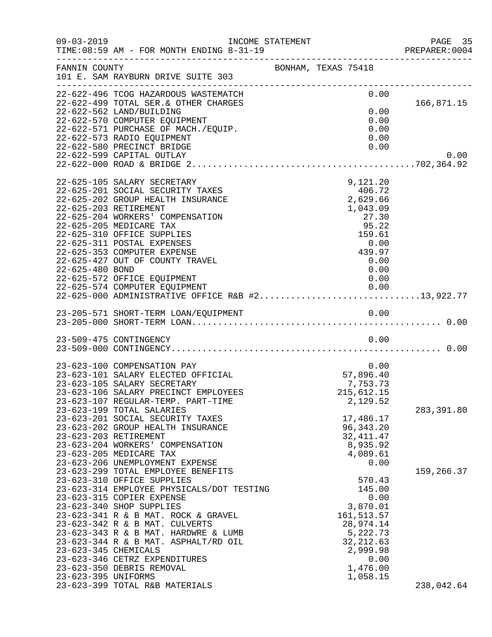| $09 - 03 - 2019$                            | INCOME STATEMENT<br>TIME: 08:59 AM - FOR MONTH ENDING 8-31-19                                                                                                                                                                                                                                                                                                                                                                                  |                                                                                                                                        | PAGE 35<br>PREPARER:0004 |
|---------------------------------------------|------------------------------------------------------------------------------------------------------------------------------------------------------------------------------------------------------------------------------------------------------------------------------------------------------------------------------------------------------------------------------------------------------------------------------------------------|----------------------------------------------------------------------------------------------------------------------------------------|--------------------------|
| FANNIN COUNTY                               | 101 E. SAM RAYBURN DRIVE SUITE 303                                                                                                                                                                                                                                                                                                                                                                                                             | BONHAM, TEXAS 75418                                                                                                                    |                          |
|                                             | 22-622-496 TCOG HAZARDOUS WASTEMATCH<br>22-622-499 TOTAL SER.& OTHER CHARGES<br>22-622-562 LAND/BUILDING<br>22-622-570 COMPUTER EQUIPMENT<br>22-622-571 PURCHASE OF MACH./EQUIP.<br>22-622-573 RADIO EQUIPMENT<br>22-622-580 PRECINCT BRIDGE<br>22-622-599 CAPITAL OUTLAY                                                                                                                                                                      | 0.00<br>0.00<br>0.00<br>0.00<br>0.00<br>0.00                                                                                           | 166,871.15<br>0.00       |
| 22-625-480 BOND                             | 22-625-105 SALARY SECRETARY<br>22-625-201 SOCIAL SECURITY TAXES<br>22-625-202 GROUP HEALTH INSURANCE<br>22-625-203 RETIREMENT<br>22-625-204 WORKERS' COMPENSATION<br>22-625-205 MEDICARE TAX<br>22-625-310 OFFICE SUPPLIES<br>22-625-311 POSTAL EXPENSES<br>22-625-353 COMPUTER EXPENSE<br>22-625-427 OUT OF COUNTY TRAVEL<br>22-625-572 OFFICE EQUIPMENT<br>22-625-574 COMPUTER EQUIPMENT<br>22-625-000 ADMINISTRATIVE OFFICE R&B #213,922.77 | 9,121.20<br>406.72<br>2,629.66<br>1,043.09<br>27.30<br>95.22<br>159.61<br>0.00<br>439.97<br>0.00<br>0.00<br>0.00<br>0.00               |                          |
|                                             |                                                                                                                                                                                                                                                                                                                                                                                                                                                |                                                                                                                                        |                          |
|                                             | 23-509-475 CONTINGENCY                                                                                                                                                                                                                                                                                                                                                                                                                         | 0.00                                                                                                                                   |                          |
|                                             | 23-623-100 COMPENSATION PAY<br>23-623-101 SALARY ELECTED OFFICIAL<br>23-623-105 SALARY SECRETARY<br>23-623-106 SALARY PRECINCT EMPLOYEES<br>23-623-107 REGULAR-TEMP. PART-TIME<br>23-623-199 TOTAL SALARIES<br>23-623-201 SOCIAL SECURITY TAXES                                                                                                                                                                                                | 0.00<br>0.00<br>57,896.40<br>7,753.73<br>215,612.15<br>2,129.52<br>17,486.17                                                           | 283, 391.80              |
|                                             | 23-623-202 GROUP HEALTH INSURANCE<br>23-623-203 RETIREMENT<br>23-623-204 WORKERS' COMPENSATION<br>23-623-205 MEDICARE TAX<br>23-623-206 UNEMPLOYMENT EXPENSE<br>23-623-299 TOTAL EMPLOYEE BENEFITS                                                                                                                                                                                                                                             | 96, 343. 20<br>32, 411.47<br>8,935.92<br>4,089.61<br>0.00                                                                              | 159,266.37               |
| 23-623-345 CHEMICALS<br>23-623-395 UNIFORMS | 23-623-310 OFFICE SUPPLIES<br>23-623-314 EMPLOYEE PHYSICALS/DOT TESTING<br>23-623-315 COPIER EXPENSE<br>23-623-340 SHOP SUPPLIES<br>23-623-341 R & B MAT. ROCK & GRAVEL<br>23-623-342 R & B MAT. CULVERTS<br>23-623-343 R & B MAT. HARDWRE & LUMB<br>23-623-344 R & B MAT. ASPHALT/RD OIL<br>23-623-346 CETRZ EXPENDITURES<br>23-623-350 DEBRIS REMOVAL<br>23-623-399 TOTAL R&B MATERIALS                                                      | 570.43<br>145.00<br>0.00<br>3,870.01<br>161, 513.57<br>28,974.14<br>5,222.73<br>32, 212.63<br>2,999.98<br>0.00<br>1,476.00<br>1,058.15 | 238,042.64               |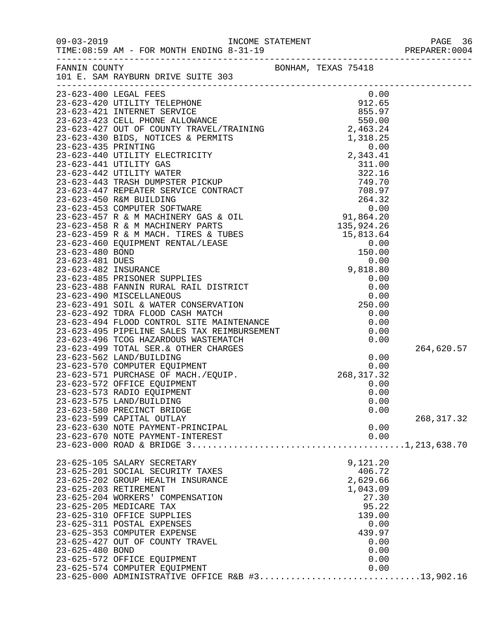|                 |                                                                                                                                                                                                            |  |              | PREPARER: 0004 |  |
|-----------------|------------------------------------------------------------------------------------------------------------------------------------------------------------------------------------------------------------|--|--------------|----------------|--|
|                 | FANNIN COUNTY<br>101 E. SAM RAYBURN DRIVE SUITE 303                                                                                                                                                        |  |              |                |  |
|                 |                                                                                                                                                                                                            |  |              |                |  |
|                 |                                                                                                                                                                                                            |  |              |                |  |
|                 |                                                                                                                                                                                                            |  |              |                |  |
|                 |                                                                                                                                                                                                            |  |              |                |  |
|                 |                                                                                                                                                                                                            |  |              |                |  |
|                 |                                                                                                                                                                                                            |  |              |                |  |
|                 |                                                                                                                                                                                                            |  |              |                |  |
|                 |                                                                                                                                                                                                            |  |              |                |  |
|                 |                                                                                                                                                                                                            |  |              |                |  |
|                 |                                                                                                                                                                                                            |  |              |                |  |
|                 |                                                                                                                                                                                                            |  |              |                |  |
|                 |                                                                                                                                                                                                            |  |              |                |  |
|                 |                                                                                                                                                                                                            |  |              |                |  |
|                 |                                                                                                                                                                                                            |  |              |                |  |
|                 |                                                                                                                                                                                                            |  |              |                |  |
|                 |                                                                                                                                                                                                            |  |              |                |  |
|                 |                                                                                                                                                                                                            |  |              |                |  |
|                 |                                                                                                                                                                                                            |  |              |                |  |
|                 |                                                                                                                                                                                                            |  |              |                |  |
|                 |                                                                                                                                                                                                            |  |              |                |  |
|                 |                                                                                                                                                                                                            |  |              |                |  |
|                 |                                                                                                                                                                                                            |  |              |                |  |
|                 |                                                                                                                                                                                                            |  |              |                |  |
|                 |                                                                                                                                                                                                            |  |              |                |  |
|                 |                                                                                                                                                                                                            |  |              |                |  |
|                 |                                                                                                                                                                                                            |  |              |                |  |
|                 |                                                                                                                                                                                                            |  |              |                |  |
|                 |                                                                                                                                                                                                            |  |              |                |  |
|                 | 23-623-499 TOTAL SER.& OTHER CHARGES<br>23-623-562 LAND/BUILDING<br>23-623-570 COMPUTER EQUIPMENT 0.00<br>23-623-571 PURCHASE OF MACH./EQUIP. 268,317.32<br>23-623-571 PURCHASE OF MACH./EQUIP. 268,317.32 |  |              | 264,620.57     |  |
|                 |                                                                                                                                                                                                            |  |              |                |  |
|                 |                                                                                                                                                                                                            |  |              |                |  |
|                 |                                                                                                                                                                                                            |  |              |                |  |
|                 | 23-623-572 OFFICE EQUIPMENT                                                                                                                                                                                |  | 0.00         |                |  |
|                 | 23-623-573 RADIO EQUIPMENT                                                                                                                                                                                 |  | 0.00         |                |  |
|                 | 23-623-575 LAND/BUILDING                                                                                                                                                                                   |  | 0.00         |                |  |
|                 | 23-623-580 PRECINCT BRIDGE                                                                                                                                                                                 |  | 0.00         |                |  |
|                 | 23-623-599 CAPITAL OUTLAY                                                                                                                                                                                  |  |              | 268, 317.32    |  |
|                 | 23-623-630 NOTE PAYMENT-PRINCIPAL<br>23-623-670 NOTE PAYMENT-INTEREST                                                                                                                                      |  | 0.00<br>0.00 |                |  |
|                 |                                                                                                                                                                                                            |  |              |                |  |
|                 |                                                                                                                                                                                                            |  |              |                |  |
|                 | 23-625-105 SALARY SECRETARY                                                                                                                                                                                |  | 9,121.20     |                |  |
|                 | 23-625-201 SOCIAL SECURITY TAXES                                                                                                                                                                           |  | 406.72       |                |  |
|                 | 23-625-202 GROUP HEALTH INSURANCE                                                                                                                                                                          |  | 2,629.66     |                |  |
|                 | 23-625-203 RETIREMENT                                                                                                                                                                                      |  | 1,043.09     |                |  |
|                 | 23-625-204 WORKERS' COMPENSATION                                                                                                                                                                           |  | 27.30        |                |  |
|                 | 23-625-205 MEDICARE TAX                                                                                                                                                                                    |  | 95.22        |                |  |
|                 | 23-625-310 OFFICE SUPPLIES                                                                                                                                                                                 |  | 139.00       |                |  |
|                 | 23-625-311 POSTAL EXPENSES                                                                                                                                                                                 |  | 0.00         |                |  |
|                 | 23-625-353 COMPUTER EXPENSE                                                                                                                                                                                |  | 439.97       |                |  |
|                 | 23-625-427 OUT OF COUNTY TRAVEL                                                                                                                                                                            |  | 0.00         |                |  |
| 23-625-480 BOND |                                                                                                                                                                                                            |  | 0.00         |                |  |
|                 | 23-625-572 OFFICE EQUIPMENT<br>23-625-574 COMPUTER EQUIPMENT                                                                                                                                               |  | 0.00<br>0.00 |                |  |
|                 | 23-625-000 ADMINISTRATIVE OFFICE R&B #313,902.16                                                                                                                                                           |  |              |                |  |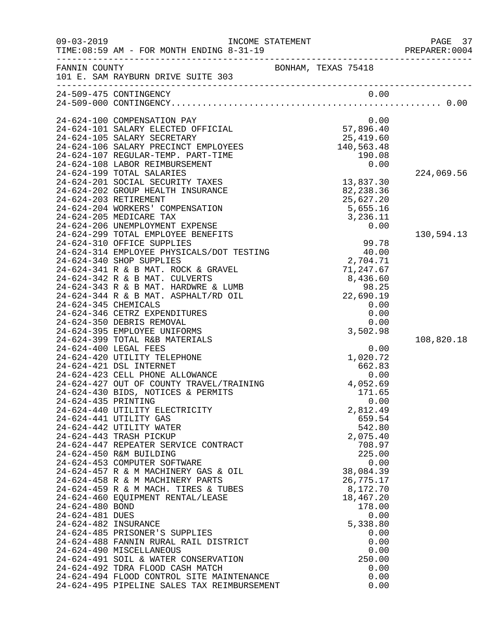| $09 - 03 - 2019$     | INCOME STATEMENT<br>TIME: 08:59 AM - FOR MONTH ENDING 8-31-19           |                                              | PAGE 37<br>PREPARER: 0004 |
|----------------------|-------------------------------------------------------------------------|----------------------------------------------|---------------------------|
|                      | FANNIN COUNTY<br>101 E. SAM RAYBURN DRIVE SUITE 303                     | BONHAM, TEXAS 75418                          |                           |
|                      | 24-509-475 CONTINGENCY                                                  | 0.00                                         |                           |
|                      |                                                                         |                                              |                           |
|                      | 24-624-100 COMPENSATION PAY                                             | 0.00                                         |                           |
|                      | 24-624-101 SALARY ELECTED OFFICIAL                                      | 0.00<br>57,896.40<br>25,419.60<br>140,563.48 |                           |
|                      | 24-624-105 SALARY SECRETARY                                             |                                              |                           |
|                      | 24-624-106 SALARY PRECINCT EMPLOYEES                                    |                                              |                           |
|                      | 24-624-107 REGULAR-TEMP. PART-TIME                                      | 190.08                                       |                           |
|                      | 24-624-108 LABOR REIMBURSEMENT<br>24-624-199 TOTAL SALARIES             | 0.00                                         | 224,069.56                |
|                      | 24-624-201 SOCIAL SECURITY TAXES                                        | 13,837.30                                    |                           |
|                      | 24-624-202 GROUP HEALTH INSURANCE                                       | 82,238.36                                    |                           |
|                      | 24-624-203 RETIREMENT                                                   | 25,627.20                                    |                           |
|                      | 24-624-204 WORKERS' COMPENSATION                                        | 5,655.16                                     |                           |
|                      | 24-624-205 MEDICARE TAX                                                 | 3,236.11                                     |                           |
|                      | 24-624-206 UNEMPLOYMENT EXPENSE                                         | 0.00                                         |                           |
|                      | 24-624-299 TOTAL EMPLOYEE BENEFITS                                      |                                              | 130,594.13                |
|                      | 24-624-310 OFFICE SUPPLIES<br>24-624-314 EMPLOYEE PHYSICALS/DOT TESTING | 99.78<br>40.00                               |                           |
|                      | 24-624-340 SHOP SUPPLIES                                                | 2,704.71                                     |                           |
|                      | 24-624-341 R & B MAT. ROCK & GRAVEL                                     | 71,247.67                                    |                           |
|                      | 24-624-342 R & B MAT. CULVERTS                                          | 8,436.60                                     |                           |
|                      | 24-624-343 R & B MAT. HARDWRE & LUMB                                    | 98.25                                        |                           |
|                      | 24-624-344 R & B MAT. ASPHALT/RD OIL                                    | 22,690.19                                    |                           |
| 24-624-345 CHEMICALS |                                                                         | 0.00                                         |                           |
|                      | 24-624-346 CETRZ EXPENDITURES<br>24-624-350 DEBRIS REMOVAL              | 0.00<br>0.00                                 |                           |
|                      | 24-624-395 EMPLOYEE UNIFORMS                                            | 3,502.98                                     |                           |
|                      | 24-624-399 TOTAL R&B MATERIALS                                          |                                              | 108,820.18                |
|                      | 24-624-400 LEGAL FEES                                                   | 0.00                                         |                           |
|                      | 24-624-420 UTILITY TELEPHONE                                            | 1,020.72                                     |                           |
|                      | 24-624-421 DSL INTERNET                                                 | 662.83                                       |                           |
|                      | 24-624-423 CELL PHONE ALLOWANCE                                         | 0.00                                         |                           |
|                      | 24-624-427 OUT OF COUNTY TRAVEL/TRAINING                                | 4,052.69                                     |                           |
| 24-624-435 PRINTING  | 24-624-430 BIDS, NOTICES & PERMITS                                      | 171.65<br>0.00                               |                           |
|                      | 24-624-440 UTILITY ELECTRICITY                                          | 2,812.49                                     |                           |
|                      | 24-624-441 UTILITY GAS                                                  | 659.54                                       |                           |
|                      | 24-624-442 UTILITY WATER                                                | 542.80                                       |                           |
|                      | 24-624-443 TRASH PICKUP                                                 | 2,075.40                                     |                           |
|                      | 24-624-447 REPEATER SERVICE CONTRACT                                    | 708.97                                       |                           |
|                      | 24-624-450 R&M BUILDING                                                 | 225.00                                       |                           |
|                      | 24-624-453 COMPUTER SOFTWARE<br>24-624-457 R & M MACHINERY GAS & OIL    | 0.00<br>38,084.39                            |                           |
|                      | 24-624-458 R & M MACHINERY PARTS                                        | 26,775.17                                    |                           |
|                      | 24-624-459 R & M MACH. TIRES & TUBES                                    | 8,172.70                                     |                           |
|                      | 24-624-460 EQUIPMENT RENTAL/LEASE                                       | 18,467.20                                    |                           |
| 24-624-480 BOND      |                                                                         | 178.00                                       |                           |
| 24-624-481 DUES      |                                                                         | 0.00                                         |                           |
| 24-624-482 INSURANCE |                                                                         | 5,338.80                                     |                           |
|                      | 24-624-485 PRISONER'S SUPPLIES                                          | 0.00                                         |                           |
|                      | 24-624-488 FANNIN RURAL RAIL DISTRICT<br>24-624-490 MISCELLANEOUS       | 0.00<br>0.00                                 |                           |
|                      | 24-624-491 SOIL & WATER CONSERVATION                                    | 250.00                                       |                           |
|                      | 24-624-492 TDRA FLOOD CASH MATCH                                        | 0.00                                         |                           |
|                      | 24-624-494 FLOOD CONTROL SITE MAINTENANCE                               | 0.00                                         |                           |
|                      | 24-624-495 PIPELINE SALES TAX REIMBURSEMENT                             | 0.00                                         |                           |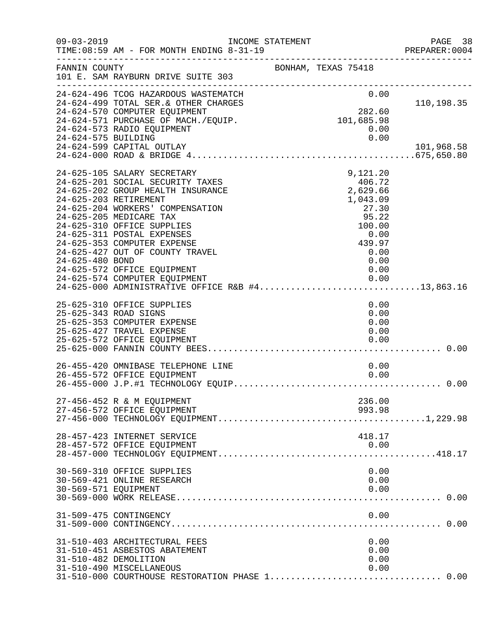| $09 - 03 - 2019$     | INCOME STATEMENT<br>TIME: 08:59 AM - FOR MONTH ENDING 8-31-19                                                                                                                                                                                                                                                                                                                                                                                                                                          |  |                                                                                  |                                      | PAGE 38<br>PREPARER: 0004 |
|----------------------|--------------------------------------------------------------------------------------------------------------------------------------------------------------------------------------------------------------------------------------------------------------------------------------------------------------------------------------------------------------------------------------------------------------------------------------------------------------------------------------------------------|--|----------------------------------------------------------------------------------|--------------------------------------|---------------------------|
| FANNIN COUNTY        | 101 E. SAM RAYBURN DRIVE SUITE 303                                                                                                                                                                                                                                                                                                                                                                                                                                                                     |  | BONHAM, TEXAS 75418                                                              |                                      | --------------------      |
| 24-624-575 BUILDING  | 24-624-496 TCOG HAZARDOUS WASTEMATCH<br>24-624-499 TOTAL SER.& OTHER CHARGES<br>24-624-570 COMPUTER EQUIPMENT<br>24-624-571 PURCHASE OF MACH./EQUIP.<br>24-624-573 RADIO EQUIPMENT                                                                                                                                                                                                                                                                                                                     |  | 282.60<br>101,685.98                                                             | 0.00<br>0.00<br>0.00                 | 110,198.35                |
|                      | 24-624-599 CAPITAL OUTLAY                                                                                                                                                                                                                                                                                                                                                                                                                                                                              |  |                                                                                  |                                      | 101,968.58                |
| 24-625-480 BOND      | 24-625-105 SALARY SECRETARY<br>24-625-201 SOCIAL SECURITY TAXES<br>24-625-202 GROUP HEALTH INSURANCE<br>24-625-203 RETIREMENT<br>24-625-204 WORKERS' COMPENSATION<br>24-625-205 MEDICARE TAX<br>24-625-310 OFFICE SUPPLIES<br>24-625-311 POSTAL EXPENSES<br>24-625-353 COMPUTER EXPENSE<br>24-625-427 OUT OF COUNTY TRAVEL<br>24-625-572 OFFICE EQUIPMENT<br>24-625-574 COMPUTER EQUIPMENT<br>24-625-574 COMPUTER EQUIPMENT                   0.00<br>24-625-000 ADMINISTRATIVE OFFICE R&B #413,863.16 |  | 9,121.20<br>406.72<br>2,629.66<br>1,043.09<br>27.30<br>95.22<br>100.00<br>439.97 | 0.00<br>0.00<br>0.00<br>0.00<br>0.00 |                           |
|                      | 25-625-310 OFFICE SUPPLIES<br>25-625-343 ROAD SIGNS<br>25-625-353 COMPUTER EXPENSE<br>25-625-427 TRAVEL EXPENSE<br>25-625-572 OFFICE EQUIPMENT                                                                                                                                                                                                                                                                                                                                                         |  |                                                                                  | 0.00<br>0.00<br>0.00<br>0.00<br>0.00 |                           |
|                      | 26-455-420 OMNIBASE TELEPHONE LINE<br>26-455-572 OFFICE EQUIPMENT                                                                                                                                                                                                                                                                                                                                                                                                                                      |  |                                                                                  | 0.00<br>0.00                         |                           |
|                      | 27-456-452 R & M EQUIPMENT<br>27-456-572 OFFICE EQUIPMENT                                                                                                                                                                                                                                                                                                                                                                                                                                              |  | 236.00<br>993.98                                                                 |                                      |                           |
|                      | 28-457-423 INTERNET SERVICE<br>28-457-572 OFFICE EQUIPMENT                                                                                                                                                                                                                                                                                                                                                                                                                                             |  | 418.17                                                                           | 0.00                                 |                           |
| 30-569-571 EQUIPMENT | 30-569-310 OFFICE SUPPLIES<br>30-569-421 ONLINE RESEARCH                                                                                                                                                                                                                                                                                                                                                                                                                                               |  |                                                                                  | 0.00<br>0.00<br>0.00                 |                           |
|                      | 31-509-475 CONTINGENCY                                                                                                                                                                                                                                                                                                                                                                                                                                                                                 |  |                                                                                  | 0.00                                 |                           |
|                      | 31-510-403 ARCHITECTURAL FEES<br>31-510-451 ASBESTOS ABATEMENT<br>31-510-482 DEMOLITION<br>31-510-490 MISCELLANEOUS                                                                                                                                                                                                                                                                                                                                                                                    |  |                                                                                  | 0.00<br>0.00<br>0.00<br>0.00         |                           |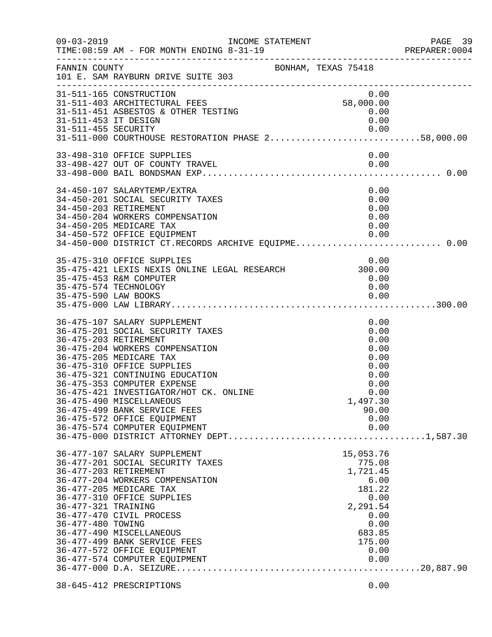| $09 - 03 - 2019$     | INCOME STATEMENT<br>TIME: 08:59 AM - FOR MONTH ENDING 8-31-19<br>_____________________________________ |                    | PAGE 39<br>PREPARER: 0004 |
|----------------------|--------------------------------------------------------------------------------------------------------|--------------------|---------------------------|
| FANNIN COUNTY        | BONHAM, TEXAS 75418<br>101 E. SAM RAYBURN DRIVE SUITE 303                                              |                    |                           |
|                      | 31-511-165 CONSTRUCTION                                                                                | 0.00               |                           |
|                      | 31-511-403 ARCHITECTURAL FEES<br>31-511-451 ASBESTOS & OTHER TESTING                                   | 58,000.00          |                           |
| 31-511-453 IT DESIGN |                                                                                                        | $0.00$ $0.00$      |                           |
|                      |                                                                                                        |                    |                           |
|                      | 0.00   0.00   0.00   0.00   0.00   0.00   0.00<br>31-511-000   COURTHOUSE RESTORATION PHASE 258,000.00 |                    |                           |
|                      | 33-498-310 OFFICE SUPPLIES                                                                             | 0.00               |                           |
|                      | 33-498-427 OUT OF COUNTY TRAVEL                                                                        | $\sim 0.00$        |                           |
|                      |                                                                                                        |                    |                           |
|                      | 34-450-107 SALARYTEMP/EXTRA                                                                            | 0.00               |                           |
|                      | 34-450-201 SOCIAL SECURITY TAXES                                                                       | 0.00               |                           |
|                      | 34-450-203 RETIREMENT                                                                                  | 0.00               |                           |
|                      | 34-450-204 WORKERS COMPENSATION                                                                        | 0.00               |                           |
|                      | 34-450-205 MEDICARE TAX                                                                                | 0.00               |                           |
|                      |                                                                                                        |                    |                           |
|                      |                                                                                                        |                    |                           |
|                      | 35-475-310 OFFICE SUPPLIES<br>35-475-421 LEXIS NEXIS ONLINE LEGAL RESEARCH 300.00                      | 0.00               |                           |
|                      | 35-475-453 R&M COMPUTER                                                                                | 0.00               |                           |
|                      | 35-475-574 TECHNOLOGY                                                                                  | 0.00               |                           |
| 35-475-590 LAW BOOKS |                                                                                                        | 0.00               |                           |
|                      |                                                                                                        |                    |                           |
|                      | 36-475-107 SALARY SUPPLEMENT                                                                           | 0.00               |                           |
|                      | 36-475-201 SOCIAL SECURITY TAXES                                                                       | 0.00               |                           |
|                      | 36-475-203 RETIREMENT                                                                                  | 0.00               |                           |
|                      | 36-475-204 WORKERS COMPENSATION                                                                        | 0.00               |                           |
|                      | 36-475-205 MEDICARE TAX<br>36-475-310 OFFICE SUPPLIES                                                  | 0.00<br>0.00       |                           |
|                      | 36-475-321 CONTINUING EDUCATION                                                                        | 0.00               |                           |
|                      | 36-475-353 COMPUTER EXPENSE                                                                            | 0.00               |                           |
|                      | 36-475-421 INVESTIGATOR/HOT CK. ONLINE                                                                 | 0.00               |                           |
|                      | 36-475-490 MISCELLANEOUS                                                                               | 1,497.30           |                           |
|                      | 36-475-499 BANK SERVICE FEES                                                                           | 90.00              |                           |
|                      | 36-475-572 OFFICE EQUIPMENT                                                                            | 0.00               |                           |
|                      | 36-475-574 COMPUTER EQUIPMENT                                                                          | 0.00               |                           |
|                      |                                                                                                        |                    |                           |
|                      | 36-477-107 SALARY SUPPLEMENT                                                                           | 15,053.76          |                           |
|                      | 36-477-201 SOCIAL SECURITY TAXES<br>36-477-203 RETIREMENT                                              | 775.08<br>1,721.45 |                           |
|                      | 36-477-204 WORKERS COMPENSATION                                                                        | 6.00               |                           |
|                      | 36-477-205 MEDICARE TAX                                                                                | 181.22             |                           |
|                      | 36-477-310 OFFICE SUPPLIES                                                                             | 0.00               |                           |
| 36-477-321 TRAINING  |                                                                                                        | 2,291.54           |                           |
|                      | 36-477-470 CIVIL PROCESS                                                                               | 0.00               |                           |
| 36-477-480 TOWING    |                                                                                                        | 0.00               |                           |
|                      | 36-477-490 MISCELLANEOUS                                                                               | 683.85             |                           |
|                      | 36-477-499 BANK SERVICE FEES<br>36-477-572 OFFICE EQUIPMENT                                            | 175.00             |                           |
|                      | 36-477-574 COMPUTER EQUIPMENT                                                                          | 0.00<br>0.00       |                           |
|                      |                                                                                                        |                    |                           |
|                      |                                                                                                        |                    |                           |
|                      | 38-645-412 PRESCRIPTIONS                                                                               | 0.00               |                           |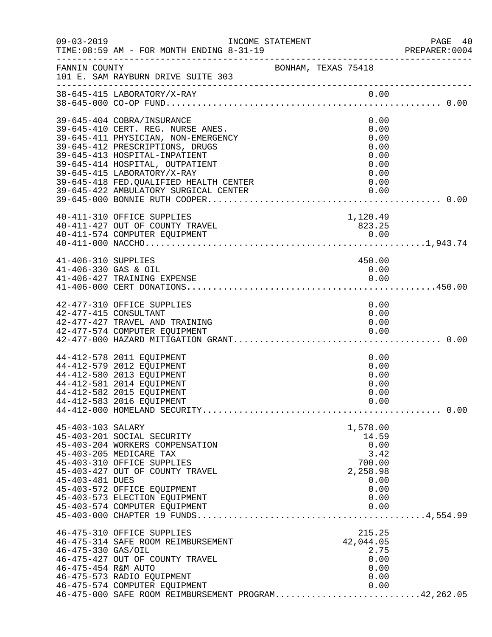| $09 - 03 - 2019$                            | INCOME STATEMENT<br>TIME: 08:59 AM - FOR MONTH ENDING 8-31-19<br>____________________________________                                                                                                                                                                                                                            |                     |                                                                                         | PAGE 40<br>PREPARER:0004 |
|---------------------------------------------|----------------------------------------------------------------------------------------------------------------------------------------------------------------------------------------------------------------------------------------------------------------------------------------------------------------------------------|---------------------|-----------------------------------------------------------------------------------------|--------------------------|
| FANNIN COUNTY                               | 101 E. SAM RAYBURN DRIVE SUITE 303                                                                                                                                                                                                                                                                                               | BONHAM, TEXAS 75418 |                                                                                         |                          |
|                                             | 38-645-415 LABORATORY/X-RAY                                                                                                                                                                                                                                                                                                      |                     | 0.00                                                                                    |                          |
|                                             | 39-645-404 COBRA/INSURANCE<br>39-645-410 CERT. REG. NURSE ANES.<br>39-645-411 PHYSICIAN, NON-EMERGENCY<br>39-645-412 PRESCRIPTIONS, DRUGS<br>39-645-413 HOSPITAL-INPATIENT<br>39-645-414 HOSPITAL, OUTPATIENT<br>39-645-415 LABORATORY/X-RAY<br>39-645-418 FED. QUALIFIED HEALTH CENTER<br>39-645-422 AMBULATORY SURGICAL CENTER |                     | 0.00<br>0.00<br>0.00<br>0.00<br>0.00<br>0.00<br>0.00<br>0.00<br>0.00                    |                          |
|                                             | 40-411-310 OFFICE SUPPLIES<br>40-411-427 OUT OF COUNTY TRAVEL                                                                                                                                                                                                                                                                    |                     | 1,120.49<br>823.25                                                                      |                          |
| 41-406-310 SUPPLIES<br>41-406-330 GAS & OIL | 41-406-427 TRAINING EXPENSE                                                                                                                                                                                                                                                                                                      |                     | 450.00<br>0.00<br>0.00                                                                  |                          |
|                                             | 42-477-310 OFFICE SUPPLIES<br>42-477-415 CONSULTANT<br>42-477-427 TRAVEL AND TRAINING<br>42-477-574 COMPUTER EQUIPMENT                                                                                                                                                                                                           |                     | 0.00<br>0.00<br>0.00<br>0.00                                                            |                          |
|                                             | 44-412-578 2011 EQUIPMENT<br>44-412-579 2012 EQUIPMENT<br>44-412-580 2013 EQUIPMENT<br>44-412-581 2014 EQUIPMENT<br>44-412-582 2015 EQUIPMENT<br>44-412-583 2016 EQUIPMENT                                                                                                                                                       |                     | 0.00<br>0.00<br>0.00<br>0.00<br>0.00<br>0.00                                            |                          |
| 45-403-103 SALARY<br>45-403-481 DUES        | 45-403-201 SOCIAL SECURITY<br>45-403-204 WORKERS COMPENSATION<br>45-403-205 MEDICARE TAX<br>45-403-310 OFFICE SUPPLIES<br>45-403-427 OUT OF COUNTY TRAVEL<br>45-403-572 OFFICE EQUIPMENT<br>45-403-573 ELECTION EQUIPMENT<br>45-403-574 COMPUTER EQUIPMENT                                                                       |                     | 1,578.00<br>14.59<br>0.00<br>3.42<br>700.00<br>2,258.98<br>0.00<br>0.00<br>0.00<br>0.00 |                          |
| 46-475-330 GAS/OIL<br>46-475-454 R&M AUTO   | 46-475-310 OFFICE SUPPLIES<br>46-475-314 SAFE ROOM REIMBURSEMENT<br>46-475-427 OUT OF COUNTY TRAVEL<br>46-475-573 RADIO EQUIPMENT<br>46-475-574 COMPUTER EQUIPMENT<br>46-475-000 SAFE ROOM REIMBURSEMENT PROGRAM42,262.05                                                                                                        |                     | 215.25<br>42,044.05<br>2.75<br>0.00<br>0.00<br>0.00<br>0.00                             |                          |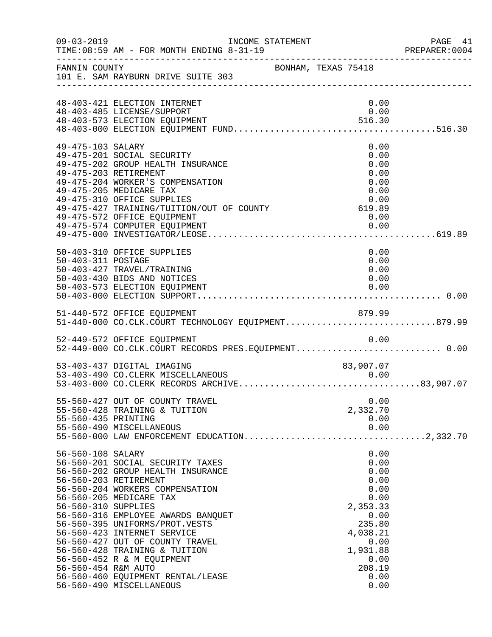| $09 - 03 - 2019$                                                | INCOME STATEMENT<br>TIME: 08:59 AM - FOR MONTH ENDING 8-31-19                                                                                                                                                                                                                                                                                                                                                                          |                     |                                                                                                                                              | PAGE 41<br>PREPARER: 0004 |
|-----------------------------------------------------------------|----------------------------------------------------------------------------------------------------------------------------------------------------------------------------------------------------------------------------------------------------------------------------------------------------------------------------------------------------------------------------------------------------------------------------------------|---------------------|----------------------------------------------------------------------------------------------------------------------------------------------|---------------------------|
|                                                                 | FANNIN COUNTY<br>101 E. SAM RAYBURN DRIVE SUITE 303                                                                                                                                                                                                                                                                                                                                                                                    | BONHAM, TEXAS 75418 |                                                                                                                                              |                           |
|                                                                 | 48-403-421 ELECTION INTERNET<br>48-403-485 LICENSE/SUPPORT                                                                                                                                                                                                                                                                                                                                                                             |                     | 0.00<br>0.00                                                                                                                                 |                           |
| 49-475-103 SALARY                                               | 49-475-201 SOCIAL SECURITY<br>49-475-202 GROUP HEALTH INSURANCE<br>49-475-203 RETIREMENT<br>49-475-204 WORKER'S COMPENSATION<br>49-475-205 MEDICARE TAX<br>49-475-310 OFFICE SUPPLIES<br>19.00 19.00 UPPLA SUPPLIES<br>19-475-427 TRAINING/TUITION/OUT OF COUNTY 619.89<br>49-475-572 OFFICE EQUIPMENT<br>49-475-574 COMPUTER EQUIPMENT                                                                                                |                     | 0.00<br>0.00<br>0.00<br>0.00<br>0.00<br>0.00<br>0.00<br>0.00<br>0.00                                                                         |                           |
| 50-403-311 POSTAGE                                              | 50-403-310 OFFICE SUPPLIES<br>50-403-427 TRAVEL/TRAINING<br>50-403-430 BIDS AND NOTICES<br>50-403-573 ELECTION EQUIPMENT                                                                                                                                                                                                                                                                                                               |                     | 0.00<br>0.00<br>0.00<br>0.00<br>0.00                                                                                                         |                           |
|                                                                 | 51-440-572 OFFICE EQUIPMENT<br>51-440-000 CO.CLK.COURT TECHNOLOGY EQUIPMENT879.99                                                                                                                                                                                                                                                                                                                                                      |                     |                                                                                                                                              |                           |
|                                                                 | 52-449-572 OFFICE EQUIPMENT<br>52-449-000 CO.CLK.COURT RECORDS PRES.EQUIPMENT 0.00                                                                                                                                                                                                                                                                                                                                                     |                     | 0.00                                                                                                                                         |                           |
|                                                                 | 53-403-437 DIGITAL IMAGING                                                                                                                                                                                                                                                                                                                                                                                                             |                     | 83,907.07                                                                                                                                    |                           |
| 55-560-435 PRINTING                                             | 55-560-427 OUT OF COUNTY TRAVEL<br>55-560-428 TRAINING & TUITION<br>55-560-490 MISCELLANEOUS                                                                                                                                                                                                                                                                                                                                           |                     | 0.00<br>2,332.70<br>0.00<br>0.00                                                                                                             |                           |
| 56-560-108 SALARY<br>56-560-310 SUPPLIES<br>56-560-454 R&M AUTO | 56-560-201 SOCIAL SECURITY TAXES<br>56-560-202 GROUP HEALTH INSURANCE<br>56-560-203 RETIREMENT<br>56-560-204 WORKERS COMPENSATION<br>56-560-205 MEDICARE TAX<br>56-560-316 EMPLOYEE AWARDS BANQUET<br>56-560-395 UNIFORMS/PROT.VESTS<br>56-560-423 INTERNET SERVICE<br>56-560-427 OUT OF COUNTY TRAVEL<br>56-560-428 TRAINING & TUITION<br>56-560-452 R & M EQUIPMENT<br>56-560-460 EQUIPMENT RENTAL/LEASE<br>56-560-490 MISCELLANEOUS |                     | 0.00<br>0.00<br>0.00<br>0.00<br>0.00<br>0.00<br>2,353.33<br>0.00<br>235.80<br>4,038.21<br>0.00<br>1,931.88<br>0.00<br>208.19<br>0.00<br>0.00 |                           |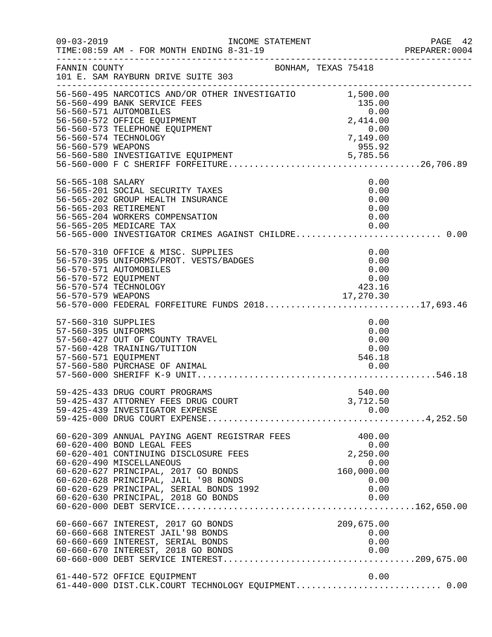|                                                                    |                                                                                                                                                                                                                                                                                                                   |                                                                                                           | PAGE 42<br>PREPARER: 0004 |
|--------------------------------------------------------------------|-------------------------------------------------------------------------------------------------------------------------------------------------------------------------------------------------------------------------------------------------------------------------------------------------------------------|-----------------------------------------------------------------------------------------------------------|---------------------------|
| FANNIN COUNTY                                                      | BONHAM, TEXAS 75418<br>101 E. SAM RAYBURN DRIVE SUITE 303                                                                                                                                                                                                                                                         |                                                                                                           |                           |
| 56-560-579 WEAPONS                                                 | 56-560-495 NARCOTICS AND/OR OTHER INVESTIGATIO $1,500.00$<br>56-560-499 BANK SERVICE FEES<br>56-560-571 AUTOMOBILES<br>56-560-572 OFFICE EQUIPMENT<br>56-560-573 TELEPHONE EQUIPMENT<br>56-560-574 TECHNOLOGY                                                                                                     | 135.00<br>0.00<br>$2,414.00$<br>0.00<br>7,149.00<br>$\begin{array}{c} 0.00\ 7,149.00\ 955.92 \end{array}$ |                           |
| 56-565-108 SALARY                                                  | 56-565-201 SOCIAL SECURITY TAXES<br>56-565-202 GROUP HEALTH INSURANCE<br>56-565-203 RETIREMENT<br>56-565-204 WORKERS COMPENSATION<br>56-565-205 MEDICARE TAX<br>56-565-000 INVESTIGATOR CRIMES AGAINST CHILDRE 0.00                                                                                               | 0.00<br>0.00<br>0.00<br>0.00<br>0.00<br>0.00                                                              |                           |
| 56-570-572 EQUIPMENT                                               | 56-570-310 OFFICE & MISC. SUPPLIES<br>56-570-395 UNIFORMS/PROT. VESTS/BADGES<br>56-570-571 AUTOMOBILES<br>56-570-574 TECHNOLOGY<br>- 17,270.30<br>56-570-579 WEAPONS 17,270.30<br>56-570-000 FEDERAL FORFEITURE FUNDS 201817,693.46                                                                               | 0.00<br>0.00<br>0.00<br>0.00<br>423.16                                                                    |                           |
| 57-560-310 SUPPLIES<br>57-560-395 UNIFORMS<br>57-560-571 EQUIPMENT | 57-560-427 OUT OF COUNTY TRAVEL<br>57-560-428 TRAINING/TUITION                                                                                                                                                                                                                                                    | 0.00<br>0.00<br>0.00<br>0.00<br>546.18                                                                    |                           |
|                                                                    | 59-425-433 DRUG COURT PROGRAMS<br>59-425-437 ATTORNEY FEES DRUG COURT<br>59-425-439 INVESTIGATOR EXPENSE                                                                                                                                                                                                          | 540.00<br>3,712.50<br>0.00                                                                                |                           |
|                                                                    | 60-620-309 ANNUAL PAYING AGENT REGISTRAR FEES<br>60-620-400 BOND LEGAL FEES<br>60-620-401 CONTINUING DISCLOSURE FEES<br>60-620-490 MISCELLANEOUS<br>60-620-627 PRINCIPAL, 2017 GO BONDS<br>60-620-628 PRINCIPAL, JAIL '98 BONDS<br>60-620-629 PRINCIPAL, SERIAL BONDS 1992<br>60-620-630 PRINCIPAL, 2018 GO BONDS | 400.00<br>0.00<br>2,250.00<br>0.00<br>160,000.00<br>0.00<br>0.00<br>0.00                                  |                           |
|                                                                    | 60-660-667 INTEREST, 2017 GO BONDS<br>60-660-668 INTEREST JAIL'98 BONDS<br>60-660-669 INTEREST, SERIAL BONDS<br>60-660-670 INTEREST, 2018 GO BONDS                                                                                                                                                                | 209,675.00<br>0.00<br>0.00<br>0.00                                                                        |                           |
|                                                                    | 61-440-572 OFFICE EQUIPMENT<br>61-440-000 DIST.CLK.COURT TECHNOLOGY EQUIPMENT 0.00                                                                                                                                                                                                                                | 0.00                                                                                                      |                           |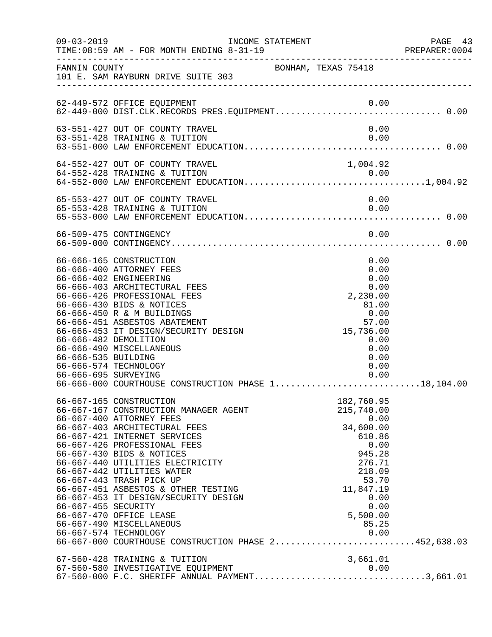| $09 - 03 - 2019$                            | TIME: 08:59 AM - FOR MONTH ENDING 8-31-19                                                                                                                                                                                                                                                                                                                                                                                                                                                                                                                    | INCOME STATEMENT |                     |                                                                                                                                                                  | PAGE 43 |
|---------------------------------------------|--------------------------------------------------------------------------------------------------------------------------------------------------------------------------------------------------------------------------------------------------------------------------------------------------------------------------------------------------------------------------------------------------------------------------------------------------------------------------------------------------------------------------------------------------------------|------------------|---------------------|------------------------------------------------------------------------------------------------------------------------------------------------------------------|---------|
| FANNIN COUNTY                               | 101 E. SAM RAYBURN DRIVE SUITE 303                                                                                                                                                                                                                                                                                                                                                                                                                                                                                                                           |                  | BONHAM, TEXAS 75418 |                                                                                                                                                                  |         |
|                                             | 62-449-572 OFFICE EQUIPMENT                                                                                                                                                                                                                                                                                                                                                                                                                                                                                                                                  |                  |                     | 0.00                                                                                                                                                             |         |
|                                             | 63-551-427 OUT OF COUNTY TRAVEL<br>63-551-428 TRAINING & TUITION                                                                                                                                                                                                                                                                                                                                                                                                                                                                                             |                  |                     | 0.00<br>0.00                                                                                                                                                     |         |
|                                             | 64-552-427 OUT OF COUNTY TRAVEL                                                                                                                                                                                                                                                                                                                                                                                                                                                                                                                              |                  |                     | 1,004.92                                                                                                                                                         |         |
|                                             | 65-553-427 OUT OF COUNTY TRAVEL<br>65-553-428 TRAINING & TUITION                                                                                                                                                                                                                                                                                                                                                                                                                                                                                             |                  |                     | 0.00<br>0.00                                                                                                                                                     |         |
|                                             | 66-509-475 CONTINGENCY                                                                                                                                                                                                                                                                                                                                                                                                                                                                                                                                       |                  |                     | 0.00                                                                                                                                                             |         |
| 66-666-535 BUILDING<br>66-666-695 SURVEYING | 66-666-165 CONSTRUCTION<br>66-666-400 ATTORNEY FEES<br>66-666-402 ENGINEERING<br>66-666-403 ARCHITECTURAL FEES<br>66-666-426 PROFESSIONAL FEES<br>66-666-430 BIDS & NOTICES<br>66-666-450 R & M BUILDINGS<br>66-666-451 ASBESTOS ABATEMENT<br>66-666-453 IT DESIGN/SECURITY DESIGN<br>66-666-482 DEMOLITION<br>66-666-490 MISCELLANEOUS<br>66-666-574 TECHNOLOGY<br>66-666-000 COURTHOUSE CONSTRUCTION PHASE 118,104.00                                                                                                                                      |                  |                     | 0.00<br>0.00<br>0.00<br>0.00<br>2,230.00<br>81.00<br>0.00<br>57.00<br>15,736.00<br>0.00<br>0.00<br>0.00<br>0.00<br>0.00                                          |         |
| 66-667-455 SECURITY                         | 66-667-165 CONSTRUCTION<br>66-667-167 CONSTRUCTION MANAGER AGENT<br>66-667-400 ATTORNEY FEES<br>66-667-403 ARCHITECTURAL FEES<br>66-667-421 INTERNET SERVICES<br>66-667-426 PROFESSIONAL FEES<br>66-667-430 BIDS & NOTICES<br>66-667-440 UTILITIES ELECTRICITY<br>66-667-442 UTILITIES WATER<br>66-667-443 TRASH PICK UP<br>66-667-451 ASBESTOS & OTHER TESTING<br>66-667-453 IT DESIGN/SECURITY DESIGN<br>66-667-470 OFFICE LEASE<br>66-667-490 MISCELLANEOUS<br>66-667-574 TECHNOLOGY<br>0.00 0.00<br>66-667-000 COURTHOUSE CONSTRUCTION PHASE 2452,638.03 |                  |                     | 182,760.95<br>215,740.00<br>0.00<br>34,600.00<br>610.86<br>0.00<br>945.28<br>276.71<br>218.09<br>53.70<br>11,847.19<br>0.00<br>0.00<br>5,500.00<br>85.25<br>0.00 |         |
|                                             | 67-560-428 TRAINING & TUITION<br>67-560-580 INVESTIGATIVE EQUIPMENT 0.00<br>67-560-000 F.C. SHERIFF ANNUAL PAYMENT3,661.01                                                                                                                                                                                                                                                                                                                                                                                                                                   |                  |                     | 3,661.01                                                                                                                                                         |         |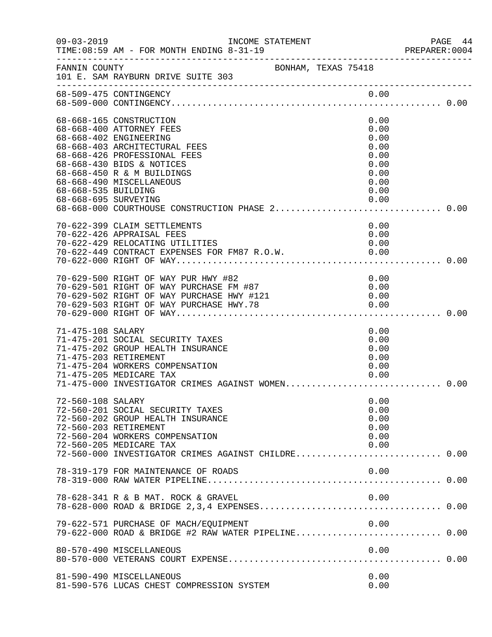| $09 - 03 - 2019$                            | INCOME STATEMENT<br>TIME: 08:59 AM - FOR MONTH ENDING 8-31-19                                                                                                                                                                                      |                                                                              | PAGE 44<br>PREPARER: 0004 |
|---------------------------------------------|----------------------------------------------------------------------------------------------------------------------------------------------------------------------------------------------------------------------------------------------------|------------------------------------------------------------------------------|---------------------------|
| FANNIN COUNTY                               | BONHAM, TEXAS 75418<br>101 E. SAM RAYBURN DRIVE SUITE 303                                                                                                                                                                                          |                                                                              |                           |
|                                             | 68-509-475 CONTINGENCY                                                                                                                                                                                                                             | 0.00                                                                         |                           |
| 68-668-535 BUILDING<br>68-668-695 SURVEYING | 68-668-165 CONSTRUCTION<br>68-668-400 ATTORNEY FEES<br>68-668-402 ENGINEERING<br>68-668-403 ARCHITECTURAL FEES<br>68-668-426 PROFESSIONAL FEES<br>68-668-430 BIDS & NOTICES<br>68-668-450 R & M BUILDINGS<br>68-668-490 MISCELLANEOUS              | 0.00<br>0.00<br>0.00<br>0.00<br>0.00<br>0.00<br>0.00<br>0.00<br>0.00<br>0.00 |                           |
|                                             | 70-622-399 CLAIM SETTLEMENTS                                                                                                                                                                                                                       | 0.00                                                                         |                           |
|                                             | 70-622-426 APPRAISAL FEES<br>70-622-429 RELOCATING UTILITIES<br>70-622-449 CONTRACT EXPENSES FOR FM87 R.O.W. 6.00                                                                                                                                  | 0.00<br>0.00                                                                 |                           |
|                                             | 70-629-500 RIGHT OF WAY PUR HWY #82<br>70-629-500 RIGHT OF WAY PUR HWY #82<br>70-629-501 RIGHT OF WAY PURCHASE FM #87<br>70-629-502 RIGHT OF WAY PURCHASE HWY #121 0.00<br>70-629-503 RIGHT OF WAY PURCHASE HWY.78 0.00<br>70-629-000 RIGHT OF WAY | 0.00                                                                         |                           |
| 71-475-108 SALARY                           | 71-475-201 SOCIAL SECURITY TAXES<br>71-475-202 GROUP HEALTH INSURANCE<br>71-475-203 RETIREMENT<br>71-475-204 WORKERS COMPENSATION<br>71-475-205 MEDICARE TAX<br>71-475-000 INVESTIGATOR CRIMES AGAINST WOMEN 0.00                                  | 0.00<br>0.00<br>0.00<br>0.00<br>0.00<br>0.00                                 |                           |
| 72-560-108 SALARY                           | 72-560-201 SOCIAL SECURITY TAXES<br>72-560-202 GROUP HEALTH INSURANCE<br>72-560-203 RETIREMENT<br>72-560-204 WORKERS COMPENSATION<br>72-560-205 MEDICARE TAX<br>72-560-000 INVESTIGATOR CRIMES AGAINST CHILDRE 0.00                                | 0.00<br>0.00<br>0.00<br>0.00<br>0.00<br>0.00                                 |                           |
|                                             | 78-319-179 FOR MAINTENANCE OF ROADS                                                                                                                                                                                                                | 0.00                                                                         |                           |
|                                             | 78-628-341 R & B MAT. ROCK & GRAVEL                                                                                                                                                                                                                | 0.00                                                                         |                           |
|                                             | 79-622-571 PURCHASE OF MACH/EQUIPMENT                                                                                                                                                                                                              | 0.00                                                                         |                           |
|                                             | 80-570-490 MISCELLANEOUS                                                                                                                                                                                                                           | 0.00                                                                         |                           |
|                                             | 81-590-490 MISCELLANEOUS<br>81-590-576 LUCAS CHEST COMPRESSION SYSTEM                                                                                                                                                                              | 0.00<br>0.00                                                                 |                           |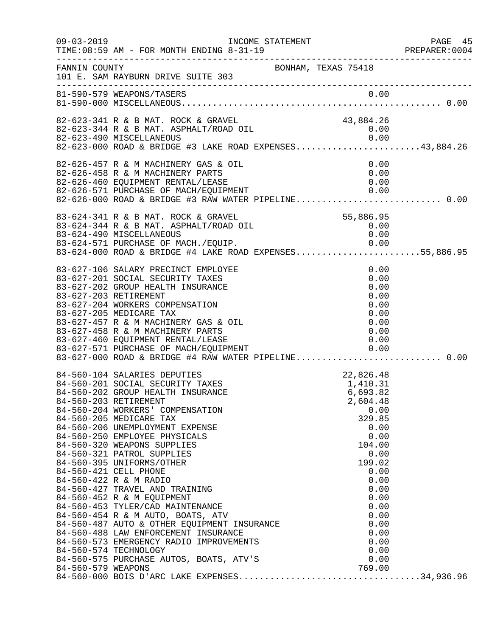| $09 - 03 - 2019$ | TIME: 08:59 AM - FOR MONTH ENDING 8-31-19                                                                                                                                                                                                                                                                                                                                                                                                                                                                                                                                                                                                                                                                          |                     |                                                                                                                                                                                             | PAGE 45<br>PREPARER:0004 |
|------------------|--------------------------------------------------------------------------------------------------------------------------------------------------------------------------------------------------------------------------------------------------------------------------------------------------------------------------------------------------------------------------------------------------------------------------------------------------------------------------------------------------------------------------------------------------------------------------------------------------------------------------------------------------------------------------------------------------------------------|---------------------|---------------------------------------------------------------------------------------------------------------------------------------------------------------------------------------------|--------------------------|
| FANNIN COUNTY    | 101 E. SAM RAYBURN DRIVE SUITE 303                                                                                                                                                                                                                                                                                                                                                                                                                                                                                                                                                                                                                                                                                 | BONHAM, TEXAS 75418 |                                                                                                                                                                                             |                          |
|                  |                                                                                                                                                                                                                                                                                                                                                                                                                                                                                                                                                                                                                                                                                                                    |                     |                                                                                                                                                                                             |                          |
|                  | 82-623-341 R & B MAT. ROCK & GRAVEL<br>82-623-344 R & B MAT. ASPHALT/ROAD OIL<br>0.00 0.00 AISCELLANEOUS<br>82-623-000 ROAD & BRIDGE #3 LAKE ROAD EXPENSES43,884.26                                                                                                                                                                                                                                                                                                                                                                                                                                                                                                                                                |                     | 43,884.26<br>0.00                                                                                                                                                                           |                          |
|                  | 82-626-457 R & M MACHINERY GAS & OIL<br>82-626-458 R & M MACHINERY PARTS<br>82-626-460 EQUIPMENT RENTAL/LEASE<br>82-626-571 PURCHASE OF MACH/EQUIPMENT 0.00<br>82-626-000 ROAD & BRIDGE #3 RAW WATER PIPELINE0.00                                                                                                                                                                                                                                                                                                                                                                                                                                                                                                  |                     | 0.00<br>0.00<br>0.00                                                                                                                                                                        |                          |
|                  | 83-624-341 R & B MAT. ROCK & GRAVEL<br>83-624-344 R & B MAT. ASPHALT/ROAD OIL<br>83-624-490 MISCELLANEOUS<br>83-624-571 PURCHASE OF MACH./EQUIP. 0.00<br>83-624-000 ROAD & BRIDGE #4 LAKE ROAD EXPENSES55,886.95                                                                                                                                                                                                                                                                                                                                                                                                                                                                                                   |                     | 55,886.95<br>0.00<br>0.00                                                                                                                                                                   |                          |
|                  | 83-627-106 SALARY PRECINCT EMPLOYEE<br>83-627-201 SOCIAL SECURITY TAXES<br>83-627-202 GROUP HEALTH INSURANCE<br>83-627-203 RETIREMENT<br>83-627-204 WORKERS COMPENSATION<br>83-627-205 MEDICARE TAX<br>83-627-457 R & M MACHINERY GAS & OIL<br>83-627-458 R & M MACHINERY PARTS<br>83-627-458 R & M MACHINERY PARTS 0.00<br>83-627-460 EQUIPMENT RENTAL/LEASE 0<br>83-627-571 PURCHASE OF MACH/EQUIPMENT 0.00<br>83-627-000 ROAD & BRIDGE #4 RAW WATER PIPELINE0.00                                                                                                                                                                                                                                                |                     | 0.00<br>0.00<br>0.00<br>0.00<br>0.00<br>0.00<br>0.00<br>0.00                                                                                                                                |                          |
|                  | 84-560-104 SALARIES DEPUTIED<br>84-560-201 SOCIAL SECURITY TAXES<br>84-560-203 RETIREMENT<br>84-560-204 WORKERS' COMPENSATION<br>84-560-205 MEDICARE TAX<br>84-560-206 UNEMPLOYMENT EXPENSE<br>84-560-250 EMPLOYEE PHYSICALS<br>84-560-320 WEAPONS SUPPLIES<br>84-560-321 PATROL SUPPLIES<br>84-560-395 UNIFORMS/OTHER<br>84-560-421 CELL PHONE<br>84-560-422 R & M RADIO<br>84-560-427 TRAVEL AND TRAINING<br>84-560-452 R & M EQUIPMENT<br>84-560-453 TYLER/CAD MAINTENANCE<br>84-560-454 R & M AUTO, BOATS, ATV<br>84-560-454 R & M AUTO, BOATS, ATV<br>84-560-487 AUTO & OTHER EQUIPMENT INSURANCE<br>84-560-488 LAW ENFORCEMENT INSURANCE<br>84-560-573 EMERGENCY RADIO IMPROVEMENTS<br>84-560-574 TECHNOLOGY |                     | 22,826.48<br>1,410.31<br>6,693.82<br>2,604.48<br>0.00<br>329.85<br>0.00<br>0.00<br>104.00<br>0.00<br>199.02<br>0.00<br>0.00<br>0.00<br>0.00<br>0.00<br>0.00<br>0.00<br>0.00<br>0.00<br>0.00 |                          |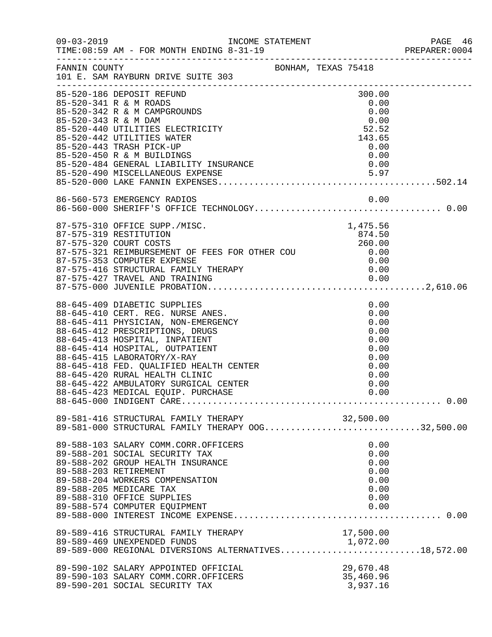|                      | INCOME STATEMENT                                                                                               |  |           | PREPARER: 0004 |
|----------------------|----------------------------------------------------------------------------------------------------------------|--|-----------|----------------|
|                      | FANNIN COUNTY<br>101 E. SAM RAYBURN DRIVE SUITE 303                                                            |  |           |                |
|                      | 85-520-186 DEPOSIT REFUND                                                                                      |  | 300.00    |                |
|                      | 85-520-341 R & M ROADS                                                                                         |  | 0.00      |                |
|                      | 85-520-342 R & M CAMPGROUNDS                                                                                   |  | 0.00      |                |
| 85-520-343 R & M DAM |                                                                                                                |  | 0.00      |                |
|                      | 85-520-440 UTILITIES ELECTRICITY                                                                               |  | 52.52     |                |
|                      | 85-520-442 UTILITIES WATER                                                                                     |  | 143.65    |                |
|                      | 85-520-443 TRASH PICK-UP                                                                                       |  | 0.00      |                |
|                      |                                                                                                                |  | 0.00      |                |
|                      |                                                                                                                |  |           |                |
|                      |                                                                                                                |  |           |                |
|                      |                                                                                                                |  |           |                |
|                      |                                                                                                                |  |           |                |
|                      |                                                                                                                |  |           |                |
|                      | 87-575-310 OFFICE SUPP./MISC.                                                                                  |  | 1,475.56  |                |
|                      | 87-575-319 RESTITUTION                                                                                         |  | 874.50    |                |
|                      | 87-575-320 COURT COSTS                                                                                         |  | 260.00    |                |
|                      | 87-575-320 COORT COSTS<br>87-575-321 REIMBURSEMENT OF FEES FOR OTHER COU $0.00$<br>87-575-353 COMPUTER EXPENSE |  |           |                |
|                      | 87-575-353 COMPUTER EXPENSE                                                                                    |  | 0.00      |                |
|                      |                                                                                                                |  |           |                |
|                      |                                                                                                                |  |           |                |
|                      |                                                                                                                |  |           |                |
|                      | 88-645-409 DIABETIC SUPPLIES                                                                                   |  | 0.00      |                |
|                      | 88-645-410 CERT. REG. NURSE ANES.                                                                              |  | 0.00      |                |
|                      | 88-645-411 PHYSICIAN, NON-EMERGENCY                                                                            |  | 0.00      |                |
|                      | 88-645-412 PRESCRIPTIONS, DRUGS                                                                                |  | 0.00      |                |
|                      | 88-645-413 HOSPITAL, INPATIENT                                                                                 |  | 0.00      |                |
|                      | 88-645-414 HOSPITAL, OUTPATIENT                                                                                |  | 0.00      |                |
|                      | 88-645-415 LABORATORY/X-RAY                                                                                    |  | 0.00      |                |
|                      | 88-645-415 LABORATORY/X-RAY<br>88-645-418 FED. QUALIFIED HEALTH CENTER                                         |  | 0.00      |                |
|                      | 88-645-420 RURAL HEALTH CLINIC                                                                                 |  | 0.00      |                |
|                      | 88-645-422 AMBULATORY SURGICAL CENTER                                                                          |  | 0.00      |                |
|                      | 88-645-423 MEDICAL EQUIP. PURCHASE                                                                             |  | 0.00      |                |
|                      |                                                                                                                |  |           |                |
|                      | 89-581-416 STRUCTURAL FAMILY THERAPY 00G32,500.00<br>89-581-000 STRUCTURAL FAMILY THERAPY 00G32,500.00         |  |           |                |
|                      |                                                                                                                |  |           |                |
|                      | 89-588-103 SALARY COMM.CORR.OFFICERS                                                                           |  | 0.00      |                |
|                      | 89-588-201 SOCIAL SECURITY TAX                                                                                 |  | 0.00      |                |
|                      | 89-588-202 GROUP HEALTH INSURANCE                                                                              |  | 0.00      |                |
|                      | 89-588-203 RETIREMENT                                                                                          |  | 0.00      |                |
|                      | 89-588-204 WORKERS COMPENSATION                                                                                |  | 0.00      |                |
|                      | 89-588-205 MEDICARE TAX                                                                                        |  | 0.00      |                |
|                      | 89-588-310 OFFICE SUPPLIES                                                                                     |  | 0.00      |                |
|                      | 89-588-574 COMPUTER EQUIPMENT                                                                                  |  | 0.00      |                |
|                      |                                                                                                                |  |           |                |
|                      | 89-589-416 STRUCTURAL FAMILY THERAPY                                                                           |  | 17,500.00 |                |
|                      | 89-589-469 UNEXPENDED FUNDS<br>89-589-000 REGIONAL DIVERSIONS ALTERNATIVES18,572.00                            |  |           |                |
|                      |                                                                                                                |  |           |                |
|                      | 89-590-102 SALARY APPOINTED OFFICIAL                                                                           |  | 29,670.48 |                |
|                      | 89-590-103 SALARY COMM.CORR.OFFICERS                                                                           |  | 35,460.96 |                |
|                      | 89-590-201 SOCIAL SECURITY TAX                                                                                 |  | 3,937.16  |                |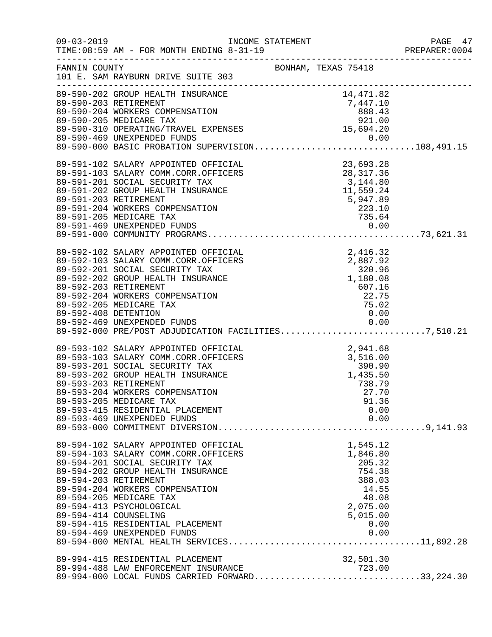| $09 - 03 - 2019$     | INCOME STATEMENT<br>TIME: 08:59 AM - FOR MONTH ENDING 8-31-19                                                                                                                                                                                                                                                                                                      |                                                                                                              | PAGE 47<br>PREPARER: 0004 |
|----------------------|--------------------------------------------------------------------------------------------------------------------------------------------------------------------------------------------------------------------------------------------------------------------------------------------------------------------------------------------------------------------|--------------------------------------------------------------------------------------------------------------|---------------------------|
| FANNIN COUNTY        | 101 E. SAM RAYBURN DRIVE SUITE 303                                                                                                                                                                                                                                                                                                                                 | BONHAM, TEXAS 75418                                                                                          |                           |
|                      | 4,471.82<br>89-590-202 GROUP HEALTH INSURANCE<br>89-590-203 RETIREMENT<br>89-590-204 WORKERS COMPENSATION<br>89-590-205 MEDICARE TAX<br>89-590-310 OPERATING/TRAVEL EXPENSES<br>89-590-310 OPERATING/TRAVEL EXPENSES<br>89-590-310 OPERATING                                                                                                                       |                                                                                                              |                           |
|                      | 89-590-469 UNEXPENDED FUNDS<br>89-590-000 BASIC PROBATION SUPERVISION108,491.15                                                                                                                                                                                                                                                                                    |                                                                                                              |                           |
|                      | 89-591-102 SALARY APPOINTED OFFICIAL<br>89-591-103 SALARY COMM.CORR.OFFICERS<br>89-591-201 SOCIAL SECURITY TAX<br>89-591-202 GROUP HEALTH INSURANCE<br>89-591-203 RETIREMENT                                                                                                                                                                                       | AL<br>23,693.28<br>28,317.36<br>3,144.80<br>11,559.24<br>5,947.89<br>223.10<br>735.64                        |                           |
|                      | 89-591-204 WORKERS COMPENSATION<br>89-591-205 MEDICARE TAX                                                                                                                                                                                                                                                                                                         |                                                                                                              |                           |
| 89-592-408 DETENTION | 99-592-102 SALARY APPOINTED OFFICIAL<br>89-592-103 SALARY COMM.CORR.OFFICERS<br>89-592-201 SOCIAL SECURITY TAX<br>89-592-202 GROUP HEALTH INSURANCE<br>89-592-203 RETIREMENT<br>89-592-203 RETIREMENT<br>89-592-204 WORKERS COMPENSATION<br><br>89-592-469 UNEXPENDED FUNDS<br>89-592-000 PRE/POST ADJUDICATION FACILITIES7,510.21                                 | 0.00                                                                                                         |                           |
|                      | 89-593-102 SALARY APPOINTED OFFICIAL<br>89-593-103 SALARY COMM.CORR.OFFICERS<br>89-593-201 SOCIAL SECURITY TAX<br>89-593-202 GROUP HEALTH INSURANCE<br>89-593-203 RETIREMENT<br>89-593-204 WORKERS COMPENSATION<br>89-593-205 MEDICARE TAX<br>89-593-415 RESIDENTIAL PLACEMENT<br>89-593-469 UNEXPENDED FUNDS                                                      | 2, 941.68<br>3, 516.00<br>390.90<br>1, 435.50<br>738.79<br>27.70<br>91.36<br>0.00<br>0.00                    |                           |
|                      | 89-594-102 SALARY APPOINTED OFFICIAL<br>89-594-103 SALARY COMM.CORR.OFFICERS<br>89-594-201 SOCIAL SECURITY TAX<br>89-594-202 GROUP HEALTH INSURANCE<br>89-594-203 RETIREMENT<br>89-594-204 WORKERS COMPENSATION<br>89-594-205 MEDICARE TAX<br>89-594-413 PSYCHOLOGICAL<br>89-594-414 COUNSELING<br>89-594-415 RESIDENTIAL PLACEMENT<br>89-594-469 UNEXPENDED FUNDS | 1,545.12<br>1,846.80<br>205.32<br>754.38<br>388.03<br>14.55<br>48.08<br>2,075.00<br>5,015.00<br>0.00<br>0.00 |                           |
|                      | 89-994-415 RESIDENTIAL PLACEMENT<br>89-994-488 LAW ENFORCEMENT INSURANCE<br>89-994-000 LOCAL FUNDS CARRIED FORWARD33,224.30                                                                                                                                                                                                                                        | 32,501.30<br>723.00                                                                                          |                           |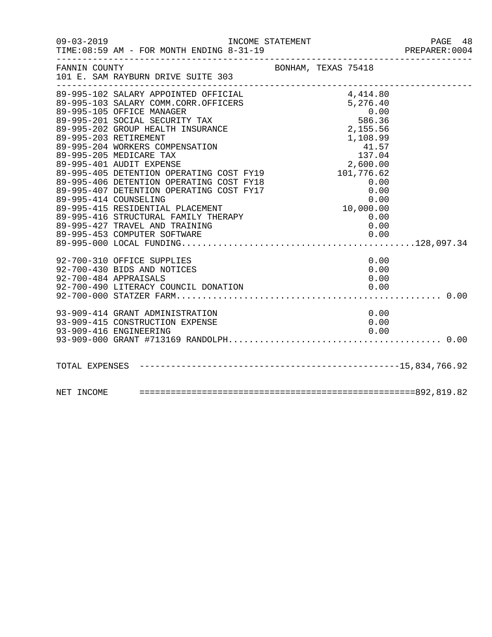|               | 09-03-2019 INCOME STATEMENT<br>TIME: 08:59 AM - FOR MONTH ENDING 8-31-19                                                                                                                                                                                                                                                                                                                                                                                                                                                                                                                    |                                                                                                                                                                | PAGE 48<br>PREPARER:0004 |
|---------------|---------------------------------------------------------------------------------------------------------------------------------------------------------------------------------------------------------------------------------------------------------------------------------------------------------------------------------------------------------------------------------------------------------------------------------------------------------------------------------------------------------------------------------------------------------------------------------------------|----------------------------------------------------------------------------------------------------------------------------------------------------------------|--------------------------|
| FANNIN COUNTY | 101 E. SAM RAYBURN DRIVE SUITE 303                                                                                                                                                                                                                                                                                                                                                                                                                                                                                                                                                          | BONHAM, TEXAS 75418                                                                                                                                            |                          |
|               | ---------<br>89-995-102 SALARY APPOINTED OFFICIAL<br>89-995-103 SALARY COMM.CORR.OFFICERS<br>89-995-105 OFFICE MANAGER<br>89-995-201 SOCIAL SECURITY TAX<br>89-995-202 GROUP HEALTH INSURANCE<br>89-995-203 RETIREMENT<br>89-995-204 WORKERS COMPENSATION<br>89-995-205 MEDICARE TAX<br>89-995-401 AUDIT EXPENSE<br>89-995-405 DETENTION OPERATING COST FY19<br>89-995-406 DETENTION OPERATING COST FY18<br>89-995-407 DETENTION OPERATING COST FY17<br>89-995-414 COUNSELING<br>89-995-415 RESIDENTIAL PLACEMENT<br>89-995-416 STRUCTURAL FAMILY THERAPY<br>89-995-427 TRAVEL AND TRAINING | 4,414.80<br>5,276.40<br>$0.00$<br>586.36<br>2,155.56<br>$1,108.99$<br>$41.57$<br>$137.04$<br>2,600.00<br>$0.00$<br>$0.00$<br>$0.00$<br>$0.0$<br>$0.0$<br>$0.7$ |                          |
|               | 92-700-310 OFFICE SUPPLIES<br>92-700-430 BIDS AND NOTICES<br>92-700-484 APPRAISALS<br>92-700-490 LITERACY COUNCIL DONATION<br>93-909-414 GRANT ADMINISTRATION<br>93-909-415 CONSTRUCTION EXPENSE<br>93-909-416 ENGINEERING                                                                                                                                                                                                                                                                                                                                                                  | 0.00<br>0.00<br>0.00<br>0.00<br>0.00<br>0.00<br>0.00                                                                                                           |                          |
|               |                                                                                                                                                                                                                                                                                                                                                                                                                                                                                                                                                                                             |                                                                                                                                                                |                          |
|               |                                                                                                                                                                                                                                                                                                                                                                                                                                                                                                                                                                                             |                                                                                                                                                                |                          |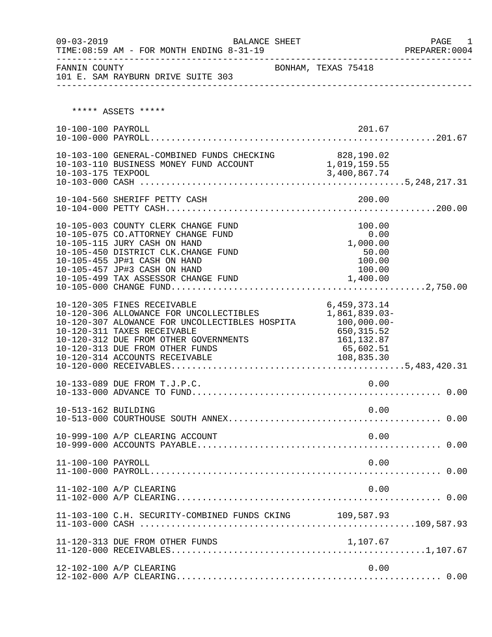| $09 - 03 - 2019$    | BALANCE SHEET<br>TIME: 08:59 AM - FOR MONTH ENDING 8-31-19                                                                                                                                                                                                            |                                                                                                           | PAGE 1<br>PREPARER:0004 |
|---------------------|-----------------------------------------------------------------------------------------------------------------------------------------------------------------------------------------------------------------------------------------------------------------------|-----------------------------------------------------------------------------------------------------------|-------------------------|
| FANNIN COUNTY       | 101 E. SAM RAYBURN DRIVE SUITE 303                                                                                                                                                                                                                                    | BONHAM, TEXAS 75418                                                                                       |                         |
|                     | ***** ASSETS *****                                                                                                                                                                                                                                                    |                                                                                                           |                         |
| 10-100-100 PAYROLL  |                                                                                                                                                                                                                                                                       | 201.67                                                                                                    |                         |
|                     | 10-103-100 GENERAL-COMBINED FUNDS CHECKING 828,190.02<br>10-103-110 BUSINESS MONEY FUND ACCOUNT 1,019,159.55                                                                                                                                                          |                                                                                                           |                         |
|                     |                                                                                                                                                                                                                                                                       |                                                                                                           |                         |
|                     | 10-105-003 COUNTY CLERK CHANGE FUND<br>10-105-075 CO.ATTORNEY CHANGE FUND<br>10-105-115 JURY CASH ON HAND<br>10-105-450 DISTRICT CLK.CHANGE FUND<br>10-105-455 JP#1 CASH ON HAND<br>10-105-457 JP#3 CASH ON HAND                                                      | 100.00<br>0.00<br>1,000.00<br>50.00<br>100.00<br>100.00                                                   |                         |
|                     | 10-120-305 FINES RECEIVABLE<br>10-120-306 ALLOWANCE FOR UNCOLLECTIBLES<br>10-120-307 ALOWANCE FOR UNCOLLECTIBLES HOSPITA<br>10-120-311 TAXES RECEIVABLE<br>10-120-312 DUE FROM OTHER GOVERNMENTS<br>10-120-313 DUE FROM OTHER FUNDS<br>10-120-314 ACCOUNTS RECEIVABLE | 6, 459, 373. 14<br>1,861,839.03-<br>$100,000.00 -$<br>650,315.52<br>161,132.87<br>65,602.51<br>108,835.30 |                         |
|                     | 10-133-089 DUE FROM T.J.P.C.                                                                                                                                                                                                                                          | 0.00                                                                                                      |                         |
| 10-513-162 BUILDING |                                                                                                                                                                                                                                                                       | 0.00                                                                                                      |                         |
|                     | 10-999-100 A/P CLEARING ACCOUNT                                                                                                                                                                                                                                       | 0.00                                                                                                      |                         |
| 11-100-100 PAYROLL  |                                                                                                                                                                                                                                                                       | 0.00                                                                                                      |                         |
|                     | 11-102-100 A/P CLEARING                                                                                                                                                                                                                                               | 0.00                                                                                                      |                         |
|                     | 11-103-100 C.H. SECURITY-COMBINED FUNDS CKING 109,587.93                                                                                                                                                                                                              |                                                                                                           |                         |
|                     | 11-120-313 DUE FROM OTHER FUNDS                                                                                                                                                                                                                                       | 1,107.67                                                                                                  |                         |
|                     | 12-102-100 A/P CLEARING                                                                                                                                                                                                                                               | 0.00                                                                                                      |                         |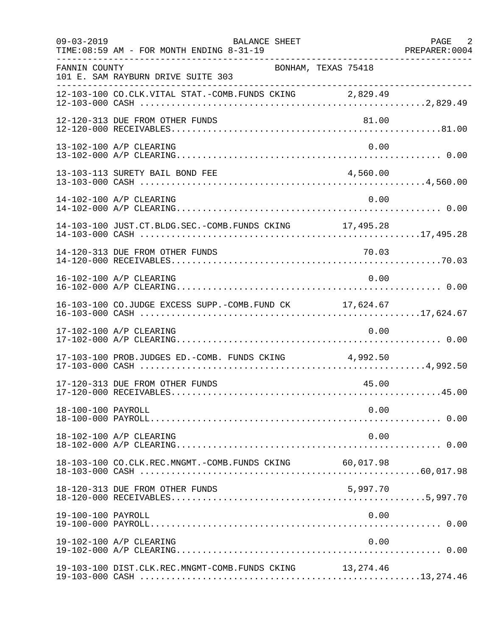| $09 - 03 - 2019$   | BALANCE SHEET<br>TIME: 08:59 AM - FOR MONTH ENDING 8-31-19 |          | PAGE 2 |
|--------------------|------------------------------------------------------------|----------|--------|
| FANNIN COUNTY      | BONHAM, TEXAS 75418<br>101 E. SAM RAYBURN DRIVE SUITE 303  |          |        |
|                    | 12-103-100 CO.CLK.VITAL STAT.-COMB.FUNDS CKING 2,829.49    |          |        |
|                    | 12-120-313 DUE FROM OTHER FUNDS                            | 81.00    |        |
|                    | 13-102-100 A/P CLEARING                                    | 0.00     |        |
|                    | 13-103-113 SURETY BAIL BOND FEE                            | 4,560.00 |        |
|                    | 14-102-100 A/P CLEARING                                    | 0.00     |        |
|                    | 14-103-100 JUST.CT.BLDG.SEC.-COMB.FUNDS CKING 17,495.28    |          |        |
|                    |                                                            |          |        |
|                    | 16-102-100 A/P CLEARING                                    | 0.00     |        |
|                    | 16-103-100 CO.JUDGE EXCESS SUPP.-COMB.FUND CK 17,624.67    |          |        |
|                    | 17-102-100 A/P CLEARING                                    | 0.00     |        |
|                    | 17-103-100 PROB.JUDGES ED.-COMB. FUNDS CKING 4,992.50      |          |        |
|                    | 17-120-313 DUE FROM OTHER FUNDS                            | 45.00    |        |
| 18-100-100 PAYROLL |                                                            | 0.00     |        |
|                    | 18-102-100 A/P CLEARING                                    | 0.00     |        |
|                    | 18-103-100 CO.CLK.REC.MNGMT.-COMB.FUNDS CKING 60,017.98    |          |        |
|                    | 18-120-313 DUE FROM OTHER FUNDS                            | 5,997.70 |        |
| 19-100-100 PAYROLL |                                                            | 0.00     |        |
|                    | 19-102-100 A/P CLEARING                                    | 0.00     |        |
|                    | 19-103-100 DIST.CLK.REC.MNGMT-COMB.FUNDS CKING 13,274.46   |          |        |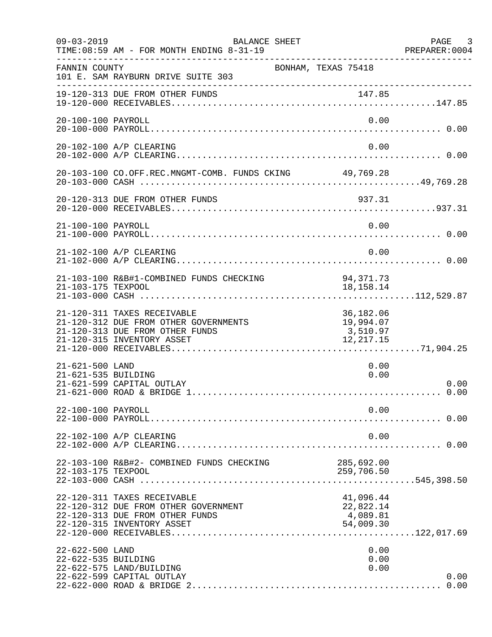| $09 - 03 - 2019$                       | BALANCE SHEET<br>TIME: 08:59 AM - FOR MONTH ENDING 8-31-19<br>. _ _ _ _ _ _ _ _ _ _ _ _ _ _ _ _ _                                     |                                                 | PAGE 3<br>PREPARER: 0004 |
|----------------------------------------|---------------------------------------------------------------------------------------------------------------------------------------|-------------------------------------------------|--------------------------|
| FANNIN COUNTY                          | BONHAM, TEXAS 75418<br>101 E. SAM RAYBURN DRIVE SUITE 303                                                                             |                                                 |                          |
|                                        | 19-120-313 DUE FROM OTHER FUNDS                                                                                                       |                                                 |                          |
| 20-100-100 PAYROLL                     |                                                                                                                                       | 0.00                                            |                          |
|                                        | 20-102-100 A/P CLEARING                                                                                                               | 0.00                                            |                          |
|                                        | 20-103-100 CO.OFF.REC.MNGMT-COMB. FUNDS CKING 49,769.28                                                                               |                                                 |                          |
|                                        |                                                                                                                                       |                                                 |                          |
| 21-100-100 PAYROLL                     |                                                                                                                                       | 0.00                                            |                          |
|                                        | 21-102-100 A/P CLEARING                                                                                                               | 0.00                                            |                          |
| 21-103-175 TEXPOOL                     | 21-103-100 R&B#1-COMBINED FUNDS CHECKING                                                                                              | 94, 371. 73<br>18, 158. 14                      |                          |
|                                        | 21-120-311 TAXES RECEIVABLE<br>21-120-312 DUE FROM OTHER GOVERNMENTS<br>21-120-313 DUE FROM OTHER FUNDS<br>21-120-315 INVENTORY ASSET | 36,182.06<br>19,994.07<br>3,510.97<br>12,217.15 |                          |
| 21-621-500 LAND<br>21-621-535 BUILDING | 21-621-599 CAPITAL OUTLAY                                                                                                             | 0.00<br>0.00                                    | 0.00<br>0.00             |
| 22-100-100 PAYROLL                     |                                                                                                                                       | 0.00                                            |                          |
|                                        | 22-102-100 A/P CLEARING                                                                                                               | 0.00                                            |                          |
| 22-103-175 TEXPOOL                     | 22-103-100 R&B#2- COMBINED FUNDS CHECKING                                                                                             | 285,692.00<br>259,706.50                        |                          |
|                                        | 22-120-311 TAXES RECEIVABLE<br>22-120-312 DUE FROM OTHER GOVERNMENT<br>22-120-313 DUE FROM OTHER FUNDS<br>22-120-315 INVENTORY ASSET  | 41,096.44<br>22,822.14<br>4,089.81<br>54,009.30 |                          |
| 22-622-500 LAND<br>22-622-535 BUILDING | 22-622-575 LAND/BUILDING<br>22-622-599 CAPITAL OUTLAY                                                                                 | 0.00<br>0.00<br>0.00                            | 0.00<br>0.00             |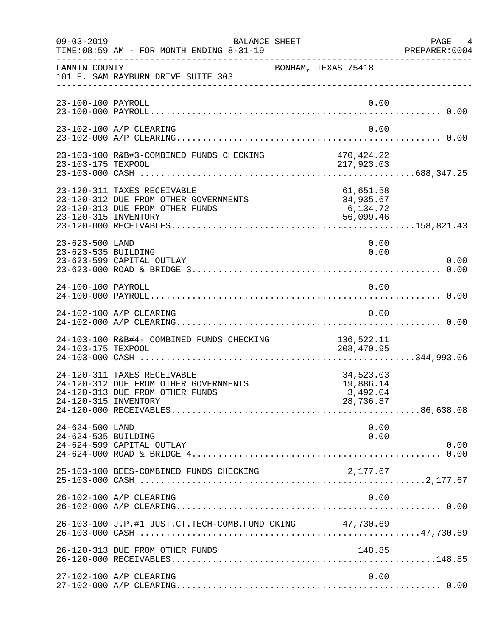| $09 - 03 - 2019$                       | BALANCE SHEET<br>TIME: 08:59 AM - FOR MONTH ENDING 8-31-19                                              |                                                 | PAGE 4<br>PREPARER: 0004 |
|----------------------------------------|---------------------------------------------------------------------------------------------------------|-------------------------------------------------|--------------------------|
| FANNIN COUNTY                          | 101 E. SAM RAYBURN DRIVE SUITE 303                                                                      | BONHAM, TEXAS 75418                             |                          |
| 23-100-100 PAYROLL                     |                                                                                                         |                                                 | 0.00                     |
|                                        | 23-102-100 A/P CLEARING                                                                                 |                                                 | 0.00                     |
|                                        |                                                                                                         |                                                 |                          |
| 23-120-315 INVENTORY                   | 23-120-311 TAXES RECEIVABLE<br>23-120-312 DUE FROM OTHER GOVERNMENTS<br>23-120-313 DUE FROM OTHER FUNDS | 61,651.58<br>34,935.67<br>6,134.72<br>56,099.46 |                          |
| 23-623-500 LAND<br>23-623-535 BUILDING | 23-623-599 CAPITAL OUTLAY                                                                               |                                                 | 0.00<br>0.00<br>0.00     |
| 24-100-100 PAYROLL                     |                                                                                                         | 0.00                                            |                          |
|                                        | 24-102-100 A/P CLEARING                                                                                 |                                                 | 0.00                     |
| 24-103-175 TEXPOOL                     | 24-103-100 R&B#4- COMBINED FUNDS CHECKING                                                               | 136,522.11<br>208,470.95                        |                          |
| 24-120-315 INVENTORY                   | 24-120-311 TAXES RECEIVABLE<br>24-120-312 DUE FROM OTHER GOVERNMENTS<br>24-120-313 DUE FROM OTHER FUNDS | 34,523.03<br>19,886.14<br>3,492.04<br>28,736.87 |                          |
| 24-624-500 LAND<br>24-624-535 BUILDING | 24-624-599 CAPITAL OUTLAY                                                                               |                                                 | 0.00<br>0.00<br>0.00     |
|                                        | 25-103-100 BEES-COMBINED FUNDS CHECKING                                                                 | 2,177.67                                        |                          |
|                                        | 26-102-100 A/P CLEARING                                                                                 |                                                 | 0.00                     |
|                                        | 26-103-100 J.P.#1 JUST.CT.TECH-COMB.FUND CKING 47,730.69                                                |                                                 |                          |
|                                        | 26-120-313 DUE FROM OTHER FUNDS                                                                         | 148.85                                          |                          |
|                                        | 27-102-100 A/P CLEARING                                                                                 |                                                 | 0.00                     |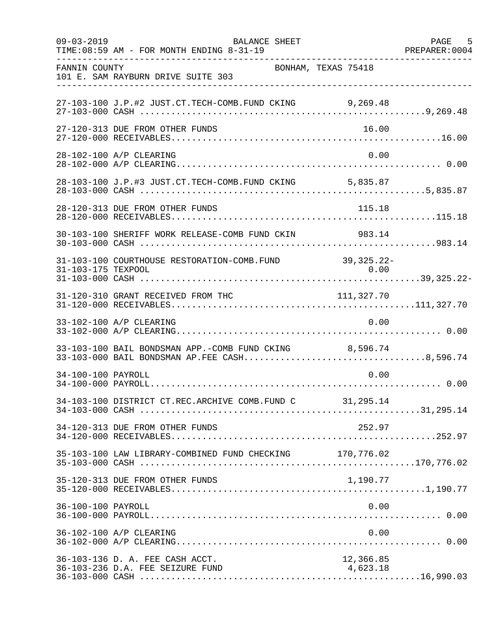| $09 - 03 - 2019$   | <b>BALANCE SHEET</b><br>TIME: 08:59 AM - FOR MONTH ENDING 8-31-19                                      |                       | PAGE 5<br>PREPARER: 0004 |
|--------------------|--------------------------------------------------------------------------------------------------------|-----------------------|--------------------------|
| FANNIN COUNTY      | BONHAM, TEXAS 75418<br>101 E. SAM RAYBURN DRIVE SUITE 303                                              |                       |                          |
|                    | 27-103-100 J.P.#2 JUST.CT.TECH-COMB.FUND CKING 9,269.48                                                |                       |                          |
|                    | 27-120-313 DUE FROM OTHER FUNDS                                                                        | 16.00                 |                          |
|                    | 28-102-100 A/P CLEARING                                                                                | 0.00                  |                          |
|                    | 28-103-100 J.P.#3 JUST.CT.TECH-COMB.FUND CKING 5,835.87                                                |                       |                          |
|                    | 28-120-313 DUE FROM OTHER FUNDS                                                                        | 115.18                |                          |
|                    | 30-103-100 SHERIFF WORK RELEASE-COMB FUND CKIN 983.14                                                  |                       |                          |
| 31-103-175 TEXPOOL | 31-103-100 COURTHOUSE RESTORATION-COMB.FUND                                                            | 39, 325. 22-<br>0.00  |                          |
|                    | 31-120-310 GRANT RECEIVED FROM THC                                                                     | 111, 327.70           |                          |
|                    | 33-102-100 A/P CLEARING                                                                                | 0.00                  |                          |
|                    | 33-103-100 BAIL BONDSMAN APP.-COMB FUND CKING 8,596.74<br>33-103-000 BAIL BONDSMAN AP.FEE CASH8,596.74 |                       |                          |
| 34-100-100 PAYROLL |                                                                                                        | 0.00                  |                          |
|                    | 34-103-100 DISTRICT CT.REC.ARCHIVE COMB.FUND C 31,295.14                                               |                       |                          |
|                    | 34-120-313 DUE FROM OTHER FUNDS                                                                        | 252.97                |                          |
|                    | 35-103-100 LAW LIBRARY-COMBINED FUND CHECKING 170,776.02                                               |                       |                          |
|                    | 35-120-313 DUE FROM OTHER FUNDS                                                                        | 1,190.77              |                          |
| 36-100-100 PAYROLL |                                                                                                        | 0.00                  |                          |
|                    | 36-102-100 A/P CLEARING                                                                                | 0.00                  |                          |
|                    | 36-103-136 D. A. FEE CASH ACCT.<br>36-103-236 D.A. FEE SEIZURE FUND                                    | 12,366.85<br>4,623.18 |                          |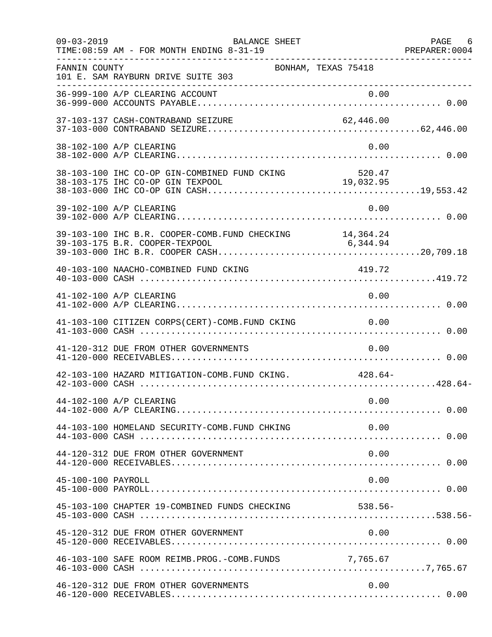| $09 - 03 - 2019$   | <b>BALANCE SHEET</b><br>- FOR MONTH ENDING 8-31-19<br>PREPARER:0004 PREPARER:0004<br>TIME: 08:59 AM - FOR MONTH ENDING 8-31-19 |           | PAGE 6 |
|--------------------|--------------------------------------------------------------------------------------------------------------------------------|-----------|--------|
| FANNIN COUNTY      | BONHAM, TEXAS 75418<br>101 E. SAM RAYBURN DRIVE SUITE 303                                                                      |           |        |
|                    |                                                                                                                                |           |        |
|                    | 37-103-137 CASH-CONTRABAND SEIZURE                                                                                             |           |        |
|                    | 38-102-100 A/P CLEARING                                                                                                        | 0.00      |        |
|                    | 38-103-100 IHC CO-OP GIN-COMBINED FUND CKING 520.47                                                                            |           |        |
|                    | 39-102-100 A/P CLEARING                                                                                                        | 0.00      |        |
|                    | 39-103-100 IHC B.R. COOPER-COMB. FUND CHECKING 14,364.24<br>39-103-175 B.R. COOPER-TEXPOOL                                     | 6, 344.94 |        |
|                    | 40-103-100 NAACHO-COMBINED FUND CKING                                                                                          | 419.72    |        |
|                    | 41-102-100 A/P CLEARING                                                                                                        | 0.00      |        |
|                    | 41-103-100 CITIZEN CORPS(CERT)-COMB.FUND CKING 0.00                                                                            |           |        |
|                    | 41-120-312 DUE FROM OTHER GOVERNMENTS                                                                                          | 0.00      |        |
|                    | 42-103-100 HAZARD MITIGATION-COMB. FUND CKING. 428.64-                                                                         |           |        |
|                    | 44-102-100 A/P CLEARING                                                                                                        | 0.00      |        |
|                    | 44-103-100 HOMELAND SECURITY-COMB.FUND CHKING 0.00                                                                             |           |        |
|                    | 44-120-312 DUE FROM OTHER GOVERNMENT                                                                                           | 0.00      |        |
| 45-100-100 PAYROLL |                                                                                                                                | 0.00      |        |
|                    | 45-103-100 CHAPTER 19-COMBINED FUNDS CHECKING                                                                                  | $538.56-$ |        |
|                    | 45-120-312 DUE FROM OTHER GOVERNMENT                                                                                           | 0.00      |        |
|                    | 46-103-100 SAFE ROOM REIMB. PROG. - COMB. FUNDS 7,765.67                                                                       |           |        |
|                    | 46-120-312 DUE FROM OTHER GOVERNMENTS                                                                                          | 0.00      |        |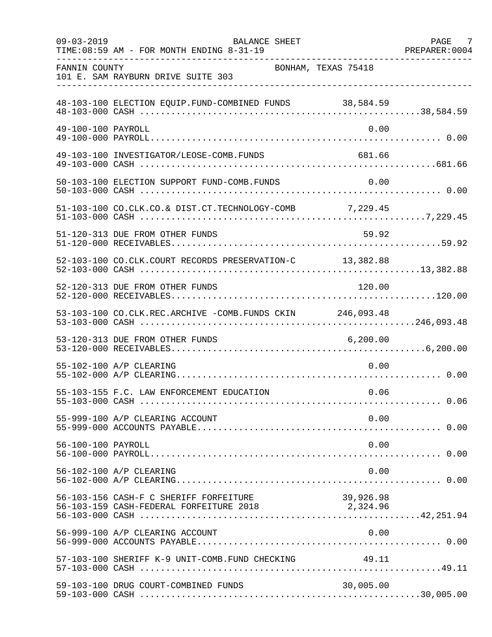| $09 - 03 - 2019$   | <b>BALANCE SHEET</b><br>TIME: 08:59 AM - FOR MONTH ENDING 8-31-19                          |                     | PAGE 7<br>PREPARER: 0004 |
|--------------------|--------------------------------------------------------------------------------------------|---------------------|--------------------------|
| FANNIN COUNTY      | 101 E. SAM RAYBURN DRIVE SUITE 303                                                         | BONHAM, TEXAS 75418 |                          |
|                    | 48-103-100 ELECTION EQUIP.FUND-COMBINED FUNDS 38,584.59                                    |                     |                          |
| 49-100-100 PAYROLL |                                                                                            | 0.00                |                          |
|                    | 49-103-100 INVESTIGATOR/LEOSE-COMB.FUNDS                                                   | 681.66              |                          |
|                    | 50-103-100 ELECTION SUPPORT FUND-COMB. FUNDS                                               | 0.00                |                          |
|                    | 51-103-100 CO.CLK.CO.& DIST.CT.TECHNOLOGY-COMB 7,229.45                                    |                     |                          |
|                    | 51-120-313 DUE FROM OTHER FUNDS                                                            | 59.92               |                          |
|                    | 52-103-100 CO.CLK.COURT RECORDS PRESERVATION-C 13,382.88                                   |                     |                          |
|                    | 52-120-313 DUE FROM OTHER FUNDS                                                            | 120.00              |                          |
|                    | 53-103-100 CO.CLK.REC.ARCHIVE -COMB.FUNDS CKIN 246,093.48                                  |                     |                          |
|                    | 53-120-313 DUE FROM OTHER FUNDS                                                            | 6, 200.00           |                          |
|                    | 55-102-100 A/P CLEARING                                                                    | 0.00                |                          |
|                    | 55-103-155 F.C. LAW ENFORCEMENT EDUCATION                                                  | 0.06                |                          |
|                    | 55-999-100 A/P CLEARING ACCOUNT                                                            | 0.00                |                          |
| 56-100-100 PAYROLL |                                                                                            | 0.00                |                          |
|                    | 56-102-100 A/P CLEARING                                                                    | 0.00                |                          |
|                    | 56-103-156 CASH-F C SHERIFF FORFEITURE<br>56-103-159 CASH-FEDERAL FORFEITURE 2018 2,324.96 | 39,926.98           |                          |
|                    | 56-999-100 A/P CLEARING ACCOUNT                                                            | 0.00                |                          |
|                    | 57-103-100 SHERIFF K-9 UNIT-COMB.FUND CHECKING 49.11                                       |                     |                          |
|                    | 59-103-100 DRUG COURT-COMBINED FUNDS                                                       | 30,005.00           |                          |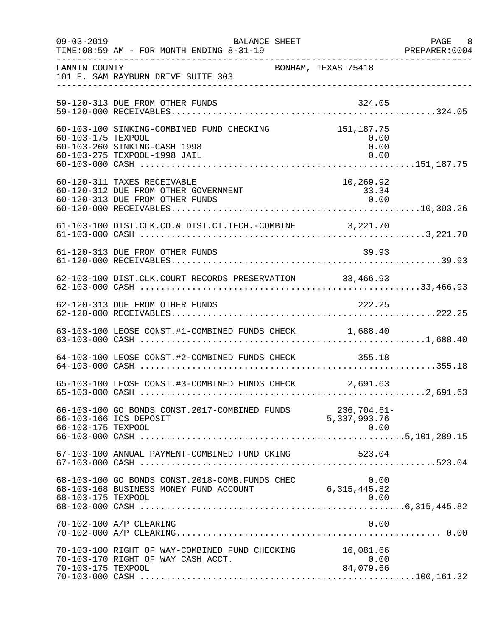| $09 - 03 - 2019$   | BALANCE SHEET<br>TIME: 08:59 AM - FOR MONTH ENDING 8-31-19                                                |                                     | PAGE 8<br>PREPARER:0004 |
|--------------------|-----------------------------------------------------------------------------------------------------------|-------------------------------------|-------------------------|
| FANNIN COUNTY      | 101 E. SAM RAYBURN DRIVE SUITE 303                                                                        | BONHAM, TEXAS 75418                 |                         |
|                    | 59-120-313 DUE FROM OTHER FUNDS                                                                           | 324.05                              |                         |
| 60-103-175 TEXPOOL | 60-103-100 SINKING-COMBINED FUND CHECKING<br>60-103-260 SINKING-CASH 1998<br>60-103-275 TEXPOOL-1998 JAIL | 151, 187.75<br>0.00<br>0.00<br>0.00 |                         |
|                    | 60-120-311 TAXES RECEIVABLE<br>60-120-312 DUE FROM OTHER GOVERNMENT<br>60-120-313 DUE FROM OTHER FUNDS    | 10,269.92<br>$33.34$<br>0.00        |                         |
|                    | 61-103-100 DIST.CLK.CO.& DIST.CT.TECH.-COMBINE 3,221.70                                                   |                                     |                         |
|                    | 61-120-313 DUE FROM OTHER FUNDS                                                                           | 39.93                               |                         |
|                    | 62-103-100 DIST.CLK.COURT RECORDS PRESERVATION 33,466.93                                                  |                                     |                         |
|                    | 62-120-313 DUE FROM OTHER FUNDS                                                                           | 222.25                              |                         |
|                    | 63-103-100 LEOSE CONST.#1-COMBINED FUNDS CHECK 1,688.40                                                   |                                     |                         |
|                    | 64-103-100 LEOSE CONST.#2-COMBINED FUNDS CHECK 355.18                                                     |                                     |                         |
|                    | 65-103-100 LEOSE CONST.#3-COMBINED FUNDS CHECK 2,691.63                                                   |                                     |                         |
| 66-103-175 TEXPOOL | 66-103-100 GO BONDS CONST.2017-COMBINED FUNDS 236,704.61-<br>66-103-166 ICS DEPOSIT                       | 5,337,993.76<br>0.00                |                         |
|                    | 67-103-100 ANNUAL PAYMENT-COMBINED FUND CKING                                                             | 523.04                              |                         |
| 68-103-175 TEXPOOL | 68-103-100 GO BONDS CONST.2018-COMB. FUNDS CHEC<br>68-103-168 BUSINESS MONEY FUND ACCOUNT                 | 6, 315, 445.82                      | 0.00                    |
|                    | 70-102-100 A/P CLEARING                                                                                   |                                     | 0.00                    |
| 70-103-175 TEXPOOL | 70-103-100 RIGHT OF WAY-COMBINED FUND CHECKING<br>70-103-170 RIGHT OF WAY CASH ACCT.                      | 16,081.66<br>0.00<br>84,079.66      |                         |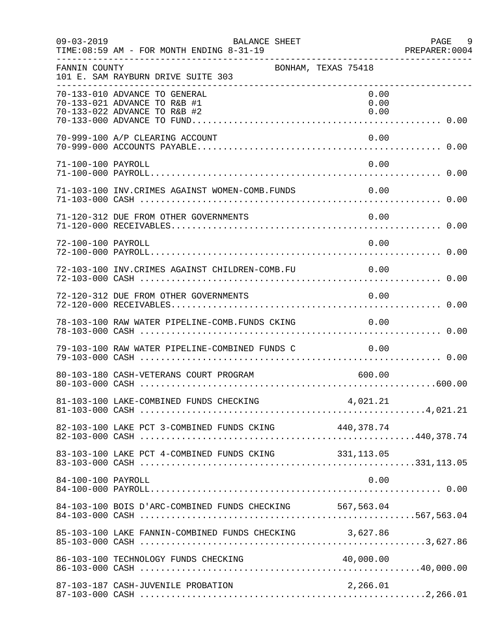| $09 - 03 - 2019$   | BALANCE SHEET<br>TIME: 08:59 AM - FOR MONTH ENDING 8-31-19                                    |                      | PAGE 9<br>PREPARER:0004 |
|--------------------|-----------------------------------------------------------------------------------------------|----------------------|-------------------------|
| FANNIN COUNTY      | 101 E. SAM RAYBURN DRIVE SUITE 303                                                            | BONHAM, TEXAS 75418  |                         |
|                    | 70-133-010 ADVANCE TO GENERAL<br>70-133-021 ADVANCE TO R&B #1<br>70-133-022 ADVANCE TO R&B #2 | 0.00<br>0.00<br>0.00 |                         |
|                    | 70-999-100 A/P CLEARING ACCOUNT                                                               | 0.00                 |                         |
| 71-100-100 PAYROLL |                                                                                               | 0.00                 |                         |
|                    | 71-103-100 INV. CRIMES AGAINST WOMEN-COMB. FUNDS 0.00                                         |                      |                         |
|                    | 71-120-312 DUE FROM OTHER GOVERNMENTS                                                         | 0.00                 |                         |
| 72-100-100 PAYROLL |                                                                                               | 0.00                 |                         |
|                    | 72-103-100 INV.CRIMES AGAINST CHILDREN-COMB.FU 0.00                                           |                      |                         |
|                    | 72-120-312 DUE FROM OTHER GOVERNMENTS                                                         | 0.00                 |                         |
|                    | 78-103-100 RAW WATER PIPELINE-COMB.FUNDS CKING 0.00                                           |                      |                         |
|                    | 79-103-100 RAW WATER PIPELINE-COMBINED FUNDS C                                                | 0.00                 |                         |
|                    | 80-103-180 CASH-VETERANS COURT PROGRAM                                                        | 600.00               |                         |
|                    |                                                                                               |                      |                         |
|                    | 82-103-100 LAKE PCT 3-COMBINED FUNDS CKING 440,378.74                                         |                      |                         |
|                    | 83-103-100 LAKE PCT 4-COMBINED FUNDS CKING 331, 113.05                                        |                      |                         |
| 84-100-100 PAYROLL |                                                                                               | 0.00                 |                         |
|                    | 84-103-100 BOIS D'ARC-COMBINED FUNDS CHECKING 567,563.04                                      |                      |                         |
|                    | 85-103-100 LAKE FANNIN-COMBINED FUNDS CHECKING 3,627.86                                       |                      |                         |
|                    | 86-103-100 TECHNOLOGY FUNDS CHECKING                                                          |                      |                         |
|                    | 87-103-187 CASH-JUVENILE PROBATION                                                            | 2,266.01             |                         |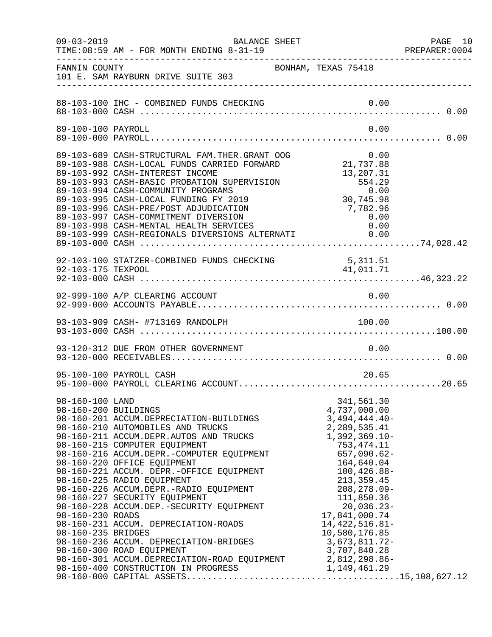| $09 - 03 - 2019$                                                                  | BALANCE SHEET<br>TIME: 08:59 AM - FOR MONTH ENDING 8-31-19                                                                                                                                                                                                                                                                                                                                                                                                                                                                                          |                                                                                                                                                                                                                                                                                                           | PAGE 10<br>PREPARER:0004 |
|-----------------------------------------------------------------------------------|-----------------------------------------------------------------------------------------------------------------------------------------------------------------------------------------------------------------------------------------------------------------------------------------------------------------------------------------------------------------------------------------------------------------------------------------------------------------------------------------------------------------------------------------------------|-----------------------------------------------------------------------------------------------------------------------------------------------------------------------------------------------------------------------------------------------------------------------------------------------------------|--------------------------|
| FANNIN COUNTY                                                                     | BONHAM, TEXAS 75418<br>101 E. SAM RAYBURN DRIVE SUITE 303                                                                                                                                                                                                                                                                                                                                                                                                                                                                                           |                                                                                                                                                                                                                                                                                                           |                          |
|                                                                                   |                                                                                                                                                                                                                                                                                                                                                                                                                                                                                                                                                     |                                                                                                                                                                                                                                                                                                           |                          |
| 89-100-100 PAYROLL                                                                |                                                                                                                                                                                                                                                                                                                                                                                                                                                                                                                                                     | 0.00                                                                                                                                                                                                                                                                                                      |                          |
|                                                                                   | 89-103-689 CASH-STRUCTURAL FAM.THER.GRANT OOG<br>89-103-988 CASH-LOCAL FUNDS CARRIED FORWARD<br>89-103-992 CASH-INTEREST INCOME<br>89-103-993 CASH-BASIC PROBATION SUPERVISION<br>89-103-994 CASH-COMMUNITY PROGRAMS<br>89-103-995 CASH-LOCAL FUNDING FY 2019<br>89-103-996 CASH-PRE/POST ADJUDICATION<br>89-103-997 CASH-COMMITMENT DIVERSION<br>89-103-998 CASH-MENTAL HEALTH SERVICES<br>89-103-999 CASH-REGIONALS DIVERSIONS ALTERNATI 0.00                                                                                                     | $\begin{array}{c} 3 \\ 21,737.88 \end{array}$<br>13,207.31<br>9.01 554.29<br>0.00<br>30,745.98 7.795.98<br>7,782.96<br>0.00                                                                                                                                                                               |                          |
|                                                                                   |                                                                                                                                                                                                                                                                                                                                                                                                                                                                                                                                                     |                                                                                                                                                                                                                                                                                                           |                          |
|                                                                                   | 92-999-100 A/P CLEARING ACCOUNT                                                                                                                                                                                                                                                                                                                                                                                                                                                                                                                     | 0.00                                                                                                                                                                                                                                                                                                      |                          |
|                                                                                   | 93-103-909 CASH- #713169 RANDOLPH                                                                                                                                                                                                                                                                                                                                                                                                                                                                                                                   | 100.00                                                                                                                                                                                                                                                                                                    |                          |
|                                                                                   | 93-120-312 DUE FROM OTHER GOVERNMENT                                                                                                                                                                                                                                                                                                                                                                                                                                                                                                                | 0.00                                                                                                                                                                                                                                                                                                      |                          |
|                                                                                   | 95-100-100 PAYROLL CASH                                                                                                                                                                                                                                                                                                                                                                                                                                                                                                                             | 20.65                                                                                                                                                                                                                                                                                                     |                          |
| 98-160-100 LAND<br>98-160-200 BUILDINGS<br>98-160-230 ROADS<br>98-160-235 BRIDGES | 98-160-201 ACCUM.DEPRECIATION-BUILDINGS<br>98-160-210 AUTOMOBILES AND TRUCKS<br>98-160-211 ACCUM.DEPR.AUTOS AND TRUCKS<br>98-160-215 COMPUTER EQUIPMENT<br>98-160-216 ACCUM.DEPR.-COMPUTER EQUIPMENT<br>98-160-220 OFFICE EQUIPMENT<br>98-160-221 ACCUM. DEPR.-OFFICE EQUIPMENT<br>98-160-225 RADIO EQUIPMENT<br>98-160-226 ACCUM.DEPR.-RADIO EQUIPMENT<br>98-160-227 SECURITY EQUIPMENT<br>98-160-228 ACCUM.DEP.-SECURITY EQUIPMENT<br>98-160-231 ACCUM. DEPRECIATION-ROADS<br>98-160-236 ACCUM. DEPRECIATION-BRIDGES<br>98-160-300 ROAD EQUIPMENT | 341,561.30<br>4,737,000.00<br>$3,494,444.40-$<br>2, 289, 535.41<br>$1,392,369.10-$<br>753, 474. 11<br>657,090.62-<br>164,640.04<br>$100, 426.88 -$<br>213, 359.45<br>$208, 278.09 -$<br>111,850.36<br>$20,036.23-$<br>17,841,000.74<br>14, 422, 516.81-<br>10,580,176.85<br>3,673,811.72-<br>3,707,840.28 |                          |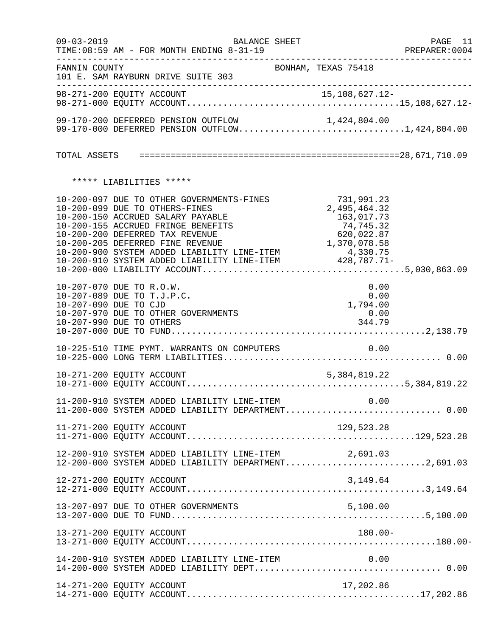|                                                                                                             | $09 - 03 - 2019$                                                                                                                                                                                                                                                                                                                                                         | BALANCE SHEET       |                                            | PAGE 11<br>PREPARER:0004 |
|-------------------------------------------------------------------------------------------------------------|--------------------------------------------------------------------------------------------------------------------------------------------------------------------------------------------------------------------------------------------------------------------------------------------------------------------------------------------------------------------------|---------------------|--------------------------------------------|--------------------------|
| FANNIN COUNTY<br>______________________                                                                     | 101 E. SAM RAYBURN DRIVE SUITE 303                                                                                                                                                                                                                                                                                                                                       | BONHAM, TEXAS 75418 |                                            |                          |
|                                                                                                             |                                                                                                                                                                                                                                                                                                                                                                          |                     |                                            |                          |
|                                                                                                             | 99-170-200 DEFERRED PENSION OUTFLOW 1,424,804.00<br>99-170-000 DEFERRED PENSION OUTFLOW1,424,804.00                                                                                                                                                                                                                                                                      |                     |                                            |                          |
|                                                                                                             |                                                                                                                                                                                                                                                                                                                                                                          |                     |                                            |                          |
|                                                                                                             | ***** LIABILITIES *****                                                                                                                                                                                                                                                                                                                                                  |                     |                                            |                          |
|                                                                                                             | $\begin{tabular}{lllllllllllllllllllllllllllllllllllll} 10-200-097 & DUE & TO OTHER GOVERNMENTS-FINES & 731,991.23 \\ 10-200-099 & DUE & TO OTHERS-FINES & 2,495,464.32 \\ 10-200-150 & ACCRUED SALARY PAYABLE & 163,017.73 \\ 10-200-155 & ACCRUED FRINGE BENEFTTS & 74,745.32 \\ 10-200-200 & DEFERRED TAX REVENUE & 620,022.87 \\ 10-200-205 & DEFERRED FINE REVENUE$ |                     |                                            |                          |
| 10-207-070 DUE TO R.O.W.<br>10-207-089 DUE TO T.J.P.C.<br>10-207-090 DUE TO CJD<br>10-207-990 DUE TO OTHERS | 10-207-970 DUE TO OTHER GOVERNMENTS                                                                                                                                                                                                                                                                                                                                      |                     | 0.00<br>0.00<br>1,794.00<br>0.00<br>344.79 |                          |
|                                                                                                             | 10-225-510 TIME PYMT. WARRANTS ON COMPUTERS                                                                                                                                                                                                                                                                                                                              |                     | 0.00                                       |                          |
|                                                                                                             |                                                                                                                                                                                                                                                                                                                                                                          |                     |                                            |                          |
|                                                                                                             | 11-200-910 SYSTEM ADDED LIABILITY LINE-ITEM 0.00<br>11-200-000 SYSTEM ADDED LIABILITY DEPARTMENT 0.00                                                                                                                                                                                                                                                                    |                     |                                            |                          |
| 11-271-200 EQUITY ACCOUNT                                                                                   |                                                                                                                                                                                                                                                                                                                                                                          |                     | 129,523.28                                 |                          |
|                                                                                                             | 12-200-910 SYSTEM ADDED LIABILITY LINE-ITEM 2,691.03<br>12-200-000 SYSTEM ADDED LIABILITY DEPARTMENT2,691.03                                                                                                                                                                                                                                                             |                     |                                            |                          |
| 12-271-200 EQUITY ACCOUNT                                                                                   |                                                                                                                                                                                                                                                                                                                                                                          |                     | 3,149.64                                   |                          |
|                                                                                                             | 13-207-097 DUE TO OTHER GOVERNMENTS                                                                                                                                                                                                                                                                                                                                      |                     | 5,100.00                                   |                          |
| 13-271-200 EQUITY ACCOUNT                                                                                   |                                                                                                                                                                                                                                                                                                                                                                          |                     | $180.00 -$                                 |                          |
|                                                                                                             | 14-200-910 SYSTEM ADDED LIABILITY LINE-ITEM                                                                                                                                                                                                                                                                                                                              |                     | 0.00                                       |                          |
| 14-271-200 EQUITY ACCOUNT                                                                                   |                                                                                                                                                                                                                                                                                                                                                                          |                     | 17,202.86                                  |                          |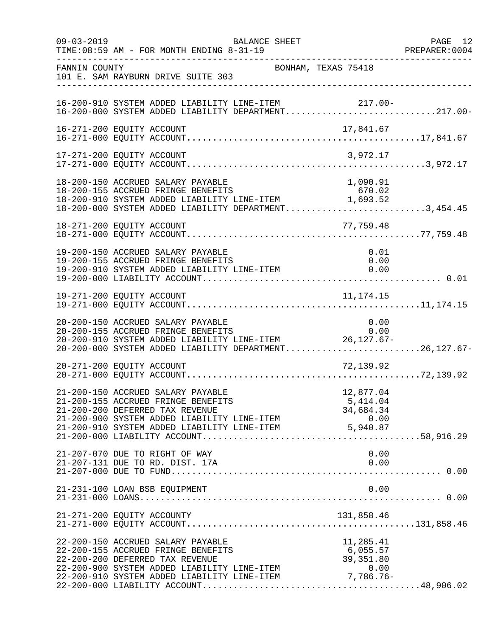| $09 - 03 - 2019$ | TIME: 08:59 AM - FOR MONTH ENDING 8-31-19                                                                                                                                                                                                                                           | BALANCE SHEET       |                                    | PAGE 12<br>PREPARER:0004 |
|------------------|-------------------------------------------------------------------------------------------------------------------------------------------------------------------------------------------------------------------------------------------------------------------------------------|---------------------|------------------------------------|--------------------------|
| FANNIN COUNTY    | 101 E. SAM RAYBURN DRIVE SUITE 303                                                                                                                                                                                                                                                  | BONHAM, TEXAS 75418 |                                    |                          |
|                  | 16-200-910 SYSTEM ADDED LIABILITY LINE-ITEM 217.00-<br>16-200-000 SYSTEM ADDED LIABILITY DEPARTMENT217.00-                                                                                                                                                                          |                     |                                    |                          |
|                  | 16-271-200 EQUITY ACCOUNT                                                                                                                                                                                                                                                           |                     | 17,841.67                          |                          |
|                  | 17-271-200 EQUITY ACCOUNT                                                                                                                                                                                                                                                           |                     | 3,972.17                           |                          |
|                  | 18-200-150 ACCRUED SALARY PAYABLE<br>18-200-155 ACCRUED FRINGE BENEFITS<br>$18-200-155$ ACCRUED FRINGE BENEFITS<br>18-200-910 SYSTEM ADDED LIABILITY LINE-ITEM $1,693.52$<br>18-200-000 SYSTEM ADDED LIABILITY DEPARTMENT3,454.45                                                   |                     | 1,090.91<br>670.02                 |                          |
|                  | 18-271-200 EQUITY ACCOUNT                                                                                                                                                                                                                                                           |                     | 77,759.48                          |                          |
|                  | 19-200-150 ACCRUED SALARY PAYABLE<br>19-200-155 ACCRUED FRINGE BENEFITS<br>19-200-155 ACCRUED FRINGE BENEFITS<br>19-200-910 SYSTEM ADDED LIABILITY LINE-ITEM $0.00$                                                                                                                 |                     | 0.01<br>0.00                       |                          |
|                  |                                                                                                                                                                                                                                                                                     |                     |                                    |                          |
|                  | 20-200-150 ACCRUED SALARY PAYABLE<br>20-200-155 ACCRUED FRINGE BENEFITS<br>20-200-133 ACCROLL FRINGE DENSETILS<br>20-200-910 SYSTEM ADDED LIABILITY LINE-ITEM 26,127.67-<br>20-200-000 SYSTEM ADDED LIABILITY DEPARTMENT26,127.67-                                                  |                     | 0.00<br>0.00                       |                          |
|                  | 20-271-200 EQUITY ACCOUNT                                                                                                                                                                                                                                                           |                     | 72,139.92                          |                          |
|                  | 21-200-150 ACCRUED SALARY PAYABLE<br>21-200-155 ACCRUED FRINGE BENEFITS<br>21-200-200 DEFERRED TAX REVENUE<br>21-200-900 SYSTEM ADDED LIABILITY LINE-ITEM<br>0.00 0.00 CL 200-910 SYSTEM ADDED LIABILITY LINE-ITEM 5,940.87<br>21-200-910 SYSTEM ADDED LIABILITY LINE-ITEM 5,940.87 |                     | 12,877.04<br>5,414.04<br>34,684.34 |                          |
|                  | 21-207-070 DUE TO RIGHT OF WAY<br>21-207-131 DUE TO RD. DIST. 17A                                                                                                                                                                                                                   |                     | 0.00<br>0.00                       |                          |
|                  | 21-231-100 LOAN BSB EQUIPMENT                                                                                                                                                                                                                                                       |                     | 0.00                               |                          |
|                  | 21-271-200 EQUITY ACCOUNTY                                                                                                                                                                                                                                                          |                     | 131,858.46                         |                          |
|                  | 22-200-150 ACCRUED SALARY PAYABLE<br>22-200-155 ACCRUED FRINGE BENEFITS<br>22-200-200 DEFERRED TAX REVENUE<br>22 200 200 DELEMBER METRICE<br>22-200-900 SYSTEM ADDED LIABILITY LINE-ITEM 0.00<br>22-200-910 SYSTEM ADDED LIABILITY LINE-ITEM 7,786.76-                              |                     | 11,285.41<br>6,055.57<br>39,351.80 |                          |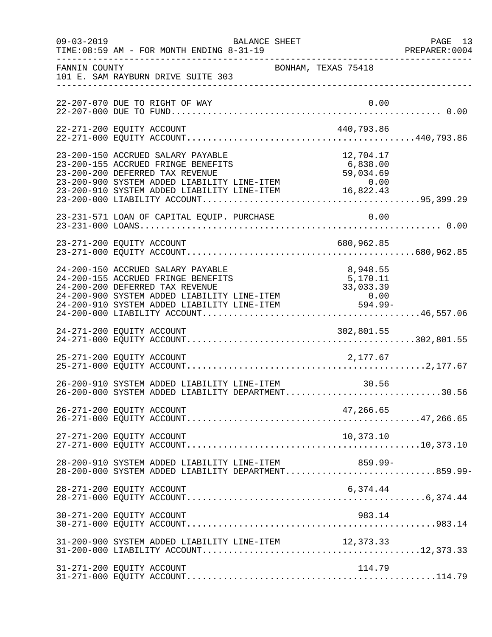| $09 - 03 - 2019$ | BALANCE SHEET<br>TIME: 08:59 AM - FOR MONTH ENDING 8-31-19                                                                                                                                                                                                            |                     | PAGE 13<br>PREPARER: 0004 |
|------------------|-----------------------------------------------------------------------------------------------------------------------------------------------------------------------------------------------------------------------------------------------------------------------|---------------------|---------------------------|
| FANNIN COUNTY    | 101 E. SAM RAYBURN DRIVE SUITE 303                                                                                                                                                                                                                                    | BONHAM, TEXAS 75418 |                           |
|                  | 22-207-070 DUE TO RIGHT OF WAY                                                                                                                                                                                                                                        | 0.00                |                           |
|                  |                                                                                                                                                                                                                                                                       |                     |                           |
|                  | 23-200-150 ACCRUED SALARY PAYABLE<br>23-200-155 ACCRUED FRINGE BENEFITS 6,838.00<br>23-200-200 DEFERRED TAX REVENUE 59,034.69<br>23-200-900 SYSTEM ADDED LIABILITY LINE-ITEM 0.00<br>23-200-910 SYSTEM ADDED LIABILITY LINE-ITEM 16,822.43                            | 12,704.17           |                           |
|                  |                                                                                                                                                                                                                                                                       |                     |                           |
|                  | 23-271-200 EQUITY ACCOUNT                                                                                                                                                                                                                                             |                     |                           |
|                  | 24-200-150 ACCRUED SALARY PAYABLE<br>24-200-200 DEFERRED TAX REVENUE<br>24-200-200 DEFERRED TAX REVENUE<br>24-200-900 SYSTEM ADDED LIABILITY LINE-ITEM<br>24-200-910 SYSTEM ADDED LIABILITY LINE-ITEM<br>24-200-000 LIABILITY ACCOUNT<br>24-200-000 LIABILITY ACCOUNT | 8,948.55            |                           |
|                  |                                                                                                                                                                                                                                                                       |                     |                           |
|                  | 25-271-200 EQUITY ACCOUNT                                                                                                                                                                                                                                             | 2,177.67            |                           |
|                  | 26-200-910 SYSTEM ADDED LIABILITY LINE-ITEM 30.56<br>26-200-000 SYSTEM ADDED LIABILITY DEPARTMENT30.56                                                                                                                                                                |                     |                           |
|                  | 26-271-200 EQUITY ACCOUNT                                                                                                                                                                                                                                             | 47,266.65           |                           |
|                  | 27-271-200 EQUITY ACCOUNT                                                                                                                                                                                                                                             | 10,373.10           |                           |
|                  | 28-200-910 SYSTEM ADDED LIABILITY LINE-ITEM<br>28-200-000 SYSTEM ADDED LIABILITY DEPARTMENT859.99-                                                                                                                                                                    | 859.99-             |                           |
|                  | 28-271-200 EQUITY ACCOUNT                                                                                                                                                                                                                                             | 6,374.44            |                           |
|                  | 30-271-200 EQUITY ACCOUNT                                                                                                                                                                                                                                             | 983.14              |                           |
|                  |                                                                                                                                                                                                                                                                       |                     |                           |
|                  | 31-271-200 EQUITY ACCOUNT                                                                                                                                                                                                                                             | 114.79              |                           |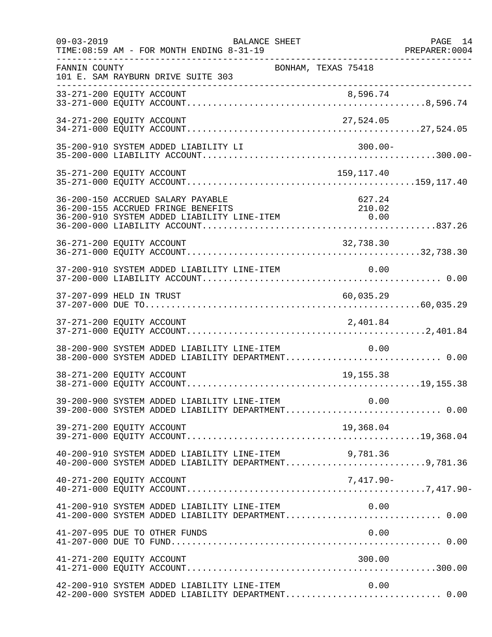| $09 - 03 - 2019$ | <b>BALANCE SHEET</b><br>TIME: 08:59 AM - FOR MONTH ENDING 8-31-19                                                      |                             | PAGE 14<br>PREPARER:0004 |
|------------------|------------------------------------------------------------------------------------------------------------------------|-----------------------------|--------------------------|
| FANNIN COUNTY    | 101 E. SAM RAYBURN DRIVE SUITE 303                                                                                     | BONHAM, TEXAS 75418         |                          |
|                  |                                                                                                                        |                             |                          |
|                  | 34-271-200 EQUITY ACCOUNT                                                                                              | 27,524.05                   |                          |
|                  | 35-200-910 SYSTEM ADDED LIABILITY LI                                                                                   | $300.00 -$                  |                          |
|                  | 35-271-200 EQUITY ACCOUNT                                                                                              | 159,117.40                  |                          |
|                  | 36-200-150 ACCRUED SALARY PAYABLE<br>36-200-155 ACCRUED FRINGE BENEFITS<br>36-200-910 SYSTEM ADDED LIABILITY LINE-ITEM | 627.24<br>210.02<br>$-0.00$ |                          |
|                  | 36-271-200 EQUITY ACCOUNT                                                                                              | 32,738.30                   |                          |
|                  | 37-200-910 SYSTEM ADDED LIABILITY LINE-ITEM                                                                            | 0.00                        |                          |
|                  | 37-207-099 HELD IN TRUST                                                                                               | 60,035.29                   |                          |
|                  | 37-271-200 EQUITY ACCOUNT                                                                                              | 2,401.84                    |                          |
|                  | 38-200-900 SYSTEM ADDED LIABILITY LINE-ITEM<br>38-200-000 SYSTEM ADDED LIABILITY DEPARTMENT 0.00                       | 0.00                        |                          |
|                  | 38-271-200 EQUITY ACCOUNT                                                                                              | 19, 155. 38                 |                          |
|                  | 39-200-900 SYSTEM ADDED LIABILITY LINE-ITEM<br>39-200-000 SYSTEM ADDED LIABILITY DEPARTMENT 0.00                       | 0.00                        |                          |
|                  | 39-271-200 EQUITY ACCOUNT                                                                                              | 19,368.04                   |                          |
|                  | $40-200-910$ SYSTEM ADDED LIABILITY LINE-ITEM $9,781.36$<br>$40-200-000$ SYSTEM ADDED LIABILITY DEPARTMENT9,781.36     |                             |                          |
|                  | 40-271-200 EQUITY ACCOUNT                                                                                              | 7,417.90-                   |                          |
|                  | 41-200-910 SYSTEM ADDED LIABILITY LINE-ITEM<br>41-200-000 SYSTEM ADDED LIABILITY DEPARTMENT 0.00                       | 0.00                        |                          |
|                  | 41-207-095 DUE TO OTHER FUNDS                                                                                          | 0.00                        |                          |
|                  | 41-271-200 EQUITY ACCOUNT                                                                                              | 300.00                      |                          |
|                  | 42-200-910 SYSTEM ADDED LIABILITY LINE-ITEM<br>42-200-000 SYSTEM ADDED LIABILITY DEPARTMENT 0.00                       | 0.00                        |                          |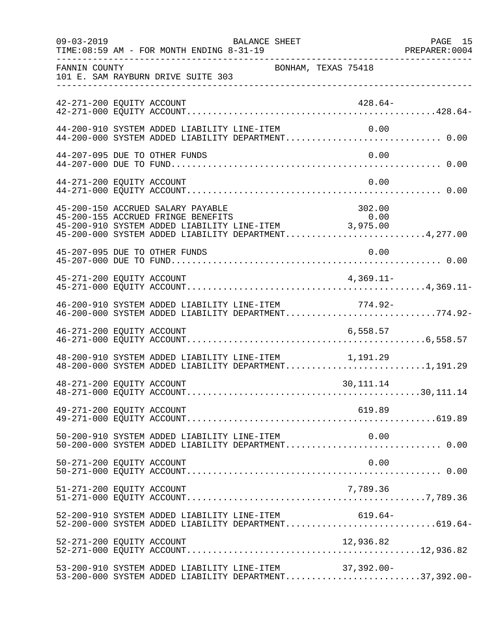|                           | $09 - 03 - 2019$<br>TIME: 08:59 AM - FOR MONTH ENDING 8-31-19 | BALANCE SHEET                                                                                                                                      |             | PAGE 15 |
|---------------------------|---------------------------------------------------------------|----------------------------------------------------------------------------------------------------------------------------------------------------|-------------|---------|
| FANNIN COUNTY             | 101 E. SAM RAYBURN DRIVE SUITE 303                            | BONHAM, TEXAS 75418                                                                                                                                |             |         |
| 42-271-200 EQUITY ACCOUNT |                                                               |                                                                                                                                                    | $428.64-$   |         |
|                           | 44-200-910 SYSTEM ADDED LIABILITY LINE-ITEM                   | 44-200-000 SYSTEM ADDED LIABILITY DEPARTMENT 0.00                                                                                                  | 0.00        |         |
|                           | 44-207-095 DUE TO OTHER FUNDS                                 |                                                                                                                                                    | 0.00        |         |
| 44-271-200 EQUITY ACCOUNT |                                                               |                                                                                                                                                    | 0.00        |         |
|                           | 45-200-150 ACCRUED SALARY PAYABLE                             | 15-200-155 ACCRUED FRINGE BENEFITS<br>45-200-910 SYSTEM ADDED LIABILITY LINE-ITEM 3,975.00<br>45-200-000 SYSTEM ADDED LIABILITY DEPARTMENT4,277.00 | 302.00      |         |
|                           | 45-207-095 DUE TO OTHER FUNDS                                 |                                                                                                                                                    | 0.00        |         |
| 45-271-200 EQUITY ACCOUNT |                                                               |                                                                                                                                                    | $4,369.11-$ |         |
|                           |                                                               | 46-200-910 SYSTEM ADDED LIABILITY LINE-ITEM 774.92-<br>46-200-000 SYSTEM ADDED LIABILITY DEPARTMENT774.92-                                         |             |         |
|                           |                                                               |                                                                                                                                                    |             |         |
|                           |                                                               | 48-200-910 SYSTEM ADDED LIABILITY LINE-ITEM 1,191.29<br>48-200-000 SYSTEM ADDED LIABILITY DEPARTMENT1,191.29                                       |             |         |
| 48-271-200 EQUITY ACCOUNT |                                                               |                                                                                                                                                    | 30, 111. 14 |         |
| 49-271-200 EQUITY ACCOUNT |                                                               |                                                                                                                                                    | 619.89      |         |
|                           |                                                               |                                                                                                                                                    |             |         |
| 50-271-200 EQUITY ACCOUNT |                                                               |                                                                                                                                                    | 0.00        |         |
| 51-271-200 EQUITY ACCOUNT |                                                               |                                                                                                                                                    | 7,789.36    |         |
|                           |                                                               | 52-200-910 SYSTEM ADDED LIABILITY LINE-ITEM 619.64-<br>52-200-000 SYSTEM ADDED LIABILITY DEPARTMENT619.64-                                         |             |         |
| 52-271-200 EQUITY ACCOUNT |                                                               |                                                                                                                                                    | 12,936.82   |         |
|                           |                                                               | 53-200-910 SYSTEM ADDED LIABILITY LINE-ITEM 37,392.00-<br>53-200-000 SYSTEM ADDED LIABILITY DEPARTMENT37,392.00-                                   |             |         |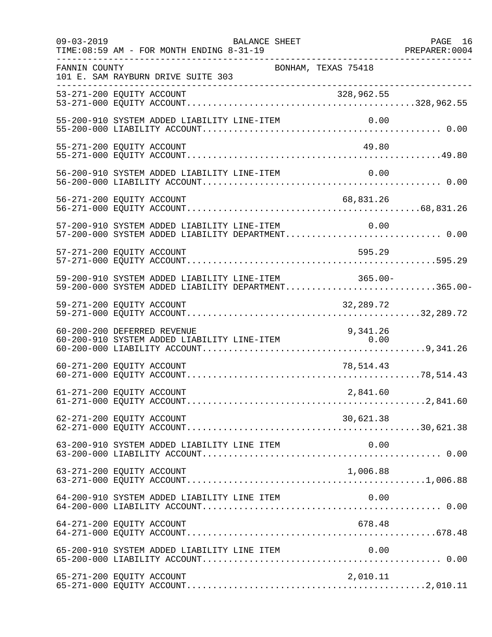| $09 - 03 - 2019$ | BALANCE SHEET<br>TIME: 08:59 AM - FOR MONTH ENDING 8-31-19                                                 | PAGE 16<br>PREPARER: 0004 |
|------------------|------------------------------------------------------------------------------------------------------------|---------------------------|
| FANNIN COUNTY    | BONHAM, TEXAS 75418<br>101 E. SAM RAYBURN DRIVE SUITE 303<br>---------------------------------             |                           |
|                  |                                                                                                            |                           |
|                  | 55-200-910 SYSTEM ADDED LIABILITY LINE-ITEM                                                                |                           |
|                  | 55-271-200 EQUITY ACCOUNT                                                                                  | 49.80                     |
|                  | 56-200-910 SYSTEM ADDED LIABILITY LINE-ITEM                                                                | 0.00                      |
|                  | 56-271-200 EQUITY ACCOUNT                                                                                  | 68,831.26                 |
|                  | 57-200-910 SYSTEM ADDED LIABILITY LINE-ITEM<br>57-200-000 SYSTEM ADDED LIABILITY DEPARTMENT 0.00           | 0.00                      |
|                  | 57-271-200 EQUITY ACCOUNT                                                                                  | 595.29                    |
|                  | 59-200-910 SYSTEM ADDED LIABILITY LINE-ITEM 365.00-<br>59-200-000 SYSTEM ADDED LIABILITY DEPARTMENT365.00- |                           |
|                  | 59-271-200 EQUITY ACCOUNT                                                                                  | 32,289.72                 |
|                  | 60-200-200 DEFERRED REVENUE<br>9,341.26<br>60-200-910 SYSTEM ADDED LIABILITY LINE-ITEM 0.00                |                           |
|                  | 60-271-200 EQUITY ACCOUNT                                                                                  | 78,514.43                 |
|                  | 61-271-200 EQUITY ACCOUNT                                                                                  | 2,841.60                  |
|                  | 62-271-200 EQUITY ACCOUNT                                                                                  | 30,621.38                 |
|                  | 63-200-910 SYSTEM ADDED LIABILITY LINE ITEM                                                                | 0.00                      |
|                  | 63-271-200 EQUITY ACCOUNT                                                                                  | 1,006.88                  |
|                  | 64-200-910 SYSTEM ADDED LIABILITY LINE ITEM                                                                | 0.00                      |
|                  | 64-271-200 EQUITY ACCOUNT                                                                                  | 678.48                    |
|                  | 65-200-910 SYSTEM ADDED LIABILITY LINE ITEM                                                                |                           |
|                  | 65-271-200 EQUITY ACCOUNT                                                                                  | 2,010.11                  |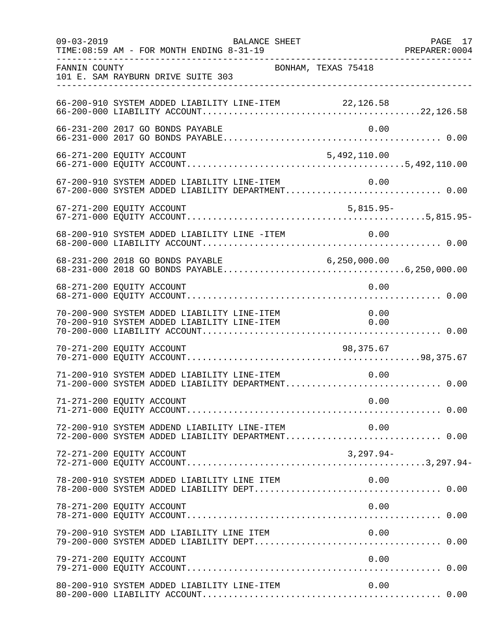| $09 - 03 - 2019$ | BALANCE SHEET                                                                                          | PAGE 17<br>PREPARER:0004 |
|------------------|--------------------------------------------------------------------------------------------------------|--------------------------|
| FANNIN COUNTY    | BONHAM, TEXAS 75418<br>101 E. SAM RAYBURN DRIVE SUITE 303                                              |                          |
|                  |                                                                                                        |                          |
|                  | 66-231-200 2017 GO BONDS PAYABLE                                                                       | 0.00                     |
|                  |                                                                                                        |                          |
|                  | 67-200-910 SYSTEM ADDED LIABILITY LINE-ITEM 0.00<br>67-200-000 SYSTEM ADDED LIABILITY DEPARTMENT 0.00  |                          |
|                  |                                                                                                        |                          |
|                  | 68-200-910 SYSTEM ADDED LIABILITY LINE -ITEM                                                           | 0.00                     |
|                  | 68-231-200 2018 GO BONDS PAYABLE 6,250,000.00                                                          |                          |
|                  | 68-271-200 EQUITY ACCOUNT                                                                              | 0.00                     |
|                  | 70-200-900 SYSTEM ADDED LIABILITY LINE-ITEM<br>70-200-910 SYSTEM ADDED LIABILITY LINE-ITEM<br>0.00     | 0.00                     |
|                  | 70-271-200 EQUITY ACCOUNT<br>98,375.67                                                                 |                          |
|                  | 71-200-910 SYSTEM ADDED LIABILITY LINE-ITEM<br>71-200-000 SYSTEM ADDED LIABILITY DEPARTMENT 0.00       | 0.00                     |
|                  | 71-271-200 EQUITY ACCOUNT<br>0.00                                                                      |                          |
|                  | 72-200-910 SYSTEM ADDEND LIABILITY LINE-ITEM 0.00<br>72-200-000 SYSTEM ADDED LIABILITY DEPARTMENT 0.00 |                          |
|                  | 72-271-200 EQUITY ACCOUNT                                                                              | 3,297.94-                |
|                  | 78-200-910 SYSTEM ADDED LIABILITY LINE ITEM                                                            | 0.00                     |
|                  | 78-271-200 EQUITY ACCOUNT                                                                              | 0.00                     |
|                  |                                                                                                        |                          |
|                  | 79-271-200 EQUITY ACCOUNT                                                                              | 0.00                     |
|                  | 80-200-910 SYSTEM ADDED LIABILITY LINE-ITEM                                                            | 0.00                     |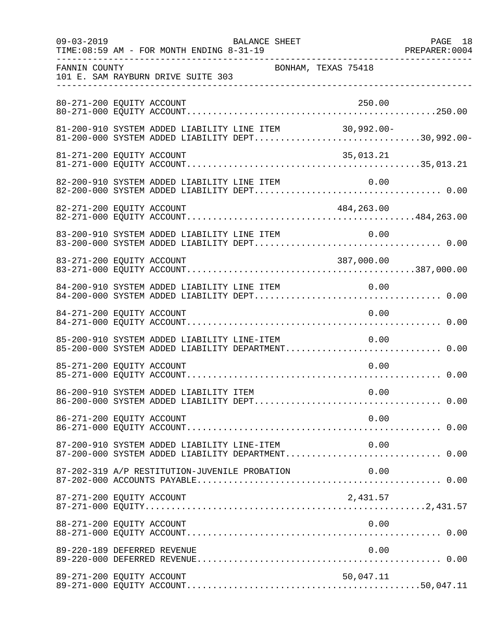| $09 - 03 - 2019$ | BALANCE SHEET<br>TIME: 08:59 AM - FOR MONTH ENDING 8-31-19                                                          |                     | PAGE 18<br>PREPARER:0004 |
|------------------|---------------------------------------------------------------------------------------------------------------------|---------------------|--------------------------|
| FANNIN COUNTY    | --------------------------------------<br>101 E. SAM RAYBURN DRIVE SUITE 303<br>___________________________________ | BONHAM, TEXAS 75418 |                          |
|                  | 80-271-200 EQUITY ACCOUNT                                                                                           | 250.00              |                          |
|                  | 81-200-910 SYSTEM ADDED LIABILITY LINE ITEM 30,992.00-<br>81-200-000 SYSTEM ADDED LIABILITY DEPT30,992.00-          |                     |                          |
|                  | 81-271-200 EQUITY ACCOUNT                                                                                           | 35,013.21           |                          |
|                  |                                                                                                                     |                     |                          |
|                  | 82-271-200 EQUITY ACCOUNT                                                                                           | 484,263.00          |                          |
|                  | 83-200-910 SYSTEM ADDED LIABILITY LINE ITEM                                                                         | 0.00                |                          |
|                  | 83-271-200 EQUITY ACCOUNT                                                                                           | 387,000.00          |                          |
|                  | 84-200-910 SYSTEM ADDED LIABILITY LINE ITEM 0.00                                                                    |                     |                          |
|                  | 84-271-200 EQUITY ACCOUNT                                                                                           | 0.00                |                          |
|                  | 85-200-910 SYSTEM ADDED LIABILITY LINE-ITEM<br>85-200-000 SYSTEM ADDED LIABILITY DEPARTMENT 0.00                    | 0.00                |                          |
|                  | 85-271-200 EQUITY ACCOUNT                                                                                           | 0.00                |                          |
|                  | 86-200-910 SYSTEM ADDED LIABILITY ITEM                                                                              | 0.00                |                          |
|                  | 86-271-200 EQUITY ACCOUNT                                                                                           | 0.00                |                          |
|                  | 87-200-910 SYSTEM ADDED LIABILITY LINE-ITEM<br>87-200-000 SYSTEM ADDED LIABILITY DEPARTMENT 0.00                    | 0.00                |                          |
|                  | 87-202-319 A/P RESTITUTION-JUVENILE PROBATION                                                                       | 0.00                |                          |
|                  | 87-271-200 EQUITY ACCOUNT                                                                                           | 2,431.57            |                          |
|                  | 88-271-200 EQUITY ACCOUNT                                                                                           | 0.00                |                          |
|                  | 89-220-189 DEFERRED REVENUE                                                                                         | 0.00                |                          |
|                  | 89-271-200 EQUITY ACCOUNT                                                                                           | 50,047.11           |                          |